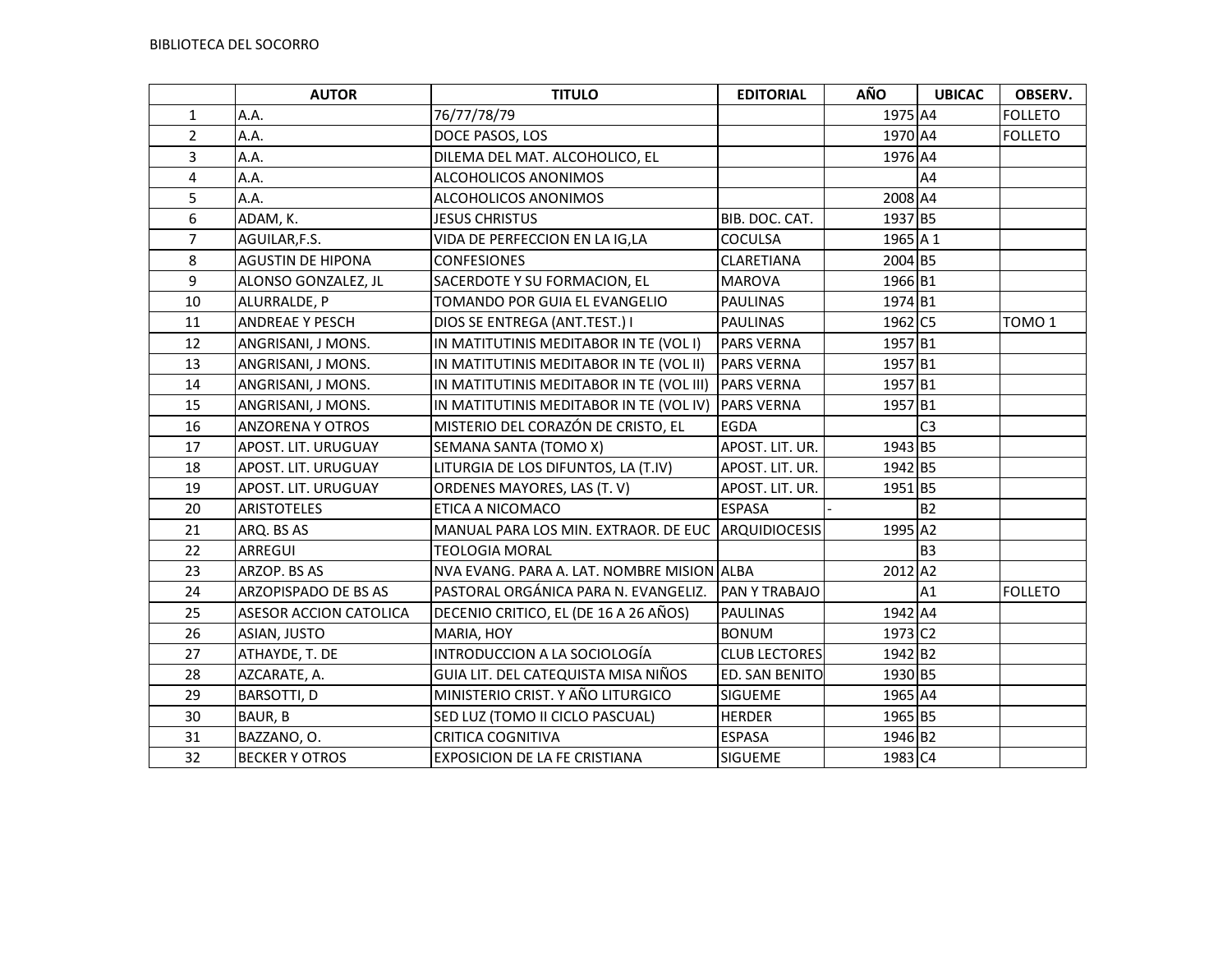|                | <b>AUTOR</b>                | <b>TITULO</b>                                       | <b>EDITORIAL</b>     | AÑO                 | <b>UBICAC</b>  | OBSERV.           |
|----------------|-----------------------------|-----------------------------------------------------|----------------------|---------------------|----------------|-------------------|
| $\mathbf{1}$   | A.A.                        | 76/77/78/79                                         |                      | 1975 A4             |                | <b>FOLLETO</b>    |
| $\overline{2}$ | A.A.                        | DOCE PASOS, LOS                                     |                      | 1970 A4             |                | <b>FOLLETO</b>    |
| 3              | A.A.                        | DILEMA DEL MAT. ALCOHOLICO, EL                      |                      | 1976 A4             |                |                   |
| 4              | A.A.                        | ALCOHOLICOS ANONIMOS                                |                      |                     | A4             |                   |
| 5              | A.A.                        | ALCOHOLICOS ANONIMOS                                |                      | 2008 A4             |                |                   |
| 6              | ADAM, K.                    | <b>JESUS CHRISTUS</b>                               | BIB. DOC. CAT.       | 1937 B5             |                |                   |
| $\overline{7}$ | AGUILAR, F.S.               | VIDA DE PERFECCION EN LA IG,LA                      | <b>COCULSA</b>       | 1965 A 1            |                |                   |
| 8              | <b>AGUSTIN DE HIPONA</b>    | <b>CONFESIONES</b>                                  | CLARETIANA           | 2004 B5             |                |                   |
| 9              | ALONSO GONZALEZ, JL         | SACERDOTE Y SU FORMACION, EL                        | <b>MAROVA</b>        | 1966 B1             |                |                   |
| 10             | ALURRALDE, P                | TOMANDO POR GUIA EL EVANGELIO                       | <b>PAULINAS</b>      | 1974 B1             |                |                   |
| 11             | <b>ANDREAE Y PESCH</b>      | DIOS SE ENTREGA (ANT.TEST.) I                       | <b>PAULINAS</b>      | 1962 C5             |                | TOMO <sub>1</sub> |
| 12             | ANGRISANI, J MONS.          | IN MATITUTINIS MEDITABOR IN TE (VOL I)              | <b>PARS VERNA</b>    | 1957 B1             |                |                   |
| 13             | ANGRISANI, J MONS.          | IN MATITUTINIS MEDITABOR IN TE (VOL II)             | <b>PARS VERNA</b>    | 1957 B1             |                |                   |
| 14             | ANGRISANI, J MONS.          | IN MATITUTINIS MEDITABOR IN TE (VOL III) PARS VERNA |                      | 1957 B1             |                |                   |
| 15             | ANGRISANI, J MONS.          | IN MATITUTINIS MEDITABOR IN TE (VOL IV)             | <b>PARS VERNA</b>    | 1957 B1             |                |                   |
| 16             | <b>ANZORENA Y OTROS</b>     | MISTERIO DEL CORAZÓN DE CRISTO, EL                  | <b>EGDA</b>          |                     | C <sub>3</sub> |                   |
| 17             | APOST. LIT. URUGUAY         | SEMANA SANTA (TOMO X)                               | APOST. LIT. UR.      | 1943 B5             |                |                   |
| 18             | APOST. LIT. URUGUAY         | LITURGIA DE LOS DIFUNTOS, LA (T.IV)                 | APOST. LIT. UR.      | 1942 B5             |                |                   |
| 19             | APOST. LIT. URUGUAY         | ORDENES MAYORES, LAS (T. V)                         | APOST. LIT. UR.      | 1951 B5             |                |                   |
| 20             | <b>ARISTOTELES</b>          | ETICA A NICOMACO                                    | <b>ESPASA</b>        |                     | <b>B2</b>      |                   |
| 21             | ARQ. BS AS                  | MANUAL PARA LOS MIN. EXTRAOR. DE EUC ARQUIDIOCESIS  |                      | 1995 A2             |                |                   |
| 22             | ARREGUI                     | <b>TEOLOGIA MORAL</b>                               |                      |                     | B <sub>3</sub> |                   |
| 23             | ARZOP. BS AS                | NVA EVANG. PARA A. LAT. NOMBRE MISION ALBA          |                      | 2012 A2             |                |                   |
| 24             | <b>ARZOPISPADO DE BS AS</b> | PASTORAL ORGÁNICA PARA N. EVANGELIZ.                | PAN Y TRABAJO        |                     | A1             | <b>FOLLETO</b>    |
| 25             | ASESOR ACCION CATOLICA      | DECENIO CRITICO, EL (DE 16 A 26 AÑOS)               | <b>PAULINAS</b>      | 1942 A4             |                |                   |
| 26             | ASIAN, JUSTO                | MARIA, HOY                                          | <b>BONUM</b>         | 1973 C <sub>2</sub> |                |                   |
| 27             | ATHAYDE, T. DE              | INTRODUCCION A LA SOCIOLOGÍA                        | <b>CLUB LECTORES</b> | 1942 B2             |                |                   |
| 28             | AZCARATE, A.                | GUIA LIT. DEL CATEQUISTA MISA NIÑOS                 | ED. SAN BENITO       | 1930 B5             |                |                   |
| 29             | BARSOTTI, D                 | MINISTERIO CRIST. Y AÑO LITURGICO                   | SIGUEME              | 1965 A4             |                |                   |
| 30             | BAUR, B                     | SED LUZ (TOMO II CICLO PASCUAL)                     | <b>HERDER</b>        | 1965 B5             |                |                   |
| 31             | BAZZANO, O.                 | <b>CRITICA COGNITIVA</b>                            | <b>ESPASA</b>        | 1946 B2             |                |                   |
| 32             | <b>BECKER Y OTROS</b>       | EXPOSICION DE LA FE CRISTIANA                       | SIGUEME              | 1983 C4             |                |                   |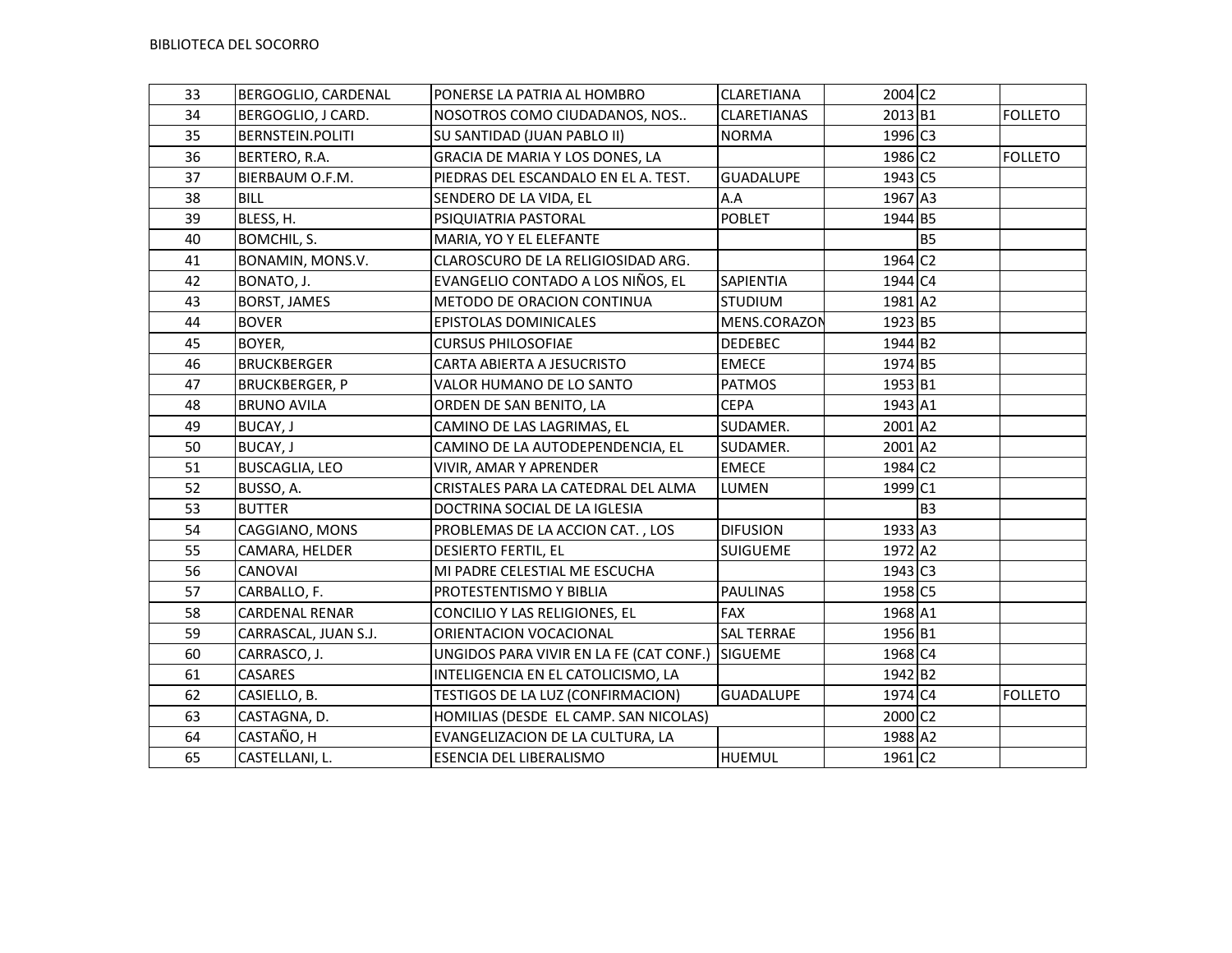| 33 | BERGOGLIO, CARDENAL     | PONERSE LA PATRIA AL HOMBRO             | <b>CLARETIANA</b>  | 2004 C2               |           |                |
|----|-------------------------|-----------------------------------------|--------------------|-----------------------|-----------|----------------|
| 34 | BERGOGLIO, J CARD.      | NOSOTROS COMO CIUDADANOS, NOS           | <b>CLARETIANAS</b> | 2013 B1               |           | <b>FOLLETO</b> |
| 35 | <b>BERNSTEIN.POLITI</b> | SU SANTIDAD (JUAN PABLO II)             | <b>NORMA</b>       | 1996 C3               |           |                |
| 36 | BERTERO, R.A.           | GRACIA DE MARIA Y LOS DONES, LA         |                    | 1986 C2               |           | <b>FOLLETO</b> |
| 37 | BIERBAUM O.F.M.         | PIEDRAS DEL ESCANDALO EN EL A. TEST.    | <b>GUADALUPE</b>   | 1943 C5               |           |                |
| 38 | <b>BILL</b>             | SENDERO DE LA VIDA, EL                  | A.A                | 1967 A3               |           |                |
| 39 | BLESS, H.               | PSIQUIATRIA PASTORAL                    | <b>POBLET</b>      | 1944 B5               |           |                |
| 40 | BOMCHIL, S.             | MARIA, YO Y EL ELEFANTE                 |                    |                       | <b>B5</b> |                |
| 41 | BONAMIN, MONS.V.        | CLAROSCURO DE LA RELIGIOSIDAD ARG.      |                    | 1964 C <sub>2</sub>   |           |                |
| 42 | BONATO, J.              | EVANGELIO CONTADO A LOS NIÑOS, EL       | <b>SAPIENTIA</b>   | 1944 C4               |           |                |
| 43 | BORST, JAMES            | METODO DE ORACION CONTINUA              | <b>STUDIUM</b>     | 1981 A2               |           |                |
| 44 | <b>BOVER</b>            | EPISTOLAS DOMINICALES                   | MENS.CORAZON       | 1923 B5               |           |                |
| 45 | BOYER,                  | <b>CURSUS PHILOSOFIAE</b>               | <b>DEDEBEC</b>     | 1944 B2               |           |                |
| 46 | <b>BRUCKBERGER</b>      | CARTA ABIERTA A JESUCRISTO              | <b>EMECE</b>       | 1974 B5               |           |                |
| 47 | <b>BRUCKBERGER, P</b>   | VALOR HUMANO DE LO SANTO                | <b>PATMOS</b>      | 1953 B1               |           |                |
| 48 | <b>BRUNO AVILA</b>      | ORDEN DE SAN BENITO, LA                 | <b>CEPA</b>        | 1943 A1               |           |                |
| 49 | <b>BUCAY, J</b>         | CAMINO DE LAS LAGRIMAS, EL              | SUDAMER.           | 2001 A2               |           |                |
| 50 | BUCAY, J                | CAMINO DE LA AUTODEPENDENCIA, EL        | SUDAMER.           | 2001 A2               |           |                |
| 51 | <b>BUSCAGLIA, LEO</b>   | VIVIR, AMAR Y APRENDER                  | <b>EMECE</b>       | 1984 C <sub>2</sub>   |           |                |
| 52 | BUSSO, A.               | CRISTALES PARA LA CATEDRAL DEL ALMA     | LUMEN              | 1999 C1               |           |                |
| 53 | <b>BUTTER</b>           | DOCTRINA SOCIAL DE LA IGLESIA           |                    |                       | <b>B3</b> |                |
| 54 | CAGGIANO, MONS          | PROBLEMAS DE LA ACCION CAT., LOS        | <b>DIFUSION</b>    | 1933 A3               |           |                |
| 55 | CAMARA, HELDER          | DESIERTO FERTIL, EL                     | <b>SUIGUEME</b>    | 1972 A2               |           |                |
| 56 | <b>CANOVAI</b>          | MI PADRE CELESTIAL ME ESCUCHA           |                    | $1943$ C <sub>3</sub> |           |                |
| 57 | CARBALLO, F.            | PROTESTENTISMO Y BIBLIA                 | <b>PAULINAS</b>    | 1958 C5               |           |                |
| 58 | <b>CARDENAL RENAR</b>   | CONCILIO Y LAS RELIGIONES, EL           | <b>FAX</b>         | 1968 A1               |           |                |
| 59 | CARRASCAL, JUAN S.J.    | ORIENTACION VOCACIONAL                  | <b>SAL TERRAE</b>  | 1956 B1               |           |                |
| 60 | CARRASCO, J.            | UNGIDOS PARA VIVIR EN LA FE (CAT CONF.) | <b>SIGUEME</b>     | 1968 C4               |           |                |
| 61 | CASARES                 | INTELIGENCIA EN EL CATOLICISMO, LA      |                    | 1942 B <sub>2</sub>   |           |                |
| 62 | CASIELLO, B.            | TESTIGOS DE LA LUZ (CONFIRMACION)       | <b>GUADALUPE</b>   | 1974 C4               |           | <b>FOLLETO</b> |
| 63 | CASTAGNA, D.            | HOMILIAS (DESDE EL CAMP. SAN NICOLAS)   |                    | 2000 C2               |           |                |
| 64 | CASTAÑO, H              | EVANGELIZACION DE LA CULTURA, LA        |                    | 1988 A2               |           |                |
| 65 | CASTELLANI, L.          | ESENCIA DEL LIBERALISMO                 | HUEMUL             | 1961 C <sub>2</sub>   |           |                |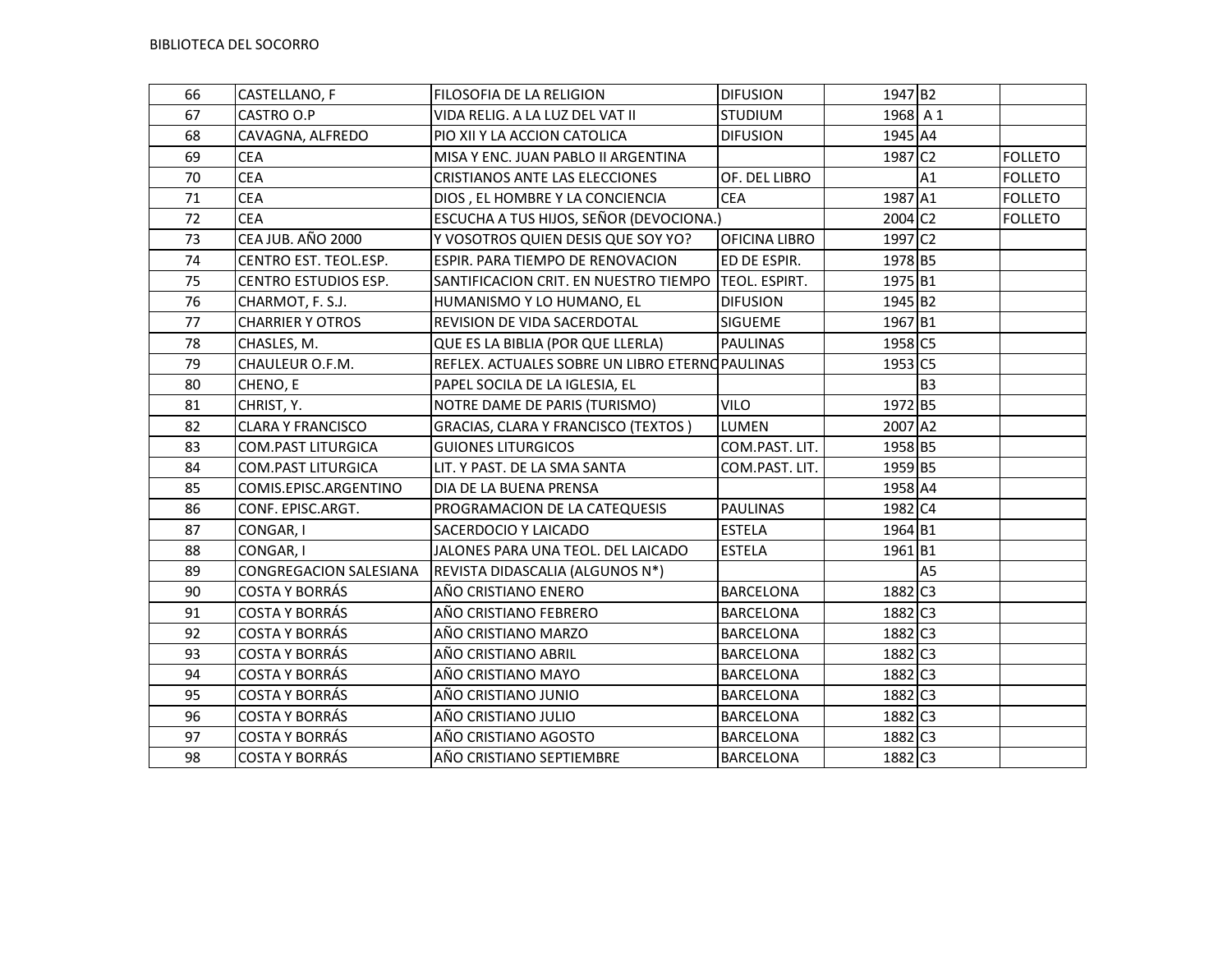| 66 | CASTELLANO, F             | FILOSOFIA DE LA RELIGION                       | <b>DIFUSION</b>  | 1947 B2             |                |                |
|----|---------------------------|------------------------------------------------|------------------|---------------------|----------------|----------------|
| 67 | CASTRO O.P                | VIDA RELIG. A LA LUZ DEL VAT II                | <b>STUDIUM</b>   | 1968 A 1            |                |                |
| 68 | CAVAGNA, ALFREDO          | PIO XII Y LA ACCION CATOLICA                   | <b>DIFUSION</b>  | 1945 A4             |                |                |
| 69 | <b>CEA</b>                | MISA Y ENC. JUAN PABLO II ARGENTINA            |                  | 1987 C <sub>2</sub> |                | <b>FOLLETO</b> |
| 70 | <b>CEA</b>                | CRISTIANOS ANTE LAS ELECCIONES                 | OF. DEL LIBRO    |                     | A1             | <b>FOLLETO</b> |
| 71 | <b>CEA</b>                | DIOS, EL HOMBRE Y LA CONCIENCIA                | <b>CEA</b>       | 1987 A1             |                | <b>FOLLETO</b> |
| 72 | <b>CEA</b>                | ESCUCHA A TUS HIJOS, SEÑOR (DEVOCIONA.)        |                  | 2004 C2             |                | <b>FOLLETO</b> |
| 73 | CEA JUB. AÑO 2000         | Y VOSOTROS QUIEN DESIS QUE SOY YO?             | OFICINA LIBRO    | 1997 C2             |                |                |
| 74 | CENTRO EST. TEOL.ESP.     | ESPIR. PARA TIEMPO DE RENOVACION               | ED DE ESPIR.     | 1978 B5             |                |                |
| 75 | CENTRO ESTUDIOS ESP.      | SANTIFICACION CRIT. EN NUESTRO TIEMPO          | TEOL. ESPIRT.    | 1975 B1             |                |                |
| 76 | CHARMOT, F. S.J.          | HUMANISMO Y LO HUMANO, EL                      | <b>DIFUSION</b>  | 1945 B2             |                |                |
| 77 | <b>CHARRIER Y OTROS</b>   | REVISION DE VIDA SACERDOTAL                    | <b>SIGUEME</b>   | 1967 B1             |                |                |
| 78 | CHASLES, M.               | QUE ES LA BIBLIA (POR QUE LLERLA)              | <b>PAULINAS</b>  | 1958 C5             |                |                |
| 79 | CHAULEUR O.F.M.           | REFLEX. ACTUALES SOBRE UN LIBRO ETERNOPAULINAS |                  | 1953 C5             |                |                |
| 80 | CHENO, E                  | PAPEL SOCILA DE LA IGLESIA, EL                 |                  |                     | B <sub>3</sub> |                |
| 81 | CHRIST, Y.                | NOTRE DAME DE PARIS (TURISMO)                  | <b>VILO</b>      | 1972 B5             |                |                |
| 82 | <b>CLARA Y FRANCISCO</b>  | GRACIAS, CLARA Y FRANCISCO (TEXTOS)            | <b>LUMEN</b>     | 2007 A2             |                |                |
| 83 | <b>COM.PAST LITURGICA</b> | <b>GUIONES LITURGICOS</b>                      | COM.PAST. LIT.   | 1958 B5             |                |                |
| 84 | <b>COM.PAST LITURGICA</b> | LIT. Y PAST. DE LA SMA SANTA                   | COM.PAST. LIT.   | 1959 B5             |                |                |
| 85 | COMIS.EPISC.ARGENTINO     | DIA DE LA BUENA PRENSA                         |                  | 1958 A4             |                |                |
| 86 | CONF. EPISC.ARGT.         | PROGRAMACION DE LA CATEQUESIS                  | <b>PAULINAS</b>  | 1982 C4             |                |                |
| 87 | CONGAR, I                 | SACERDOCIO Y LAICADO                           | <b>ESTELA</b>    | 1964 B1             |                |                |
| 88 | CONGAR, I                 | JALONES PARA UNA TEOL. DEL LAICADO             | <b>ESTELA</b>    | 1961 B1             |                |                |
| 89 | CONGREGACION SALESIANA    | REVISTA DIDASCALIA (ALGUNOS N*)                |                  |                     | A <sub>5</sub> |                |
| 90 | <b>COSTA Y BORRÁS</b>     | AÑO CRISTIANO ENERO                            | <b>BARCELONA</b> | 1882 C3             |                |                |
| 91 | <b>COSTA Y BORRÁS</b>     | AÑO CRISTIANO FEBRERO                          | <b>BARCELONA</b> | 1882 C3             |                |                |
| 92 | <b>COSTA Y BORRÁS</b>     | AÑO CRISTIANO MARZO                            | BARCELONA        | 1882 C3             |                |                |
| 93 | <b>COSTA Y BORRÁS</b>     | AÑO CRISTIANO ABRIL                            | <b>BARCELONA</b> | 1882 C3             |                |                |
| 94 | <b>COSTA Y BORRÁS</b>     | AÑO CRISTIANO MAYO                             | <b>BARCELONA</b> | 1882 C3             |                |                |
| 95 | <b>COSTA Y BORRÁS</b>     | AÑO CRISTIANO JUNIO                            | <b>BARCELONA</b> | 1882 C3             |                |                |
| 96 | <b>COSTA Y BORRÁS</b>     | AÑO CRISTIANO JULIO                            | <b>BARCELONA</b> | 1882 C3             |                |                |
| 97 | <b>COSTA Y BORRÁS</b>     | AÑO CRISTIANO AGOSTO                           | <b>BARCELONA</b> | 1882 C3             |                |                |
| 98 | <b>COSTA Y BORRÁS</b>     | AÑO CRISTIANO SEPTIEMBRE                       | <b>BARCELONA</b> | 1882 C3             |                |                |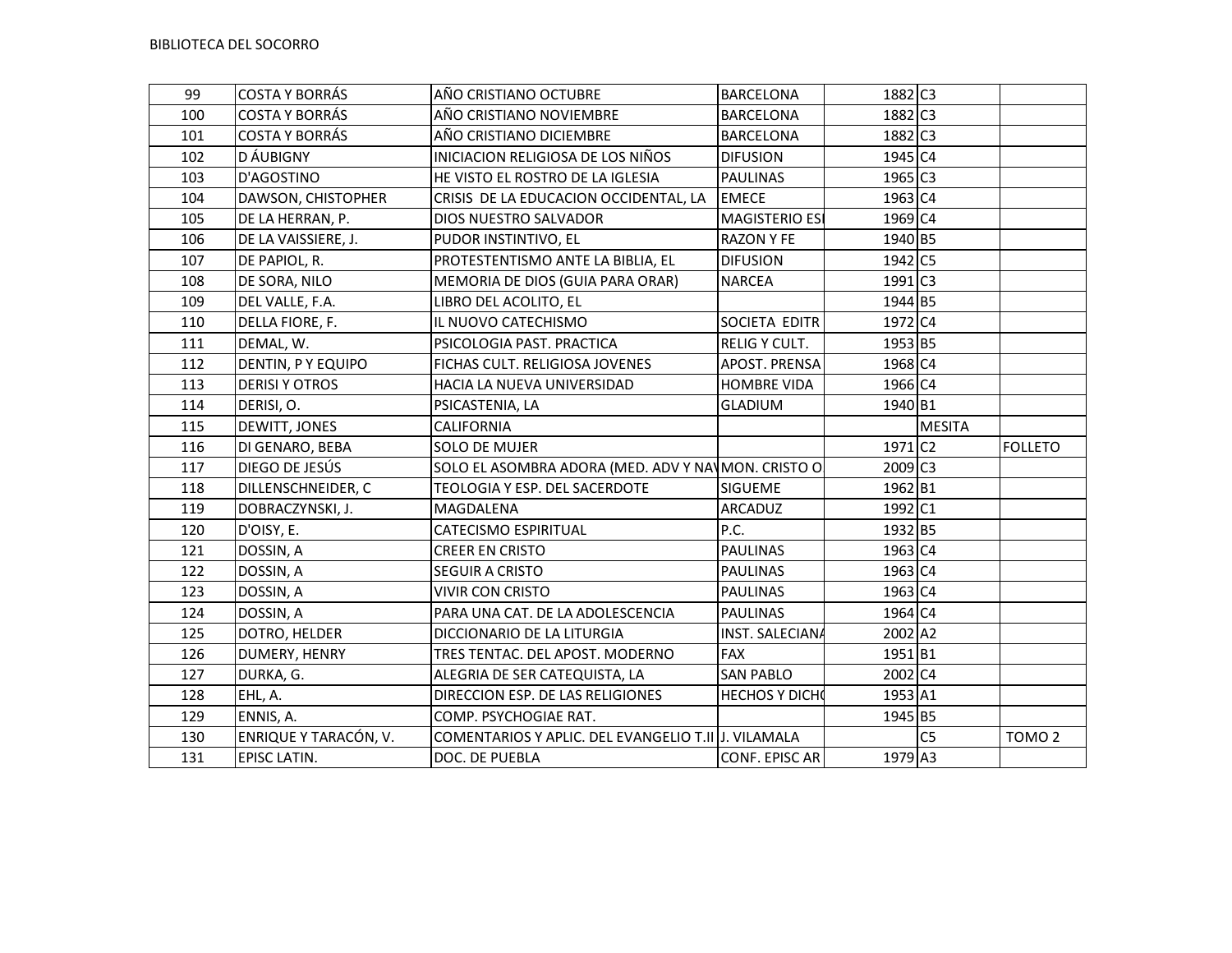| 99  | <b>COSTA Y BORRÁS</b> | AÑO CRISTIANO OCTUBRE                               | BARCELONA              | 1882 C3             |                |                   |
|-----|-----------------------|-----------------------------------------------------|------------------------|---------------------|----------------|-------------------|
| 100 | <b>COSTA Y BORRÁS</b> | AÑO CRISTIANO NOVIEMBRE                             | BARCELONA              | 1882 C3             |                |                   |
| 101 | <b>COSTA Y BORRÁS</b> | AÑO CRISTIANO DICIEMBRE                             | BARCELONA              | 1882 C3             |                |                   |
| 102 | D ÁUBIGNY             | INICIACION RELIGIOSA DE LOS NIÑOS                   | <b>DIFUSION</b>        | 1945 C4             |                |                   |
| 103 | D'AGOSTINO            | HE VISTO EL ROSTRO DE LA IGLESIA                    | <b>PAULINAS</b>        | 1965 C3             |                |                   |
| 104 | DAWSON, CHISTOPHER    | CRISIS DE LA EDUCACION OCCIDENTAL, LA               | <b>EMECE</b>           | 1963 C4             |                |                   |
| 105 | DE LA HERRAN, P.      | DIOS NUESTRO SALVADOR                               | <b>MAGISTERIO ESI</b>  | 1969 C4             |                |                   |
| 106 | DE LA VAISSIERE, J.   | PUDOR INSTINTIVO, EL                                | <b>RAZON Y FE</b>      | 1940 B5             |                |                   |
| 107 | DE PAPIOL, R.         | PROTESTENTISMO ANTE LA BIBLIA, EL                   | <b>DIFUSION</b>        | 1942 C5             |                |                   |
| 108 | DE SORA, NILO         | MEMORIA DE DIOS (GUIA PARA ORAR)                    | <b>NARCEA</b>          | 1991 C3             |                |                   |
| 109 | DEL VALLE, F.A.       | LIBRO DEL ACOLITO, EL                               |                        | 1944 B5             |                |                   |
| 110 | DELLA FIORE, F.       | IL NUOVO CATECHISMO                                 | SOCIETA EDITR          | 1972 C4             |                |                   |
| 111 | DEMAL, W.             | PSICOLOGIA PAST. PRACTICA                           | <b>RELIG Y CULT.</b>   | 1953 B5             |                |                   |
| 112 | DENTIN, PY EQUIPO     | FICHAS CULT. RELIGIOSA JOVENES                      | APOST. PRENSA          | 1968 C4             |                |                   |
| 113 | <b>DERISI Y OTROS</b> | HACIA LA NUEVA UNIVERSIDAD                          | <b>HOMBRE VIDA</b>     | 1966 C4             |                |                   |
| 114 | DERISI, O.            | PSICASTENIA, LA                                     | <b>GLADIUM</b>         | 1940 B1             |                |                   |
| 115 | DEWITT, JONES         | CALIFORNIA                                          |                        |                     | <b>MESITA</b>  |                   |
| 116 | DI GENARO, BEBA       | <b>SOLO DE MUJER</b>                                |                        | 1971 C <sub>2</sub> |                | <b>FOLLETO</b>    |
| 117 | DIEGO DE JESÚS        | SOLO EL ASOMBRA ADORA (MED. ADV Y NAVMON. CRISTO O  |                        | 2009 C3             |                |                   |
| 118 | DILLENSCHNEIDER, C    | TEOLOGIA Y ESP. DEL SACERDOTE                       | <b>SIGUEME</b>         | 1962 B1             |                |                   |
| 119 | DOBRACZYNSKI, J.      | MAGDALENA                                           | <b>ARCADUZ</b>         | 1992 C1             |                |                   |
| 120 | D'OISY, E.            | CATECISMO ESPIRITUAL                                | P.C.                   | 1932 B5             |                |                   |
| 121 | DOSSIN, A             | CREER EN CRISTO                                     | <b>PAULINAS</b>        | 1963 C4             |                |                   |
| 122 | DOSSIN, A             | SEGUIR A CRISTO                                     | <b>PAULINAS</b>        | 1963 C4             |                |                   |
| 123 | DOSSIN, A             | <b>VIVIR CON CRISTO</b>                             | <b>PAULINAS</b>        | 1963 C4             |                |                   |
| 124 | DOSSIN, A             | PARA UNA CAT. DE LA ADOLESCENCIA                    | <b>PAULINAS</b>        | 1964 C4             |                |                   |
| 125 | DOTRO, HELDER         | DICCIONARIO DE LA LITURGIA                          | <b>INST. SALECIANA</b> | 2002 A2             |                |                   |
| 126 | DUMERY, HENRY         | TRES TENTAC. DEL APOST. MODERNO                     | <b>FAX</b>             | 1951B1              |                |                   |
| 127 | DURKA, G.             | ALEGRIA DE SER CATEQUISTA, LA                       | <b>SAN PABLO</b>       | 2002 C4             |                |                   |
| 128 | EHL, A.               | DIRECCION ESP. DE LAS RELIGIONES                    | <b>HECHOS Y DICHO</b>  | 1953 A1             |                |                   |
| 129 | ENNIS, A.             | COMP. PSYCHOGIAE RAT.                               |                        | 1945 B5             |                |                   |
| 130 | ENRIQUE Y TARACÓN, V. | COMENTARIOS Y APLIC. DEL EVANGELIO T.II J. VILAMALA |                        |                     | C <sub>5</sub> | TOMO <sub>2</sub> |
| 131 | EPISC LATIN.          | DOC. DE PUEBLA                                      | CONF. EPISC AR         | 1979 A3             |                |                   |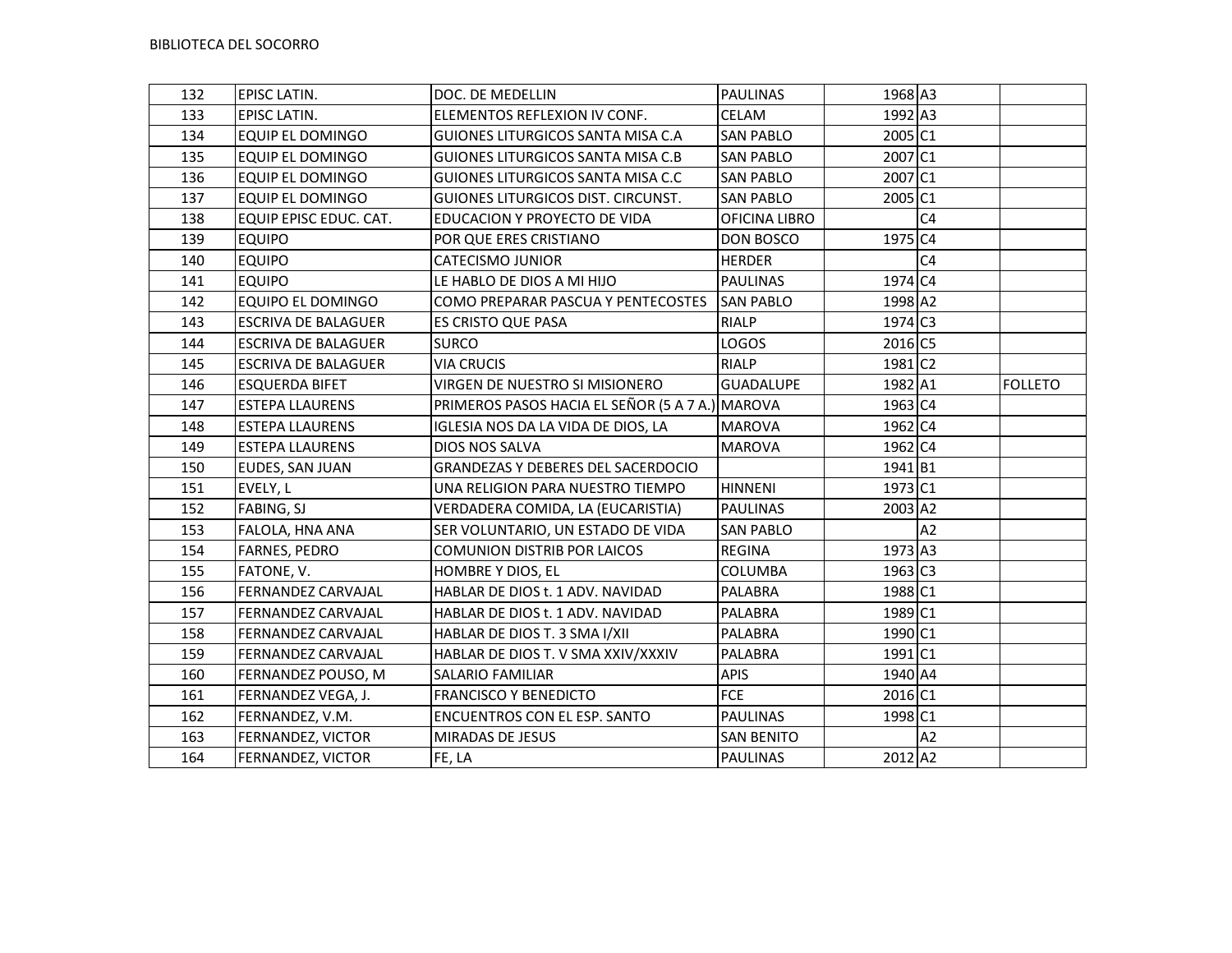| 132 | EPISC LATIN.               | DOC. DE MEDELLIN                                | <b>PAULINAS</b>   | 1968 A3 |                |                |
|-----|----------------------------|-------------------------------------------------|-------------------|---------|----------------|----------------|
| 133 | <b>EPISC LATIN.</b>        | ELEMENTOS REFLEXION IV CONF.                    | CELAM             | 1992 A3 |                |                |
| 134 | <b>EQUIP EL DOMINGO</b>    | GUIONES LITURGICOS SANTA MISA C.A               | <b>SAN PABLO</b>  | 2005 C1 |                |                |
| 135 | <b>EQUIP EL DOMINGO</b>    | GUIONES LITURGICOS SANTA MISA C.B               | <b>SAN PABLO</b>  | 2007 C1 |                |                |
| 136 | <b>EQUIP EL DOMINGO</b>    | GUIONES LITURGICOS SANTA MISA C.C               | <b>SAN PABLO</b>  | 2007 C1 |                |                |
| 137 | <b>EQUIP EL DOMINGO</b>    | GUIONES LITURGICOS DIST. CIRCUNST.              | <b>SAN PABLO</b>  | 2005 C1 |                |                |
| 138 | EQUIP EPISC EDUC. CAT.     | EDUCACION Y PROYECTO DE VIDA                    | OFICINA LIBRO     |         | C <sub>4</sub> |                |
| 139 | <b>EQUIPO</b>              | POR QUE ERES CRISTIANO                          | DON BOSCO         | 1975 C4 |                |                |
| 140 | <b>EQUIPO</b>              | <b>CATECISMO JUNIOR</b>                         | <b>HERDER</b>     |         | C <sub>4</sub> |                |
| 141 | <b>EQUIPO</b>              | LE HABLO DE DIOS A MI HIJO                      | <b>PAULINAS</b>   | 1974 C4 |                |                |
| 142 | EQUIPO EL DOMINGO          | COMO PREPARAR PASCUA Y PENTECOSTES              | <b>SAN PABLO</b>  | 1998 A2 |                |                |
| 143 | <b>ESCRIVA DE BALAGUER</b> | ES CRISTO QUE PASA                              | <b>RIALP</b>      | 1974 C3 |                |                |
| 144 | <b>ESCRIVA DE BALAGUER</b> | <b>SURCO</b>                                    | LOGOS             | 2016 C5 |                |                |
| 145 | <b>ESCRIVA DE BALAGUER</b> | <b>VIA CRUCIS</b>                               | <b>RIALP</b>      | 1981 C2 |                |                |
| 146 | <b>ESQUERDA BIFET</b>      | VIRGEN DE NUESTRO SI MISIONERO                  | <b>GUADALUPE</b>  | 1982 A1 |                | <b>FOLLETO</b> |
| 147 | <b>ESTEPA LLAURENS</b>     | PRIMEROS PASOS HACIA EL SEÑOR (5 A 7 A.) MAROVA |                   | 1963 C4 |                |                |
| 148 | <b>ESTEPA LLAURENS</b>     | IGLESIA NOS DA LA VIDA DE DIOS, LA              | <b>MAROVA</b>     | 1962 C4 |                |                |
| 149 | <b>ESTEPA LLAURENS</b>     | DIOS NOS SALVA                                  | <b>MAROVA</b>     | 1962 C4 |                |                |
| 150 | EUDES, SAN JUAN            | <b>GRANDEZAS Y DEBERES DEL SACERDOCIO</b>       |                   | 1941 B1 |                |                |
| 151 | EVELY, L                   | UNA RELIGION PARA NUESTRO TIEMPO                | <b>HINNENI</b>    | 1973 C1 |                |                |
| 152 | FABING, SJ                 | VERDADERA COMIDA, LA (EUCARISTIA)               | <b>PAULINAS</b>   | 2003 A2 |                |                |
| 153 | FALOLA, HNA ANA            | SER VOLUNTARIO, UN ESTADO DE VIDA               | <b>SAN PABLO</b>  |         | A2             |                |
| 154 | <b>FARNES, PEDRO</b>       | <b>COMUNION DISTRIB POR LAICOS</b>              | <b>REGINA</b>     | 1973 A3 |                |                |
| 155 | FATONE, V.                 | HOMBRE Y DIOS, EL                               | <b>COLUMBA</b>    | 1963 C3 |                |                |
| 156 | FERNANDEZ CARVAJAL         | HABLAR DE DIOS t. 1 ADV. NAVIDAD                | PALABRA           | 1988 C1 |                |                |
| 157 | FERNANDEZ CARVAJAL         | HABLAR DE DIOS t. 1 ADV. NAVIDAD                | PALABRA           | 1989 C1 |                |                |
| 158 | <b>FERNANDEZ CARVAJAL</b>  | HABLAR DE DIOS T. 3 SMA I/XII                   | PALABRA           | 1990 C1 |                |                |
| 159 | <b>FERNANDEZ CARVAJAL</b>  | HABLAR DE DIOS T. V SMA XXIV/XXXIV              | PALABRA           | 1991 C1 |                |                |
| 160 | FERNANDEZ POUSO, M         | SALARIO FAMILIAR                                | <b>APIS</b>       | 1940 A4 |                |                |
| 161 | FERNANDEZ VEGA, J.         | <b>FRANCISCO Y BENEDICTO</b>                    | FCE               | 2016 C1 |                |                |
| 162 | FERNANDEZ, V.M.            | ENCUENTROS CON EL ESP. SANTO                    | <b>PAULINAS</b>   | 1998 C1 |                |                |
| 163 | FERNANDEZ, VICTOR          | <b>MIRADAS DE JESUS</b>                         | <b>SAN BENITO</b> |         | A2             |                |
| 164 | FERNANDEZ, VICTOR          | FE, LA                                          | <b>PAULINAS</b>   | 2012 A2 |                |                |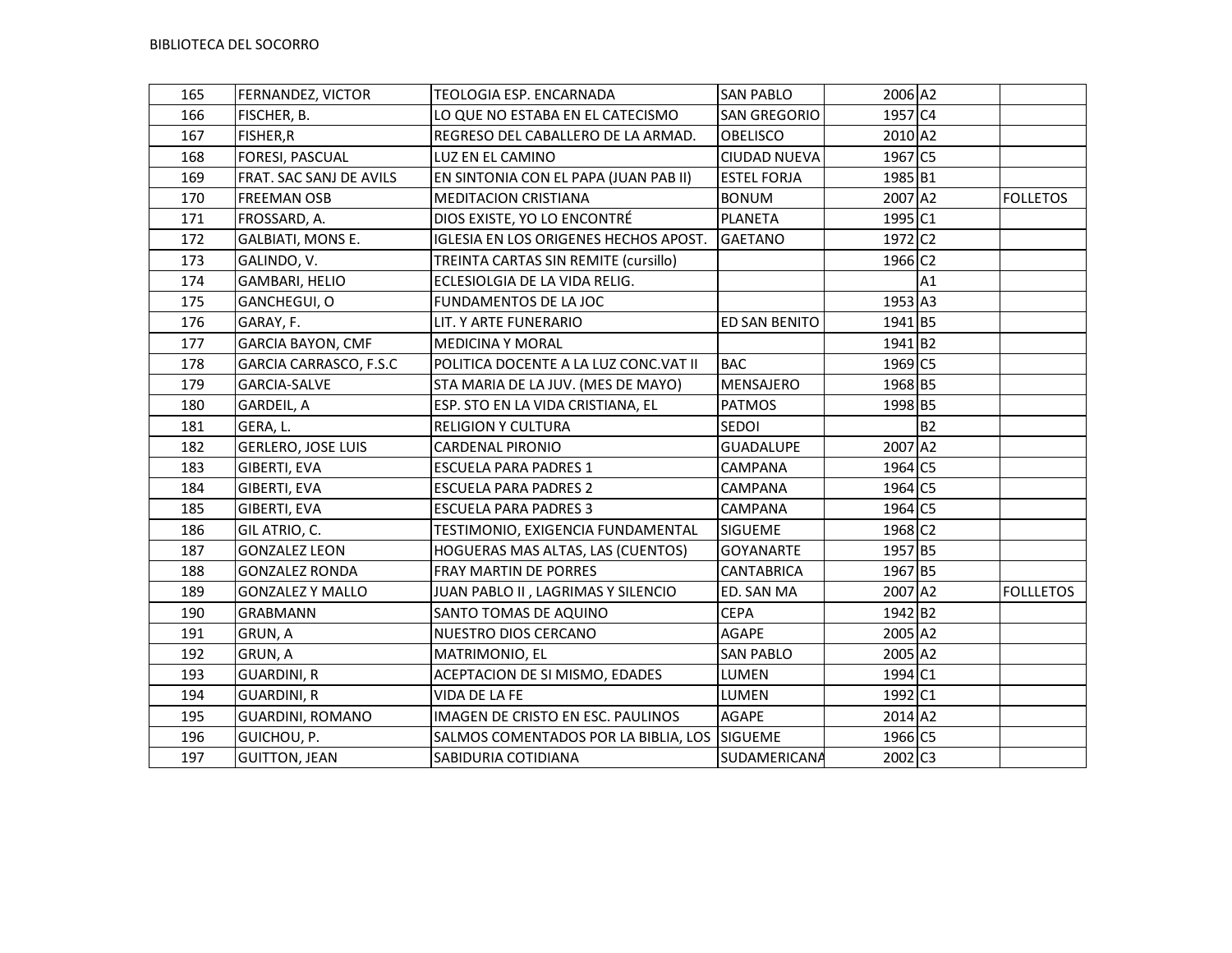| 165 | FERNANDEZ, VICTOR         | TEOLOGIA ESP. ENCARNADA                      | <b>SAN PABLO</b>    | 2006 A2               |           |                  |
|-----|---------------------------|----------------------------------------------|---------------------|-----------------------|-----------|------------------|
| 166 | FISCHER, B.               | LO QUE NO ESTABA EN EL CATECISMO             | <b>SAN GREGORIO</b> | $\overline{1}$ 957 C4 |           |                  |
| 167 | FISHER,R                  | REGRESO DEL CABALLERO DE LA ARMAD.           | <b>OBELISCO</b>     | 2010 A2               |           |                  |
| 168 | FORESI, PASCUAL           | LUZ EN EL CAMINO                             | <b>CIUDAD NUEVA</b> | 1967 C5               |           |                  |
| 169 | FRAT. SAC SANJ DE AVILS   | EN SINTONIA CON EL PAPA (JUAN PAB II)        | <b>ESTEL FORJA</b>  | 1985 B1               |           |                  |
| 170 | <b>FREEMAN OSB</b>        | <b>MEDITACION CRISTIANA</b>                  | <b>BONUM</b>        | 2007 A2               |           | <b>FOLLETOS</b>  |
| 171 | FROSSARD, A.              | DIOS EXISTE, YO LO ENCONTRÉ                  | PLANETA             | 1995 C1               |           |                  |
| 172 | <b>GALBIATI, MONS E.</b>  | IGLESIA EN LOS ORIGENES HECHOS APOST.        | GAETANO             | 1972 C <sub>2</sub>   |           |                  |
| 173 | GALINDO, V.               | TREINTA CARTAS SIN REMITE (cursillo)         |                     | 1966 C <sub>2</sub>   |           |                  |
| 174 | <b>GAMBARI, HELIO</b>     | ECLESIOLGIA DE LA VIDA RELIG.                |                     |                       | A1        |                  |
| 175 | GANCHEGUI, O              | FUNDAMENTOS DE LA JOC                        |                     | 1953 A3               |           |                  |
| 176 | GARAY, F.                 | LIT. Y ARTE FUNERARIO                        | ED SAN BENITO       | 1941 B5               |           |                  |
| 177 | <b>GARCIA BAYON, CMF</b>  | <b>MEDICINA Y MORAL</b>                      |                     | 1941 B2               |           |                  |
| 178 | GARCIA CARRASCO, F.S.C    | POLITICA DOCENTE A LA LUZ CONC.VAT II        | <b>BAC</b>          | 1969 C5               |           |                  |
| 179 | <b>GARCIA-SALVE</b>       | STA MARIA DE LA JUV. (MES DE MAYO)           | <b>MENSAJERO</b>    | 1968 B5               |           |                  |
| 180 | GARDEIL, A                | ESP. STO EN LA VIDA CRISTIANA, EL            | <b>PATMOS</b>       | 1998 B5               |           |                  |
| 181 | GERA, L.                  | <b>RELIGION Y CULTURA</b>                    | SEDOI               |                       | <b>B2</b> |                  |
| 182 | <b>GERLERO, JOSE LUIS</b> | <b>CARDENAL PIRONIO</b>                      | <b>GUADALUPE</b>    | 2007 A2               |           |                  |
| 183 | GIBERTI, EVA              | <b>ESCUELA PARA PADRES 1</b>                 | CAMPANA             | 1964 C5               |           |                  |
| 184 | GIBERTI, EVA              | <b>ESCUELA PARA PADRES 2</b>                 | <b>CAMPANA</b>      | 1964 C5               |           |                  |
| 185 | GIBERTI, EVA              | <b>ESCUELA PARA PADRES 3</b>                 | CAMPANA             | 1964 C5               |           |                  |
| 186 | GIL ATRIO, C.             | TESTIMONIO, EXIGENCIA FUNDAMENTAL            | SIGUEME             | 1968 C <sub>2</sub>   |           |                  |
| 187 | <b>GONZALEZ LEON</b>      | HOGUERAS MAS ALTAS, LAS (CUENTOS)            | <b>GOYANARTE</b>    | 1957 B5               |           |                  |
| 188 | <b>GONZALEZ RONDA</b>     | FRAY MARTIN DE PORRES                        | <b>CANTABRICA</b>   | 1967 B5               |           |                  |
| 189 | <b>GONZALEZ Y MALLO</b>   | JUAN PABLO II, LAGRIMAS Y SILENCIO           | ED. SAN MA          | 2007 A2               |           | <b>FOLLLETOS</b> |
| 190 | <b>GRABMANN</b>           | SANTO TOMAS DE AQUINO                        | <b>CEPA</b>         | 1942 B <sub>2</sub>   |           |                  |
| 191 | GRUN, A                   | NUESTRO DIOS CERCANO                         | <b>AGAPE</b>        | 2005 A2               |           |                  |
| 192 | GRUN, A                   | MATRIMONIO, EL                               | <b>SAN PABLO</b>    | 2005 A2               |           |                  |
| 193 | <b>GUARDINI, R</b>        | ACEPTACION DE SI MISMO, EDADES               | LUMEN               | 1994 C1               |           |                  |
| 194 | <b>GUARDINI, R</b>        | VIDA DE LA FE                                | LUMEN               | 1992 C1               |           |                  |
| 195 | <b>GUARDINI, ROMANO</b>   | IMAGEN DE CRISTO EN ESC. PAULINOS            | AGAPE               | 2014 A2               |           |                  |
| 196 | GUICHOU, P.               | SALMOS COMENTADOS POR LA BIBLIA, LOS SIGUEME |                     | 1966 C5               |           |                  |
| 197 | <b>GUITTON, JEAN</b>      | SABIDURIA COTIDIANA                          | SUDAMERICANA        | 2002 C3               |           |                  |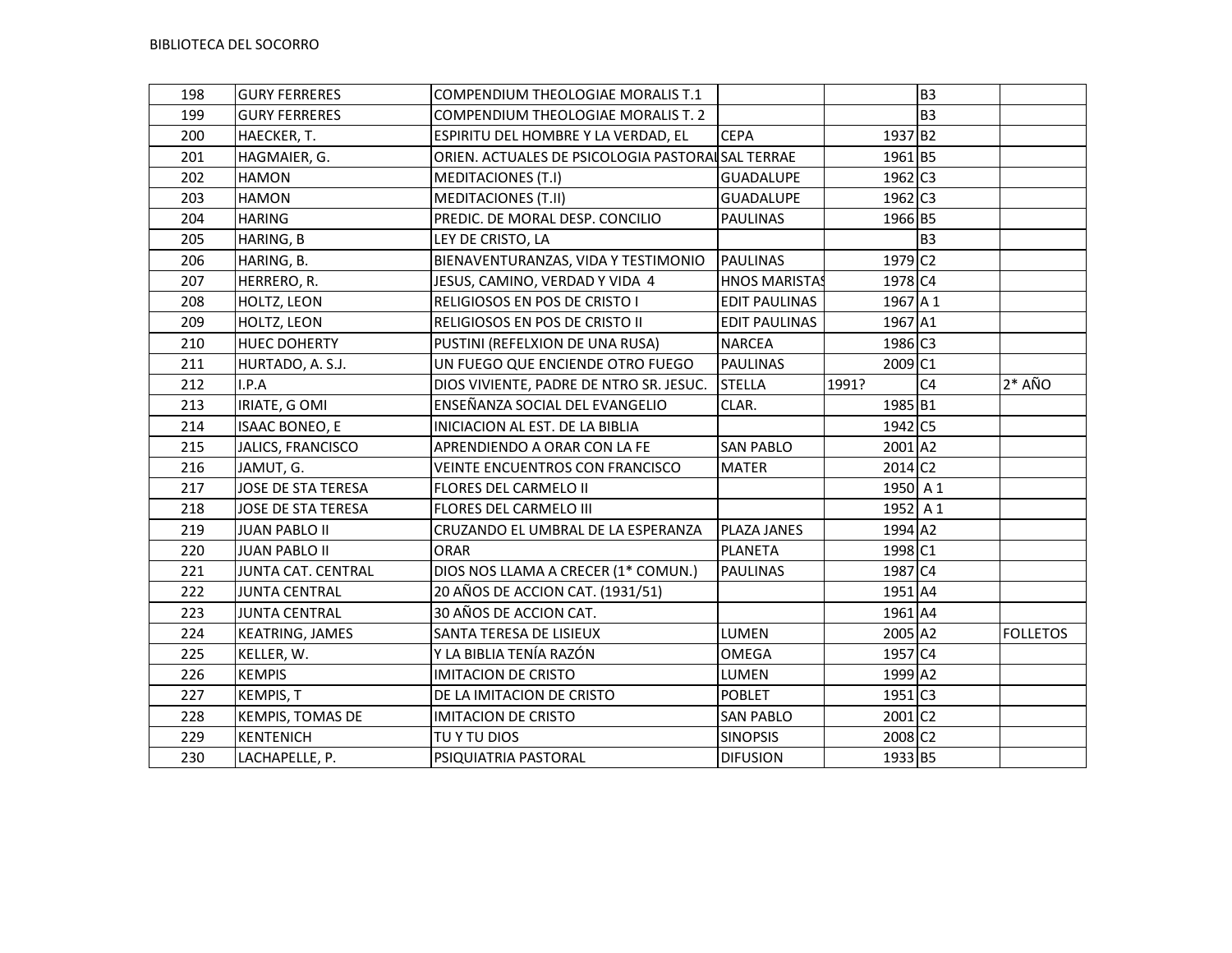| 198 | <b>GURY FERRERES</b>  | COMPENDIUM THEOLOGIAE MORALIS T.1                |                      |                       | B <sub>3</sub> |                 |
|-----|-----------------------|--------------------------------------------------|----------------------|-----------------------|----------------|-----------------|
| 199 | <b>GURY FERRERES</b>  | COMPENDIUM THEOLOGIAE MORALIS T. 2               |                      |                       | <b>B3</b>      |                 |
| 200 | HAECKER, T.           | ESPIRITU DEL HOMBRE Y LA VERDAD, EL              | <b>CEPA</b>          | 1937 B2               |                |                 |
| 201 | HAGMAIER, G.          | ORIEN. ACTUALES DE PSICOLOGIA PASTORAISAL TERRAE |                      | 1961 B5               |                |                 |
| 202 | <b>HAMON</b>          | <b>MEDITACIONES (T.I)</b>                        | <b>GUADALUPE</b>     | 1962 C3               |                |                 |
| 203 | <b>HAMON</b>          | <b>MEDITACIONES (T.II)</b>                       | <b>GUADALUPE</b>     | $1962$ C3             |                |                 |
| 204 | <b>HARING</b>         | PREDIC. DE MORAL DESP. CONCILIO                  | <b>PAULINAS</b>      | 1966 B5               |                |                 |
| 205 | HARING, B             | LEY DE CRISTO, LA                                |                      |                       | <b>B3</b>      |                 |
| 206 | HARING, B.            | BIENAVENTURANZAS, VIDA Y TESTIMONIO              | PAULINAS             | 1979 C <sub>2</sub>   |                |                 |
| 207 | HERRERO, R.           | JESUS, CAMINO, VERDAD Y VIDA 4                   | <b>HNOS MARISTAS</b> | 1978 C4               |                |                 |
| 208 | HOLTZ, LEON           | RELIGIOSOS EN POS DE CRISTO I                    | <b>EDIT PAULINAS</b> | 1967 A 1              |                |                 |
| 209 | HOLTZ, LEON           | RELIGIOSOS EN POS DE CRISTO II                   | <b>EDIT PAULINAS</b> | 1967 A1               |                |                 |
| 210 | <b>HUEC DOHERTY</b>   | PUSTINI (REFELXION DE UNA RUSA)                  | <b>NARCEA</b>        | 1986 C3               |                |                 |
| 211 | HURTADO, A. S.J.      | UN FUEGO QUE ENCIENDE OTRO FUEGO                 | PAULINAS             | 2009 C1               |                |                 |
| 212 | I.P.A                 | DIOS VIVIENTE, PADRE DE NTRO SR. JESUC.          | <b>STELLA</b>        | 1991?                 | C <sub>4</sub> | $2*$ AÑO        |
| 213 | IRIATE, GOMI          | ENSEÑANZA SOCIAL DEL EVANGELIO                   | CLAR.                | 1985 B1               |                |                 |
| 214 | <b>ISAAC BONEO, E</b> | INICIACION AL EST. DE LA BIBLIA                  |                      | 1942 C5               |                |                 |
| 215 | JALICS, FRANCISCO     | APRENDIENDO A ORAR CON LA FE                     | <b>SAN PABLO</b>     | 2001 A2               |                |                 |
| 216 | JAMUT, G.             | VEINTE ENCUENTROS CON FRANCISCO                  | <b>MATER</b>         | $2014$ C <sub>2</sub> |                |                 |
| 217 | JOSE DE STA TERESA    | FLORES DEL CARMELO II                            |                      | 1950 A 1              |                |                 |
| 218 | JOSE DE STA TERESA    | FLORES DEL CARMELO III                           |                      | 1952 $A1$             |                |                 |
| 219 | <b>JUAN PABLO II</b>  | CRUZANDO EL UMBRAL DE LA ESPERANZA               | <b>PLAZA JANES</b>   | 1994 A2               |                |                 |
| 220 | <b>JUAN PABLO II</b>  | <b>ORAR</b>                                      | PLANETA              | 1998 C1               |                |                 |
| 221 | JUNTA CAT. CENTRAL    | DIOS NOS LLAMA A CRECER (1* COMUN.)              | <b>PAULINAS</b>      | 1987 C4               |                |                 |
| 222 | <b>JUNTA CENTRAL</b>  | 20 AÑOS DE ACCION CAT. (1931/51)                 |                      | 1951 A4               |                |                 |
| 223 | <b>JUNTA CENTRAL</b>  | 30 AÑOS DE ACCION CAT.                           |                      | 1961 A4               |                |                 |
| 224 | KEATRING, JAMES       | SANTA TERESA DE LISIEUX                          | LUMEN                | 2005 A2               |                | <b>FOLLETOS</b> |
| 225 | KELLER, W.            | Y LA BIBLIA TENÍA RAZÓN                          | <b>OMEGA</b>         | 1957 C4               |                |                 |
| 226 | <b>KEMPIS</b>         | <b>IMITACION DE CRISTO</b>                       | LUMEN                | 1999 A2               |                |                 |
| 227 | KEMPIS, T             | DE LA IMITACION DE CRISTO                        | <b>POBLET</b>        | 1951 C3               |                |                 |
| 228 | KEMPIS, TOMAS DE      | <b>IMITACION DE CRISTO</b>                       | <b>SAN PABLO</b>     | 2001 C2               |                |                 |
| 229 | <b>KENTENICH</b>      | TU Y TU DIOS                                     | <b>SINOPSIS</b>      | 2008 C2               |                |                 |
| 230 | LACHAPELLE, P.        | PSIQUIATRIA PASTORAL                             | <b>DIFUSION</b>      | 1933 B5               |                |                 |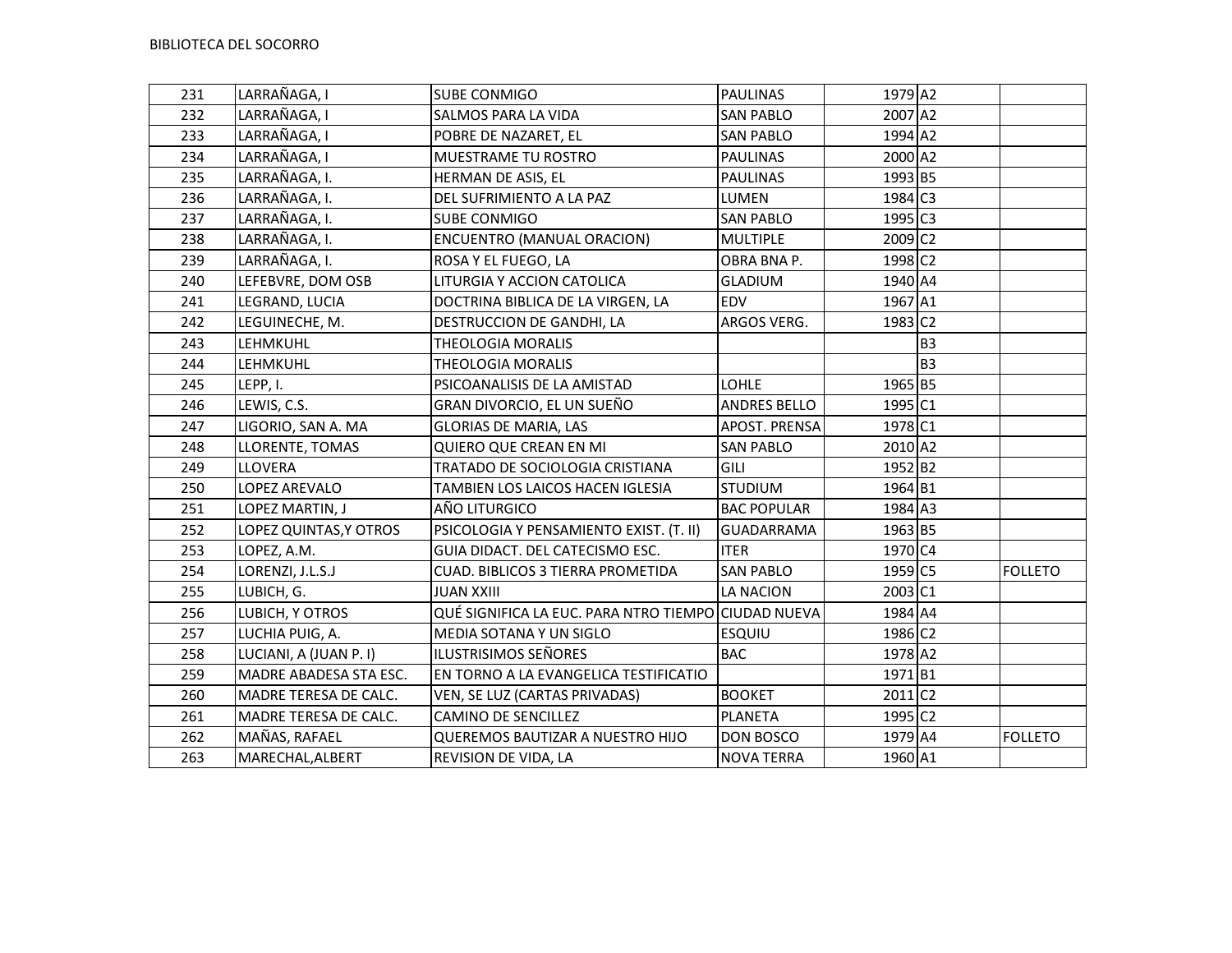| 231 | LARRAÑAGA, I           | <b>SUBE CONMIGO</b>                                 | <b>PAULINAS</b>    | 1979 A2               |                |                |
|-----|------------------------|-----------------------------------------------------|--------------------|-----------------------|----------------|----------------|
| 232 | LARRAÑAGA, I           | SALMOS PARA LA VIDA                                 | <b>SAN PABLO</b>   | 2007 A2               |                |                |
| 233 | LARRAÑAGA, I           | POBRE DE NAZARET, EL                                | <b>SAN PABLO</b>   | 1994 A2               |                |                |
| 234 | LARRAÑAGA, I           | MUESTRAME TU ROSTRO                                 | <b>PAULINAS</b>    | 2000 A2               |                |                |
| 235 | LARRAÑAGA, I.          | HERMAN DE ASIS, EL                                  | <b>PAULINAS</b>    | 1993 B5               |                |                |
| 236 | LARRAÑAGA, I.          | DEL SUFRIMIENTO A LA PAZ                            | LUMEN              | 1984 C3               |                |                |
| 237 | LARRAÑAGA, I.          | SUBE CONMIGO                                        | <b>SAN PABLO</b>   | $1995$ C <sub>3</sub> |                |                |
| 238 | LARRAÑAGA, I.          | <b>ENCUENTRO (MANUAL ORACION)</b>                   | <b>MULTIPLE</b>    | 2009 C <sub>2</sub>   |                |                |
| 239 | LARRAÑAGA, I.          | ROSA Y EL FUEGO, LA                                 | OBRA BNA P.        | 1998 C <sub>2</sub>   |                |                |
| 240 | LEFEBVRE, DOM OSB      | LITURGIA Y ACCION CATOLICA                          | <b>GLADIUM</b>     | 1940 A4               |                |                |
| 241 | LEGRAND, LUCIA         | DOCTRINA BIBLICA DE LA VIRGEN, LA                   | <b>EDV</b>         | 1967 A1               |                |                |
| 242 | LEGUINECHE, M.         | DESTRUCCION DE GANDHI, LA                           | ARGOS VERG.        | 1983 C2               |                |                |
| 243 | LEHMKUHL               | <b>THEOLOGIA MORALIS</b>                            |                    |                       | <b>B3</b>      |                |
| 244 | LEHMKUHL               | <b>THEOLOGIA MORALIS</b>                            |                    |                       | B <sub>3</sub> |                |
| 245 | LEPP, I.               | PSICOANALISIS DE LA AMISTAD                         | LOHLE              | 1965 B5               |                |                |
| 246 | LEWIS, C.S.            | GRAN DIVORCIO, EL UN SUEÑO                          | ANDRES BELLO       | 1995 C1               |                |                |
| 247 | LIGORIO, SAN A. MA     | <b>GLORIAS DE MARIA, LAS</b>                        | APOST. PRENSA      | 1978 C1               |                |                |
| 248 | LLORENTE, TOMAS        | QUIERO QUE CREAN EN MI                              | <b>SAN PABLO</b>   | 2010 A2               |                |                |
| 249 | LLOVERA                | TRATADO DE SOCIOLOGIA CRISTIANA                     | GILI               | 1952 B2               |                |                |
| 250 | LOPEZ AREVALO          | TAMBIEN LOS LAICOS HACEN IGLESIA                    | <b>STUDIUM</b>     | 1964 B1               |                |                |
| 251 | LOPEZ MARTIN, J        | AÑO LITURGICO                                       | <b>BAC POPULAR</b> | 1984 A3               |                |                |
| 252 | LOPEZ QUINTAS, Y OTROS | PSICOLOGIA Y PENSAMIENTO EXIST. (T. II)             | <b>GUADARRAMA</b>  | 1963 B5               |                |                |
| 253 | LOPEZ, A.M.            | GUIA DIDACT. DEL CATECISMO ESC.                     | <b>ITER</b>        | 1970 C4               |                |                |
| 254 | LORENZI, J.L.S.J       | CUAD. BIBLICOS 3 TIERRA PROMETIDA                   | <b>SAN PABLO</b>   | 1959 C5               |                | <b>FOLLETO</b> |
| 255 | LUBICH, G.             | <b>JUAN XXIII</b>                                   | <b>LA NACION</b>   | 2003 C1               |                |                |
| 256 | LUBICH, Y OTROS        | QUÉ SIGNIFICA LA EUC. PARA NTRO TIEMPO CIUDAD NUEVA |                    | 1984 A4               |                |                |
| 257 | LUCHIA PUIG, A.        | MEDIA SOTANA Y UN SIGLO                             | <b>ESQUIU</b>      | 1986 C2               |                |                |
| 258 | LUCIANI, A (JUAN P. I) | ILUSTRISIMOS SEÑORES                                | <b>BAC</b>         | 1978 A2               |                |                |
| 259 | MADRE ABADESA STA ESC. | EN TORNO A LA EVANGELICA TESTIFICATIO               |                    | 1971 B1               |                |                |
| 260 | MADRE TERESA DE CALC.  | VEN, SE LUZ (CARTAS PRIVADAS)                       | <b>BOOKET</b>      | 2011 C2               |                |                |
| 261 | MADRE TERESA DE CALC.  | CAMINO DE SENCILLEZ                                 | PLANETA            | 1995 C <sub>2</sub>   |                |                |
| 262 | MAÑAS, RAFAEL          | QUEREMOS BAUTIZAR A NUESTRO HIJO                    | DON BOSCO          | 1979 A4               |                | <b>FOLLETO</b> |
| 263 | MARECHAL, ALBERT       | REVISION DE VIDA, LA                                | <b>NOVA TERRA</b>  | 1960 A1               |                |                |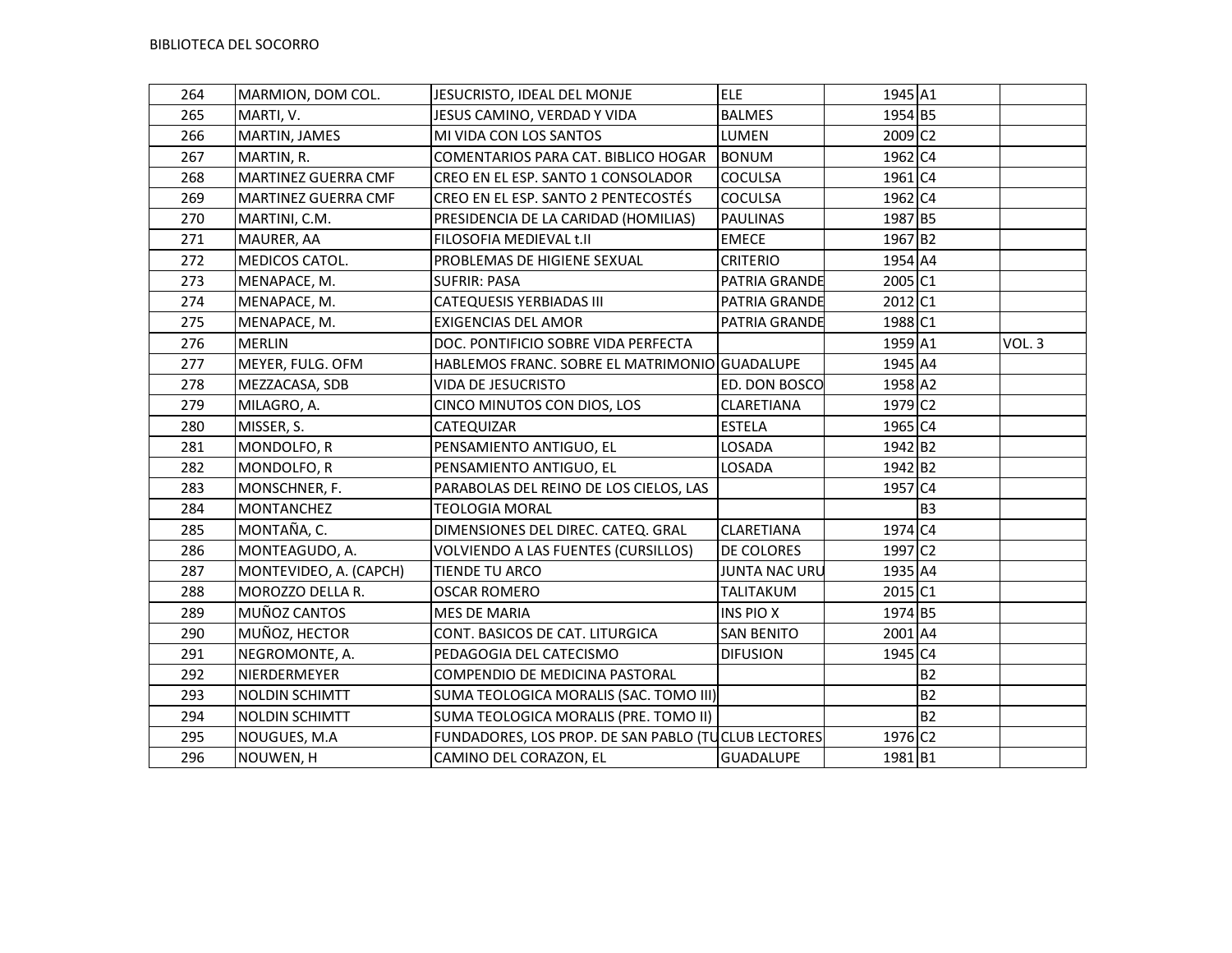| 264 | MARMION, DOM COL.      | JESUCRISTO, IDEAL DEL MONJE                         | <b>ELE</b>           | 1945 A1               |                |       |
|-----|------------------------|-----------------------------------------------------|----------------------|-----------------------|----------------|-------|
| 265 | MARTI, V.              | JESUS CAMINO, VERDAD Y VIDA                         | <b>BALMES</b>        | 1954 B5               |                |       |
| 266 | MARTIN, JAMES          | MI VIDA CON LOS SANTOS                              | LUMEN                | 2009 C <sub>2</sub>   |                |       |
| 267 | MARTIN, R.             | COMENTARIOS PARA CAT. BIBLICO HOGAR                 | <b>BONUM</b>         | 1962 C4               |                |       |
| 268 | MARTINEZ GUERRA CMF    | CREO EN EL ESP. SANTO 1 CONSOLADOR                  | <b>COCULSA</b>       | $1961$ C <sub>4</sub> |                |       |
| 269 | MARTINEZ GUERRA CMF    | CREO EN EL ESP. SANTO 2 PENTECOSTÉS                 | <b>COCULSA</b>       | 1962 C4               |                |       |
| 270 | MARTINI, C.M.          | PRESIDENCIA DE LA CARIDAD (HOMILIAS)                | <b>PAULINAS</b>      | 1987 B5               |                |       |
| 271 | MAURER, AA             | FILOSOFIA MEDIEVAL t.II                             | <b>EMECE</b>         | 1967 B2               |                |       |
| 272 | MEDICOS CATOL.         | PROBLEMAS DE HIGIENE SEXUAL                         | <b>CRITERIO</b>      | 1954 A4               |                |       |
| 273 | MENAPACE, M.           | <b>SUFRIR: PASA</b>                                 | PATRIA GRANDE        | 2005 C1               |                |       |
| 274 | MENAPACE, M.           | <b>CATEQUESIS YERBIADAS III</b>                     | PATRIA GRANDE        | 2012 C1               |                |       |
| 275 | MENAPACE, M.           | <b>EXIGENCIAS DEL AMOR</b>                          | PATRIA GRANDE        | 1988 C1               |                |       |
| 276 | <b>MERLIN</b>          | DOC. PONTIFICIO SOBRE VIDA PERFECTA                 |                      | 1959 A1               |                | VOL.3 |
| 277 | MEYER, FULG. OFM       | HABLEMOS FRANC. SOBRE EL MATRIMONIO GUADALUPE       |                      | 1945 A4               |                |       |
| 278 | MEZZACASA, SDB         | VIDA DE JESUCRISTO                                  | <b>ED. DON BOSCO</b> | 1958 A2               |                |       |
| 279 | MILAGRO, A.            | CINCO MINUTOS CON DIOS, LOS                         | CLARETIANA           | 1979 C <sub>2</sub>   |                |       |
| 280 | MISSER, S.             | CATEQUIZAR                                          | <b>ESTELA</b>        | 1965 C4               |                |       |
| 281 | MONDOLFO, R            | PENSAMIENTO ANTIGUO, EL                             | LOSADA               | 1942 B <sub>2</sub>   |                |       |
| 282 | MONDOLFO, R            | PENSAMIENTO ANTIGUO, EL                             | LOSADA               | 1942 B2               |                |       |
| 283 | MONSCHNER, F.          | PARABOLAS DEL REINO DE LOS CIELOS, LAS              |                      | 1957 C4               |                |       |
| 284 | <b>MONTANCHEZ</b>      | <b>TEOLOGIA MORAL</b>                               |                      |                       | B <sub>3</sub> |       |
| 285 | MONTAÑA, C.            | DIMENSIONES DEL DIREC. CATEQ. GRAL                  | <b>CLARETIANA</b>    | 1974 C4               |                |       |
| 286 | MONTEAGUDO, A.         | VOLVIENDO A LAS FUENTES (CURSILLOS)                 | IDE COLORES          | 1997 C <sub>2</sub>   |                |       |
| 287 | MONTEVIDEO, A. (CAPCH) | TIENDE TU ARCO                                      | JUNTA NAC URU        | 1935 A4               |                |       |
| 288 | MOROZZO DELLA R.       | <b>OSCAR ROMERO</b>                                 | <b>TALITAKUM</b>     | 2015 C1               |                |       |
| 289 | MUÑOZ CANTOS           | MES DE MARIA                                        | <b>INS PIO X</b>     | 1974 B5               |                |       |
| 290 | MUÑOZ, HECTOR          | CONT. BASICOS DE CAT. LITURGICA                     | <b>SAN BENITO</b>    | 2001 A4               |                |       |
| 291 | NEGROMONTE, A.         | PEDAGOGIA DEL CATECISMO                             | <b>DIFUSION</b>      | 1945 C4               |                |       |
| 292 | NIERDERMEYER           | COMPENDIO DE MEDICINA PASTORAL                      |                      |                       | <b>B2</b>      |       |
| 293 | <b>NOLDIN SCHIMTT</b>  | SUMA TEOLOGICA MORALIS (SAC. TOMO III)              |                      |                       | <b>B2</b>      |       |
| 294 | <b>NOLDIN SCHIMTT</b>  | SUMA TEOLOGICA MORALIS (PRE. TOMO II)               |                      |                       | <b>B2</b>      |       |
| 295 | NOUGUES, M.A           | FUNDADORES, LOS PROP. DE SAN PABLO (TUCLUB LECTORES |                      | 1976 C2               |                |       |
| 296 | NOUWEN, H              | CAMINO DEL CORAZON, EL                              | GUADALUPE            | 1981 B1               |                |       |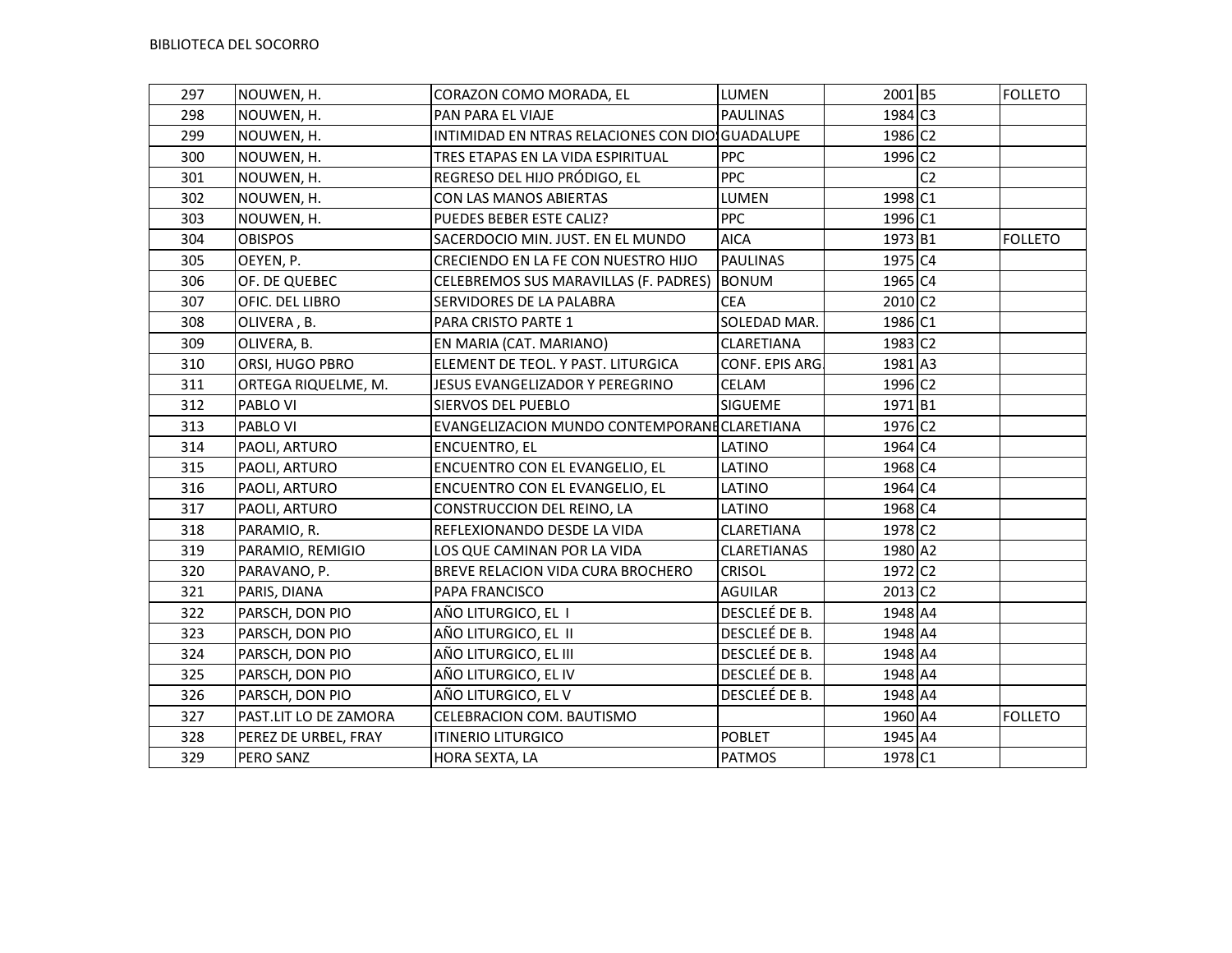| 297 | NOUWEN, H.            | CORAZON COMO MORADA, EL                         | LUMEN              | 2001 B5             |                | <b>FOLLETO</b> |
|-----|-----------------------|-------------------------------------------------|--------------------|---------------------|----------------|----------------|
| 298 | NOUWEN, H.            | PAN PARA EL VIAJE                               | <b>PAULINAS</b>    | 1984 C <sub>3</sub> |                |                |
| 299 | NOUWEN, H.            | INTIMIDAD EN NTRAS RELACIONES CON DIO GUADALUPE |                    | 1986 C2             |                |                |
| 300 | NOUWEN, H.            | TRES ETAPAS EN LA VIDA ESPIRITUAL               | <b>PPC</b>         | 1996 C2             |                |                |
| 301 | NOUWEN, H.            | REGRESO DEL HIJO PRÓDIGO, EL                    | <b>PPC</b>         |                     | C <sub>2</sub> |                |
| 302 | NOUWEN, H.            | CON LAS MANOS ABIERTAS                          | LUMEN              | 1998 C1             |                |                |
| 303 | NOUWEN, H.            | PUEDES BEBER ESTE CALIZ?                        | <b>PPC</b>         | 1996 C1             |                |                |
| 304 | <b>OBISPOS</b>        | SACERDOCIO MIN. JUST. EN EL MUNDO               | <b>AICA</b>        | 1973 B1             |                | <b>FOLLETO</b> |
| 305 | OEYEN, P.             | CRECIENDO EN LA FE CON NUESTRO HIJO             | PAULINAS           | 1975 C4             |                |                |
| 306 | OF. DE QUEBEC         | CELEBREMOS SUS MARAVILLAS (F. PADRES)           | <b>BONUM</b>       | 1965 C4             |                |                |
| 307 | OFIC. DEL LIBRO       | SERVIDORES DE LA PALABRA                        | <b>CEA</b>         | 2010 C <sub>2</sub> |                |                |
| 308 | OLIVERA, B.           | PARA CRISTO PARTE 1                             | SOLEDAD MAR.       | 1986 C1             |                |                |
| 309 | OLIVERA, B.           | EN MARIA (CAT. MARIANO)                         | <b>CLARETIANA</b>  | 1983 C2             |                |                |
| 310 | ORSI, HUGO PBRO       | ELEMENT DE TEOL. Y PAST. LITURGICA              | CONF. EPIS ARG.    | 1981 A3             |                |                |
| 311 | ORTEGA RIQUELME, M.   | JESUS EVANGELIZADOR Y PEREGRINO                 | CELAM              | 1996 C <sub>2</sub> |                |                |
| 312 | PABLO VI              | SIERVOS DEL PUEBLO                              | <b>SIGUEME</b>     | 1971B1              |                |                |
| 313 | PABLO VI              | EVANGELIZACION MUNDO CONTEMPORANE CLARETIANA    |                    | 1976 C <sub>2</sub> |                |                |
| 314 | PAOLI, ARTURO         | ENCUENTRO, EL                                   | LATINO             | 1964 C4             |                |                |
| 315 | PAOLI, ARTURO         | ENCUENTRO CON EL EVANGELIO, EL                  | LATINO             | 1968 C4             |                |                |
| 316 | PAOLI, ARTURO         | ENCUENTRO CON EL EVANGELIO, EL                  | LATINO             | 1964 C4             |                |                |
| 317 | PAOLI, ARTURO         | CONSTRUCCION DEL REINO, LA                      | LATINO             | 1968 C4             |                |                |
| 318 | PARAMIO, R.           | REFLEXIONANDO DESDE LA VIDA                     | <b>CLARETIANA</b>  | 1978 C2             |                |                |
| 319 | PARAMIO, REMIGIO      | LOS QUE CAMINAN POR LA VIDA                     | <b>CLARETIANAS</b> | 1980 A2             |                |                |
| 320 | PARAVANO, P.          | BREVE RELACION VIDA CURA BROCHERO               | <b>CRISOL</b>      | 1972 C <sub>2</sub> |                |                |
| 321 | PARIS, DIANA          | PAPA FRANCISCO                                  | <b>AGUILAR</b>     | 2013 C2             |                |                |
| 322 | PARSCH, DON PIO       | AÑO LITURGICO, EL 1                             | DESCLEÉ DE B.      | 1948 A4             |                |                |
| 323 | PARSCH, DON PIO       | AÑO LITURGICO, EL II                            | DESCLEÉ DE B.      | 1948 A4             |                |                |
| 324 | PARSCH, DON PIO       | AÑO LITURGICO, EL III                           | DESCLEÉ DE B.      | 1948 A4             |                |                |
| 325 | PARSCH, DON PIO       | AÑO LITURGICO, EL IV                            | DESCLEÉ DE B.      | 1948 A4             |                |                |
| 326 | PARSCH, DON PIO       | AÑO LITURGICO, EL V                             | DESCLEÉ DE B.      | 1948 A4             |                |                |
| 327 | PAST.LIT LO DE ZAMORA | CELEBRACION COM. BAUTISMO                       |                    | 1960 A4             |                | <b>FOLLETO</b> |
| 328 | PEREZ DE URBEL, FRAY  | <b>ITINERIO LITURGICO</b>                       | <b>POBLET</b>      | 1945 A4             |                |                |
| 329 | PERO SANZ             | HORA SEXTA, LA                                  | <b>PATMOS</b>      | 1978 C1             |                |                |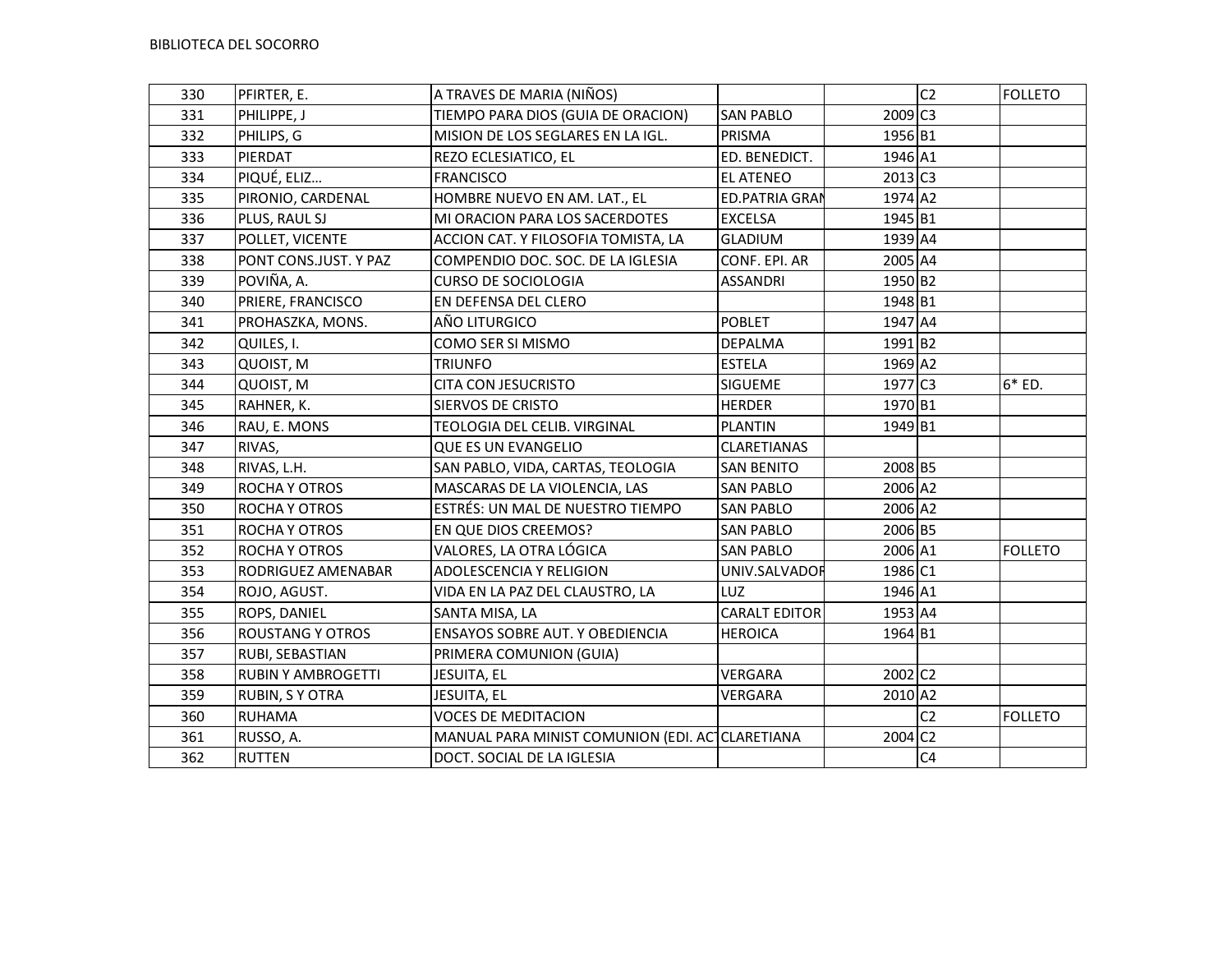| 330 | PFIRTER, E.               | A TRAVES DE MARIA (NIÑOS)                       |                       |                       | C <sub>2</sub> | <b>FOLLETO</b> |
|-----|---------------------------|-------------------------------------------------|-----------------------|-----------------------|----------------|----------------|
| 331 | PHILIPPE, J               | TIEMPO PARA DIOS (GUIA DE ORACION)              | <b>SAN PABLO</b>      | 2009 C3               |                |                |
| 332 | PHILIPS, G                | MISION DE LOS SEGLARES EN LA IGL.               | PRISMA                | 1956 B1               |                |                |
| 333 | PIERDAT                   | REZO ECLESIATICO, EL                            | ED. BENEDICT.         | 1946 A1               |                |                |
| 334 | PIQUÉ, ELIZ               | <b>FRANCISCO</b>                                | <b>EL ATENEO</b>      | $2013$ C <sub>3</sub> |                |                |
| 335 | PIRONIO, CARDENAL         | HOMBRE NUEVO EN AM. LAT., EL                    | <b>ED.PATRIA GRAN</b> | 1974 A2               |                |                |
| 336 | PLUS, RAUL SJ             | MI ORACION PARA LOS SACERDOTES                  | <b>EXCELSA</b>        | 1945 B1               |                |                |
| 337 | POLLET, VICENTE           | ACCION CAT. Y FILOSOFIA TOMISTA, LA             | <b>GLADIUM</b>        | 1939 A4               |                |                |
| 338 | PONT CONS.JUST. Y PAZ     | COMPENDIO DOC. SOC. DE LA IGLESIA               | CONF. EPI. AR         | 2005 A4               |                |                |
| 339 | POVIÑA, A.                | <b>CURSO DE SOCIOLOGIA</b>                      | <b>ASSANDRI</b>       | 1950 B2               |                |                |
| 340 | PRIERE, FRANCISCO         | EN DEFENSA DEL CLERO                            |                       | 1948 B1               |                |                |
| 341 | PROHASZKA, MONS.          | AÑO LITURGICO                                   | <b>POBLET</b>         | 1947 A4               |                |                |
| 342 | QUILES, I.                | COMO SER SI MISMO                               | <b>DEPALMA</b>        | 1991 B2               |                |                |
| 343 | QUOIST, M                 | <b>TRIUNFO</b>                                  | <b>ESTELA</b>         | 1969 A2               |                |                |
| 344 | QUOIST, M                 | <b>CITA CON JESUCRISTO</b>                      | SIGUEME               | 1977 C3               |                | $6*ED.$        |
| 345 | RAHNER, K.                | SIERVOS DE CRISTO                               | <b>HERDER</b>         | 1970 B1               |                |                |
| 346 | RAU, E. MONS              | TEOLOGIA DEL CELIB. VIRGINAL                    | <b>PLANTIN</b>        | 1949 B1               |                |                |
| 347 | RIVAS,                    | <b>QUE ES UN EVANGELIO</b>                      | CLARETIANAS           |                       |                |                |
| 348 | RIVAS, L.H.               | SAN PABLO, VIDA, CARTAS, TEOLOGIA               | SAN BENITO            | 2008 B5               |                |                |
| 349 | ROCHA Y OTROS             | MASCARAS DE LA VIOLENCIA, LAS                   | <b>SAN PABLO</b>      | 2006 A2               |                |                |
| 350 | ROCHA Y OTROS             | ESTRÉS: UN MAL DE NUESTRO TIEMPO                | <b>SAN PABLO</b>      | 2006 A2               |                |                |
| 351 | ROCHA Y OTROS             | EN QUE DIOS CREEMOS?                            | <b>SAN PABLO</b>      | 2006 B5               |                |                |
| 352 | <b>ROCHA Y OTROS</b>      | VALORES, LA OTRA LÓGICA                         | <b>SAN PABLO</b>      | 2006 A1               |                | <b>FOLLETO</b> |
| 353 | RODRIGUEZ AMENABAR        | ADOLESCENCIA Y RELIGION                         | UNIV.SALVADOR         | 1986 C1               |                |                |
| 354 | ROJO, AGUST.              | VIDA EN LA PAZ DEL CLAUSTRO, LA                 | LUZ                   | 1946 A1               |                |                |
| 355 | ROPS, DANIEL              | SANTA MISA, LA                                  | <b>CARALT EDITOR</b>  | 1953 A4               |                |                |
| 356 | <b>ROUSTANG Y OTROS</b>   | ENSAYOS SOBRE AUT. Y OBEDIENCIA                 | <b>HEROICA</b>        | 1964 B1               |                |                |
| 357 | RUBI, SEBASTIAN           | PRIMERA COMUNION (GUIA)                         |                       |                       |                |                |
| 358 | <b>RUBIN Y AMBROGETTI</b> | JESUITA, EL                                     | VERGARA               | 2002 C2               |                |                |
| 359 | RUBIN, S Y OTRA           | JESUITA, EL                                     | VERGARA               | 2010 A2               |                |                |
| 360 | <b>RUHAMA</b>             | <b>VOCES DE MEDITACION</b>                      |                       |                       | C <sub>2</sub> | <b>FOLLETO</b> |
| 361 | RUSSO, A.                 | MANUAL PARA MINIST COMUNION (EDI. ACTCLARETIANA |                       | 2004 C <sub>2</sub>   |                |                |
| 362 | <b>RUTTEN</b>             | DOCT. SOCIAL DE LA IGLESIA                      |                       |                       | C <sub>4</sub> |                |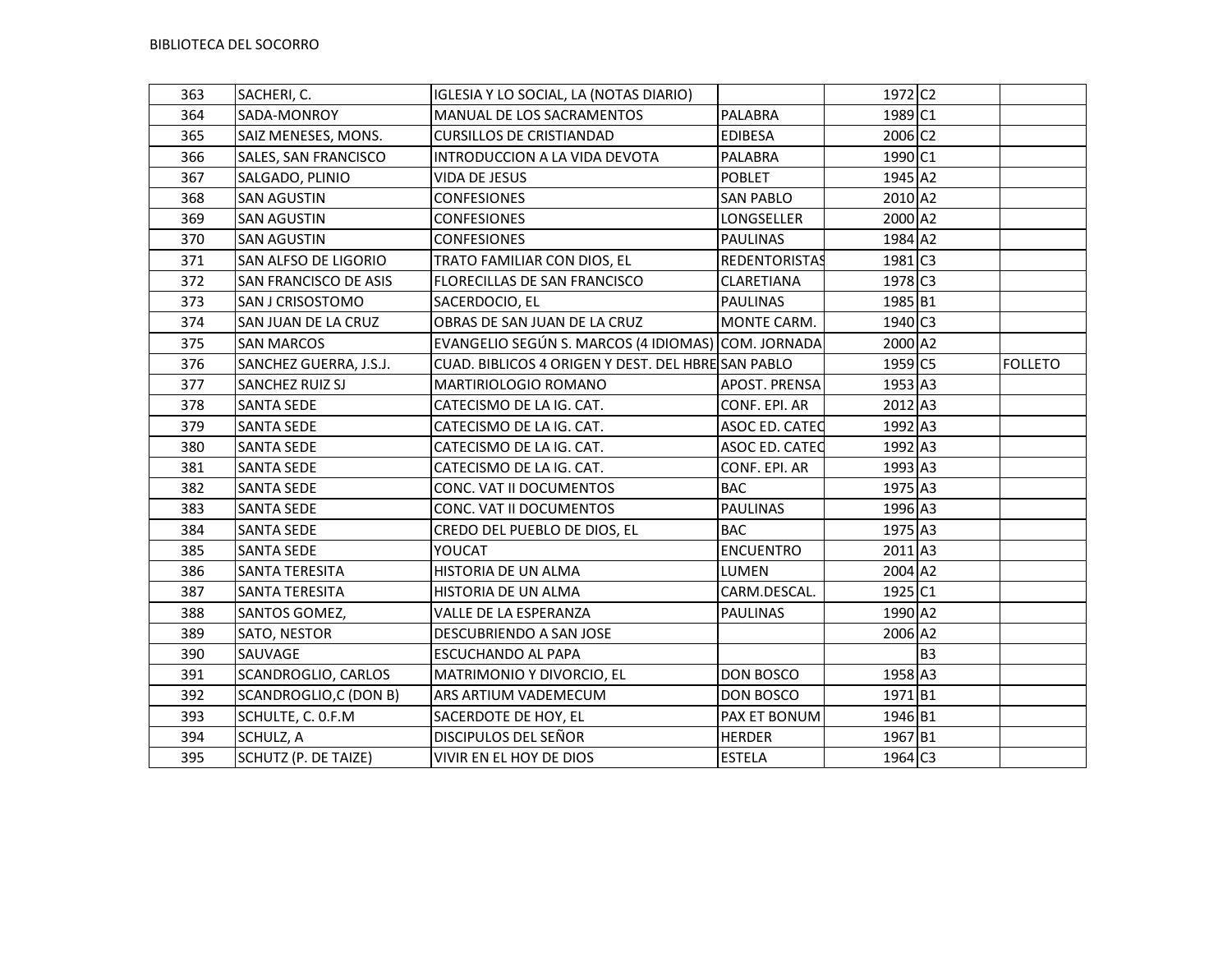| 363 | SACHERI, C.            | IGLESIA Y LO SOCIAL, LA (NOTAS DIARIO)             |                      | 1972 C <sub>2</sub> |                |                |
|-----|------------------------|----------------------------------------------------|----------------------|---------------------|----------------|----------------|
| 364 | SADA-MONROY            | MANUAL DE LOS SACRAMENTOS                          | PALABRA              | 1989 C1             |                |                |
| 365 | SAIZ MENESES, MONS.    | <b>CURSILLOS DE CRISTIANDAD</b>                    | <b>EDIBESA</b>       | 2006 C <sub>2</sub> |                |                |
| 366 | SALES, SAN FRANCISCO   | INTRODUCCION A LA VIDA DEVOTA                      | PALABRA              | 1990 C1             |                |                |
| 367 | SALGADO, PLINIO        | VIDA DE JESUS                                      | <b>POBLET</b>        | 1945 A2             |                |                |
| 368 | <b>SAN AGUSTIN</b>     | <b>CONFESIONES</b>                                 | <b>SAN PABLO</b>     | 2010 A2             |                |                |
| 369 | <b>SAN AGUSTIN</b>     | <b>CONFESIONES</b>                                 | LONGSELLER           | 2000 A2             |                |                |
| 370 | <b>SAN AGUSTIN</b>     | <b>CONFESIONES</b>                                 | <b>PAULINAS</b>      | 1984 A2             |                |                |
| 371 | SAN ALFSO DE LIGORIO   | TRATO FAMILIAR CON DIOS, EL                        | <b>REDENTORISTAS</b> | 1981 C3             |                |                |
| 372 | SAN FRANCISCO DE ASIS  | FLORECILLAS DE SAN FRANCISCO                       | CLARETIANA           | 1978 C3             |                |                |
| 373 | SAN J CRISOSTOMO       | SACERDOCIO, EL                                     | <b>PAULINAS</b>      | 1985 B1             |                |                |
| 374 | SAN JUAN DE LA CRUZ    | OBRAS DE SAN JUAN DE LA CRUZ                       | MONTE CARM.          | 1940 C3             |                |                |
| 375 | <b>SAN MARCOS</b>      | EVANGELIO SEGÚN S. MARCOS (4 IDIOMAS) COM. JORNADA |                      | 2000 A2             |                |                |
| 376 | SANCHEZ GUERRA, J.S.J. | CUAD. BIBLICOS 4 ORIGEN Y DEST. DEL HBRE SAN PABLO |                      | 1959 C5             |                | <b>FOLLETO</b> |
| 377 | SANCHEZ RUIZ SJ        | MARTIRIOLOGIO ROMANO                               | APOST. PRENSA        | 1953 A3             |                |                |
| 378 | <b>SANTA SEDE</b>      | CATECISMO DE LA IG. CAT.                           | CONF. EPI. AR        | 2012 A3             |                |                |
| 379 | <b>SANTA SEDE</b>      | CATECISMO DE LA IG. CAT.                           | ASOC ED. CATED       | 1992 A3             |                |                |
| 380 | <b>SANTA SEDE</b>      | CATECISMO DE LA IG. CAT.                           | ASOC ED. CATEC       | 1992 A3             |                |                |
| 381 | <b>SANTA SEDE</b>      | CATECISMO DE LA IG. CAT.                           | CONF. EPI. AR        | 1993 A3             |                |                |
| 382 | <b>SANTA SEDE</b>      | CONC. VAT II DOCUMENTOS                            | <b>BAC</b>           | 1975 A3             |                |                |
| 383 | <b>SANTA SEDE</b>      | CONC. VAT II DOCUMENTOS                            | <b>PAULINAS</b>      | 1996 A3             |                |                |
| 384 | <b>SANTA SEDE</b>      | CREDO DEL PUEBLO DE DIOS, EL                       | <b>BAC</b>           | 1975 A3             |                |                |
| 385 | SANTA SEDE             | YOUCAT                                             | <b>ENCUENTRO</b>     | 2011 A3             |                |                |
| 386 | SANTA TERESITA         | HISTORIA DE UN ALMA                                | LUMEN                | 2004 A2             |                |                |
| 387 | SANTA TERESITA         | HISTORIA DE UN ALMA                                | CARM.DESCAL.         | 1925 C1             |                |                |
| 388 | SANTOS GOMEZ,          | VALLE DE LA ESPERANZA                              | <b>PAULINAS</b>      | 1990 A2             |                |                |
| 389 | SATO, NESTOR           | DESCUBRIENDO A SAN JOSE                            |                      | 2006 A2             |                |                |
| 390 | SAUVAGE                | <b>ESCUCHANDO AL PAPA</b>                          |                      |                     | B <sub>3</sub> |                |
| 391 | SCANDROGLIO, CARLOS    | MATRIMONIO Y DIVORCIO, EL                          | DON BOSCO            | 1958 A3             |                |                |
| 392 | SCANDROGLIO,C (DON B)  | ARS ARTIUM VADEMECUM                               | DON BOSCO            | 1971 B1             |                |                |
| 393 | SCHULTE, C. O.F.M      | SACERDOTE DE HOY, EL                               | PAX ET BONUM         | 1946 B1             |                |                |
| 394 | SCHULZ, A              | DISCIPULOS DEL SEÑOR                               | <b>HERDER</b>        | 1967 B1             |                |                |
| 395 | SCHUTZ (P. DE TAIZE)   | VIVIR EN EL HOY DE DIOS                            | <b>ESTELA</b>        | 1964 C3             |                |                |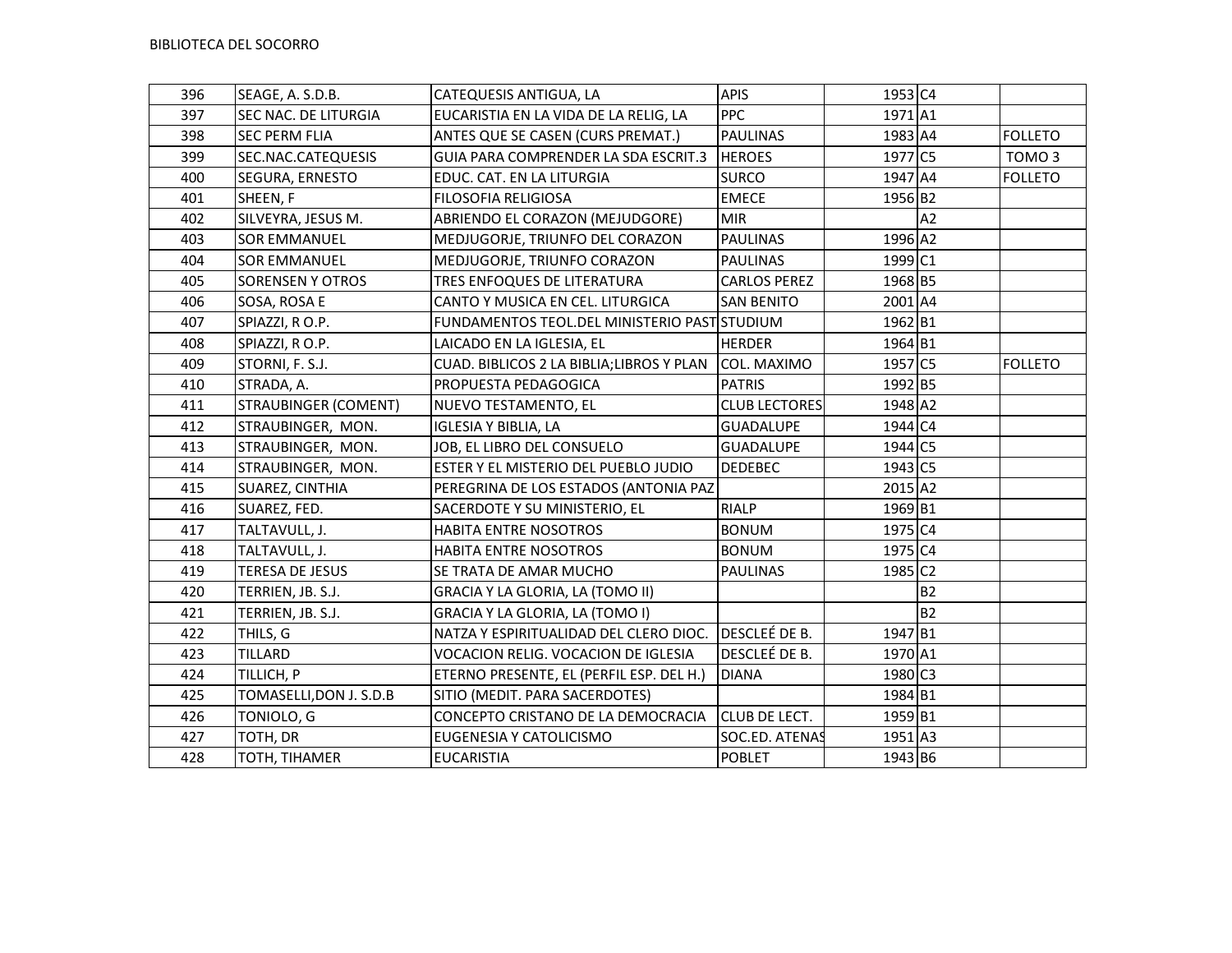| 396 | SEAGE, A. S.D.B.            | CATEQUESIS ANTIGUA, LA                       | <b>APIS</b>          | 1953 C4 |           |                   |
|-----|-----------------------------|----------------------------------------------|----------------------|---------|-----------|-------------------|
| 397 | SEC NAC. DE LITURGIA        | EUCARISTIA EN LA VIDA DE LA RELIG, LA        | <b>PPC</b>           | 1971 A1 |           |                   |
| 398 | <b>SEC PERM FLIA</b>        | ANTES QUE SE CASEN (CURS PREMAT.)            | <b>PAULINAS</b>      | 1983 A4 |           | <b>FOLLETO</b>    |
| 399 | SEC.NAC.CATEQUESIS          | GUIA PARA COMPRENDER LA SDA ESCRIT.3         | <b>HEROES</b>        | 1977 C5 |           | TOMO <sub>3</sub> |
| 400 | SEGURA, ERNESTO             | EDUC. CAT. EN LA LITURGIA                    | <b>SURCO</b>         | 1947 A4 |           | <b>FOLLETO</b>    |
| 401 | SHEEN, F                    | FILOSOFIA RELIGIOSA                          | <b>EMECE</b>         | 1956 B2 |           |                   |
| 402 | SILVEYRA, JESUS M.          | ABRIENDO EL CORAZON (MEJUDGORE)              | <b>MIR</b>           |         | A2        |                   |
| 403 | <b>SOR EMMANUEL</b>         | MEDJUGORJE, TRIUNFO DEL CORAZON              | <b>PAULINAS</b>      | 1996 A2 |           |                   |
| 404 | <b>SOR EMMANUEL</b>         | MEDJUGORJE, TRIUNFO CORAZON                  | <b>PAULINAS</b>      | 1999 C1 |           |                   |
| 405 | <b>SORENSEN Y OTROS</b>     | TRES ENFOQUES DE LITERATURA                  | <b>CARLOS PEREZ</b>  | 1968 B5 |           |                   |
| 406 | SOSA, ROSA E                | CANTO Y MUSICA EN CEL. LITURGICA             | <b>SAN BENITO</b>    | 2001 A4 |           |                   |
| 407 | SPIAZZI, RO.P.              | FUNDAMENTOS TEOL.DEL MINISTERIO PASTISTUDIUM |                      | 1962 B1 |           |                   |
| 408 | SPIAZZI, RO.P.              | LAICADO EN LA IGLESIA, EL                    | <b>HERDER</b>        | 1964 B1 |           |                   |
| 409 | STORNI, F. S.J.             | CUAD. BIBLICOS 2 LA BIBLIA; LIBROS Y PLAN    | COL. MAXIMO          | 1957 C5 |           | <b>FOLLETO</b>    |
| 410 | STRADA, A.                  | PROPUESTA PEDAGOGICA                         | <b>PATRIS</b>        | 1992 B5 |           |                   |
| 411 | <b>STRAUBINGER (COMENT)</b> | NUEVO TESTAMENTO, EL                         | <b>CLUB LECTORES</b> | 1948 A2 |           |                   |
| 412 | STRAUBINGER, MON.           | <b>IGLESIA Y BIBLIA, LA</b>                  | <b>GUADALUPE</b>     | 1944 C4 |           |                   |
| 413 | STRAUBINGER, MON.           | JOB, EL LIBRO DEL CONSUELO                   | <b>GUADALUPE</b>     | 1944 C5 |           |                   |
| 414 | STRAUBINGER, MON.           | ESTER Y EL MISTERIO DEL PUEBLO JUDIO         | <b>DEDEBEC</b>       | 1943 C5 |           |                   |
| 415 | SUAREZ, CINTHIA             | PEREGRINA DE LOS ESTADOS (ANTONIA PAZ        |                      | 2015 A2 |           |                   |
| 416 | SUAREZ, FED.                | SACERDOTE Y SU MINISTERIO, EL                | <b>RIALP</b>         | 1969 B1 |           |                   |
| 417 | TALTAVULL, J.               | HABITA ENTRE NOSOTROS                        | <b>BONUM</b>         | 1975 C4 |           |                   |
| 418 | TALTAVULL, J.               | HABITA ENTRE NOSOTROS                        | <b>BONUM</b>         | 1975 C4 |           |                   |
| 419 | <b>TERESA DE JESUS</b>      | SE TRATA DE AMAR MUCHO                       | <b>PAULINAS</b>      | 1985 C2 |           |                   |
| 420 | TERRIEN, JB. S.J.           | GRACIA Y LA GLORIA, LA (TOMO II)             |                      |         | <b>B2</b> |                   |
| 421 | TERRIEN, JB. S.J.           | GRACIA Y LA GLORIA, LA (TOMO I)              |                      |         | <b>B2</b> |                   |
| 422 | THILS, G                    | NATZA Y ESPIRITUALIDAD DEL CLERO DIOC.       | DESCLEÉ DE B.        | 1947 B1 |           |                   |
| 423 | TILLARD                     | VOCACION RELIG. VOCACION DE IGLESIA          | DESCLEÉ DE B.        | 1970 A1 |           |                   |
| 424 | TILLICH, P                  | ETERNO PRESENTE, EL (PERFIL ESP. DEL H.)     | <b>DIANA</b>         | 1980 C3 |           |                   |
| 425 | TOMASELLI, DON J. S.D.B     | SITIO (MEDIT. PARA SACERDOTES)               |                      | 1984 B1 |           |                   |
| 426 | TONIOLO, G                  | CONCEPTO CRISTANO DE LA DEMOCRACIA           | CLUB DE LECT.        | 1959 B1 |           |                   |
| 427 | TOTH, DR                    | EUGENESIA Y CATOLICISMO                      | SOC.ED. ATENAS       | 1951 A3 |           |                   |
| 428 | TOTH, TIHAMER               | <b>EUCARISTIA</b>                            | <b>POBLET</b>        | 1943 B6 |           |                   |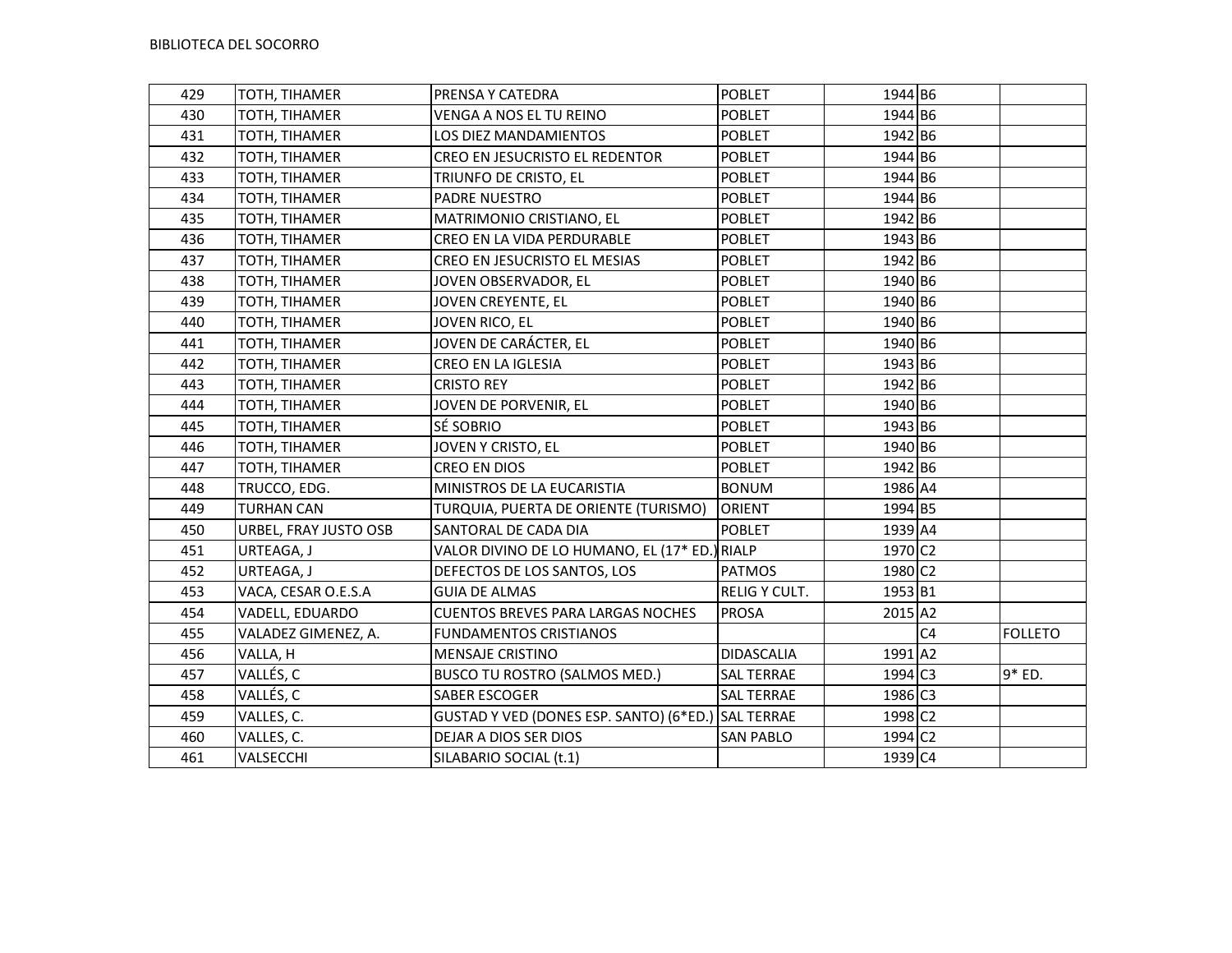| 429 | TOTH, TIHAMER         | PRENSA Y CATEDRA                                   | POBLET            | 1944 B6             |                |                |
|-----|-----------------------|----------------------------------------------------|-------------------|---------------------|----------------|----------------|
| 430 | TOTH, TIHAMER         | VENGA A NOS EL TU REINO                            | <b>POBLET</b>     | 1944 B6             |                |                |
| 431 | TOTH, TIHAMER         | LOS DIEZ MANDAMIENTOS                              | <b>POBLET</b>     | 1942 B6             |                |                |
| 432 | TOTH, TIHAMER         | CREO EN JESUCRISTO EL REDENTOR                     | POBLET            | 1944 B6             |                |                |
| 433 | TOTH, TIHAMER         | TRIUNFO DE CRISTO, EL                              | <b>POBLET</b>     | 1944 B6             |                |                |
| 434 | TOTH, TIHAMER         | PADRE NUESTRO                                      | <b>POBLET</b>     | 1944 B6             |                |                |
| 435 | TOTH, TIHAMER         | MATRIMONIO CRISTIANO, EL                           | <b>POBLET</b>     | 1942 B6             |                |                |
| 436 | TOTH, TIHAMER         | CREO EN LA VIDA PERDURABLE                         | <b>POBLET</b>     | 1943 B6             |                |                |
| 437 | TOTH, TIHAMER         | CREO EN JESUCRISTO EL MESIAS                       | <b>POBLET</b>     | 1942 B6             |                |                |
| 438 | TOTH, TIHAMER         | JOVEN OBSERVADOR, EL                               | <b>POBLET</b>     | 1940 B6             |                |                |
| 439 | TOTH, TIHAMER         | JOVEN CREYENTE, EL                                 | <b>POBLET</b>     | 1940 B6             |                |                |
| 440 | TOTH, TIHAMER         | JOVEN RICO, EL                                     | <b>POBLET</b>     | 1940 B6             |                |                |
| 441 | TOTH, TIHAMER         | JOVEN DE CARÁCTER, EL                              | <b>POBLET</b>     | 1940 B6             |                |                |
| 442 | TOTH, TIHAMER         | CREO EN LA IGLESIA                                 | <b>POBLET</b>     | 1943 B6             |                |                |
| 443 | TOTH, TIHAMER         | <b>CRISTO REY</b>                                  | POBLET            | 1942 B6             |                |                |
| 444 | TOTH, TIHAMER         | JOVEN DE PORVENIR, EL                              | <b>POBLET</b>     | 1940 B6             |                |                |
| 445 | TOTH, TIHAMER         | SÉ SOBRIO                                          | <b>POBLET</b>     | 1943 B6             |                |                |
| 446 | TOTH, TIHAMER         | JOVEN Y CRISTO, EL                                 | <b>POBLET</b>     | 1940 B6             |                |                |
| 447 | TOTH, TIHAMER         | CREO EN DIOS                                       | <b>POBLET</b>     | 1942 B6             |                |                |
| 448 | TRUCCO, EDG.          | MINISTROS DE LA EUCARISTIA                         | <b>BONUM</b>      | 1986 A4             |                |                |
| 449 | <b>TURHAN CAN</b>     | TURQUIA, PUERTA DE ORIENTE (TURISMO)               | <b>ORIENT</b>     | 1994 B5             |                |                |
| 450 | URBEL, FRAY JUSTO OSB | SANTORAL DE CADA DIA                               | <b>POBLET</b>     | 1939 A4             |                |                |
| 451 | URTEAGA, J            | VALOR DIVINO DE LO HUMANO, EL (17* ED.) RIALP      |                   | 1970 C <sub>2</sub> |                |                |
| 452 | URTEAGA, J            | DEFECTOS DE LOS SANTOS, LOS                        | <b>PATMOS</b>     | 1980 C2             |                |                |
| 453 | VACA, CESAR O.E.S.A   | <b>GUIA DE ALMAS</b>                               | RELIG Y CULT.     | 1953 B1             |                |                |
| 454 | VADELL, EDUARDO       | <b>CUENTOS BREVES PARA LARGAS NOCHES</b>           | <b>PROSA</b>      | 2015 A2             |                |                |
| 455 | VALADEZ GIMENEZ, A.   | <b>FUNDAMENTOS CRISTIANOS</b>                      |                   |                     | C <sub>4</sub> | <b>FOLLETO</b> |
| 456 | VALLA, H              | <b>MENSAJE CRISTINO</b>                            | <b>DIDASCALIA</b> | 1991 A2             |                |                |
| 457 | VALLÉS, C             | BUSCO TU ROSTRO (SALMOS MED.)                      | <b>SAL TERRAE</b> | 1994 C3             |                | 9* ED.         |
| 458 | VALLÉS, C             | SABER ESCOGER                                      | <b>SAL TERRAE</b> | 1986 C3             |                |                |
| 459 | VALLES, C.            | GUSTAD Y VED (DONES ESP. SANTO) (6*ED.) SAL TERRAE |                   | 1998 C <sub>2</sub> |                |                |
| 460 | VALLES, C.            | DEJAR A DIOS SER DIOS                              | <b>SAN PABLO</b>  | 1994 C2             |                |                |
| 461 | VALSECCHI             | SILABARIO SOCIAL (t.1)                             |                   | 1939 C4             |                |                |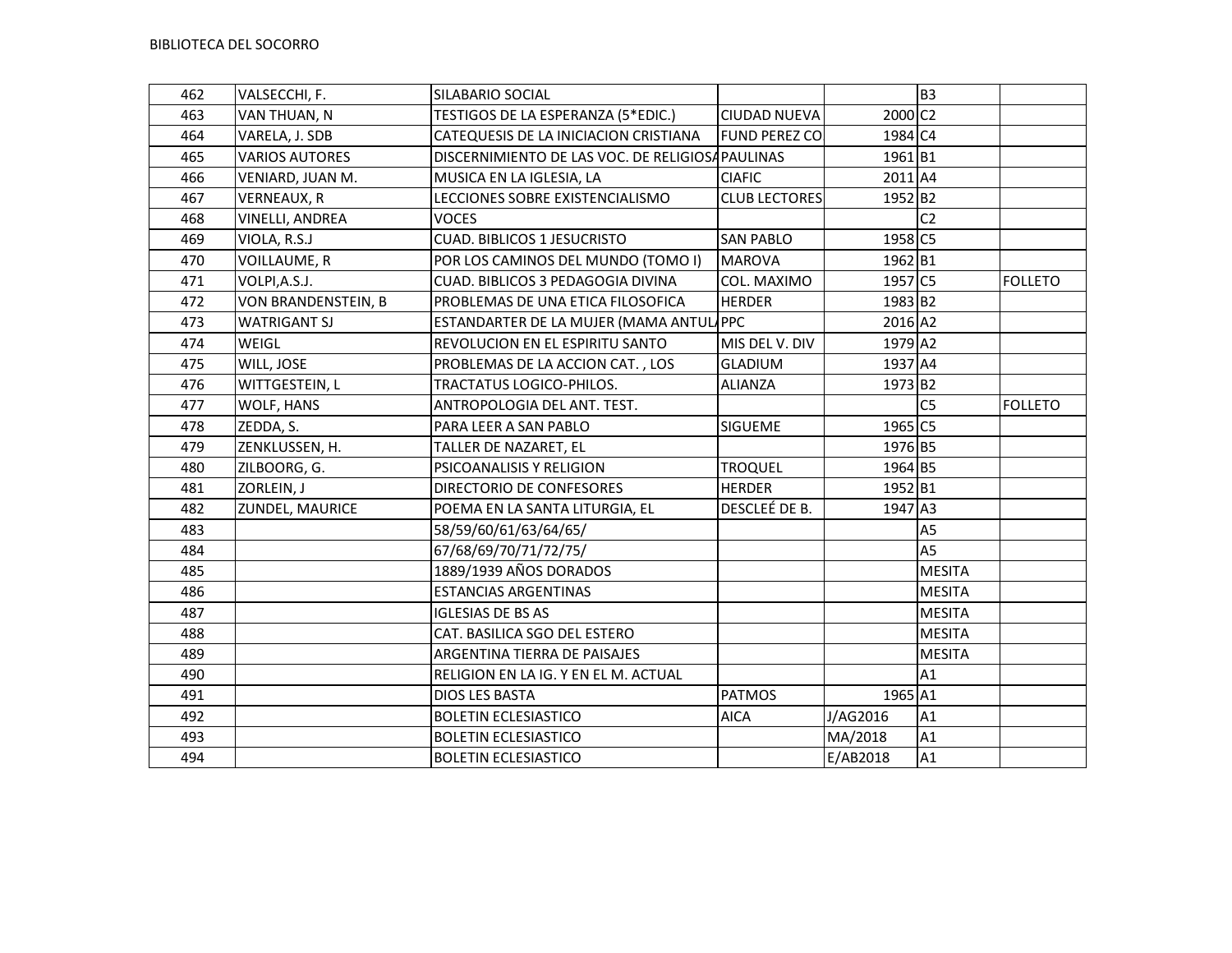| 462 | VALSECCHI, F.         | SILABARIO SOCIAL                                |                      |                     | B <sub>3</sub> |                |
|-----|-----------------------|-------------------------------------------------|----------------------|---------------------|----------------|----------------|
| 463 | VAN THUAN, N          | TESTIGOS DE LA ESPERANZA (5*EDIC.)              | <b>CIUDAD NUEVA</b>  | 2000 C <sub>2</sub> |                |                |
| 464 | VARELA, J. SDB        | CATEQUESIS DE LA INICIACION CRISTIANA           | <b>FUND PEREZ CO</b> | 1984 C4             |                |                |
| 465 | <b>VARIOS AUTORES</b> | DISCERNIMIENTO DE LAS VOC. DE RELIGIOSAPAULINAS |                      | 1961 B1             |                |                |
| 466 | VENIARD, JUAN M.      | MUSICA EN LA IGLESIA, LA                        | <b>CIAFIC</b>        | 2011 A4             |                |                |
| 467 | <b>VERNEAUX, R</b>    | LECCIONES SOBRE EXISTENCIALISMO                 | <b>CLUB LECTORES</b> | 1952 B <sub>2</sub> |                |                |
| 468 | VINELLI, ANDREA       | <b>VOCES</b>                                    |                      |                     | C <sub>2</sub> |                |
| 469 | VIOLA, R.S.J          | <b>CUAD. BIBLICOS 1 JESUCRISTO</b>              | <b>SAN PABLO</b>     | 1958 C5             |                |                |
| 470 | VOILLAUME, R          | POR LOS CAMINOS DEL MUNDO (TOMO I)              | <b>MAROVA</b>        | 1962 B1             |                |                |
| 471 | VOLPI, A.S.J.         | CUAD. BIBLICOS 3 PEDAGOGIA DIVINA               | COL. MAXIMO          | 1957 C5             |                | <b>FOLLETO</b> |
| 472 | VON BRANDENSTEIN, B   | PROBLEMAS DE UNA ETICA FILOSOFICA               | <b>HERDER</b>        | 1983 B2             |                |                |
| 473 | <b>WATRIGANT SJ</b>   | ESTANDARTER DE LA MUJER (MAMA ANTULAPPC         |                      | 2016 A2             |                |                |
| 474 | WEIGL                 | REVOLUCION EN EL ESPIRITU SANTO                 | MIS DEL V. DIV       | 1979 A2             |                |                |
| 475 | WILL, JOSE            | PROBLEMAS DE LA ACCION CAT., LOS                | <b>GLADIUM</b>       | 1937 A4             |                |                |
| 476 | WITTGESTEIN, L        | TRACTATUS LOGICO-PHILOS.                        | <b>ALIANZA</b>       | 1973 B2             |                |                |
| 477 | WOLF, HANS            | ANTROPOLOGIA DEL ANT. TEST.                     |                      |                     | C <sub>5</sub> | <b>FOLLETO</b> |
| 478 | ZEDDA, S.             | PARA LEER A SAN PABLO                           | <b>SIGUEME</b>       | 1965 C5             |                |                |
| 479 | ZENKLUSSEN, H.        | TALLER DE NAZARET, EL                           |                      | 1976 B5             |                |                |
| 480 | ZILBOORG, G.          | PSICOANALISIS Y RELIGION                        | <b>TROQUEL</b>       | 1964 B5             |                |                |
| 481 | ZORLEIN, J            | DIRECTORIO DE CONFESORES                        | <b>HERDER</b>        | 1952 B1             |                |                |
| 482 | ZUNDEL, MAURICE       | POEMA EN LA SANTA LITURGIA, EL                  | DESCLEÉ DE B.        | 1947 A3             |                |                |
| 483 |                       | 58/59/60/61/63/64/65/                           |                      |                     | A <sub>5</sub> |                |
| 484 |                       | 67/68/69/70/71/72/75/                           |                      |                     | A <sub>5</sub> |                |
| 485 |                       | 1889/1939 AÑOS DORADOS                          |                      |                     | <b>MESITA</b>  |                |
| 486 |                       | <b>ESTANCIAS ARGENTINAS</b>                     |                      |                     | <b>MESITA</b>  |                |
| 487 |                       | <b>IGLESIAS DE BS AS</b>                        |                      |                     | <b>MESITA</b>  |                |
| 488 |                       | CAT. BASILICA SGO DEL ESTERO                    |                      |                     | <b>MESITA</b>  |                |
| 489 |                       | ARGENTINA TIERRA DE PAISAJES                    |                      |                     | <b>MESITA</b>  |                |
| 490 |                       | RELIGION EN LA IG. Y EN EL M. ACTUAL            |                      |                     | A1             |                |
| 491 |                       | DIOS LES BASTA                                  | <b>PATMOS</b>        | 1965 A1             |                |                |
| 492 |                       | <b>BOLETIN ECLESIASTICO</b>                     | <b>AICA</b>          | J/AG2016            | A1             |                |
| 493 |                       | <b>BOLETIN ECLESIASTICO</b>                     |                      | MA/2018             | A1             |                |
| 494 |                       | <b>BOLETIN ECLESIASTICO</b>                     |                      | E/AB2018            | A1             |                |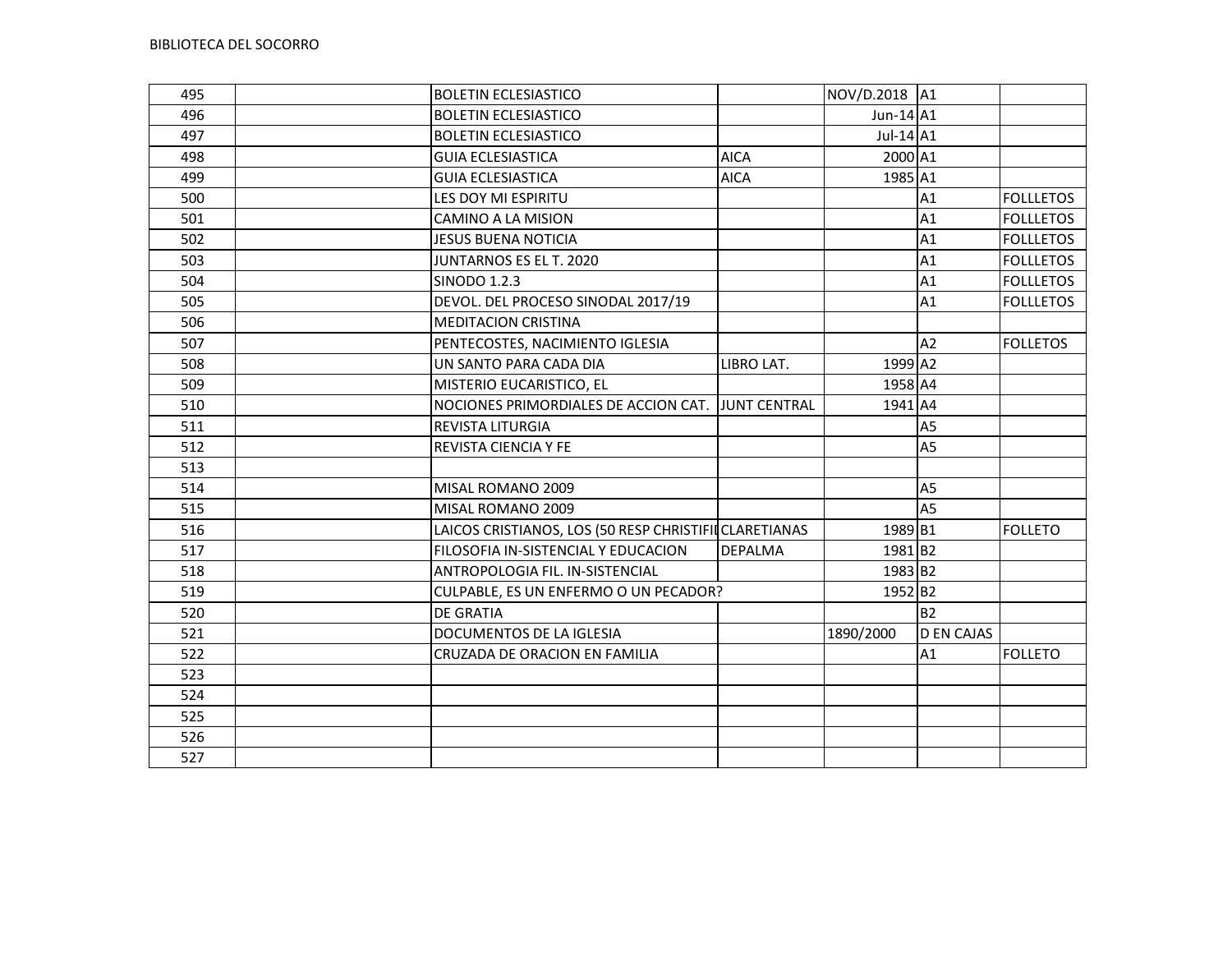| 495 | <b>BOLETIN ECLESIASTICO</b>                           |                | NOV/D.2018 A1       |                   |                  |
|-----|-------------------------------------------------------|----------------|---------------------|-------------------|------------------|
| 496 | <b>BOLETIN ECLESIASTICO</b>                           |                | Jun-14 A1           |                   |                  |
| 497 | <b>BOLETIN ECLESIASTICO</b>                           |                | Jul-14 A1           |                   |                  |
| 498 | <b>GUIA ECLESIASTICA</b>                              | <b>AICA</b>    | 2000 A1             |                   |                  |
| 499 | <b>GUIA ECLESIASTICA</b>                              | <b>AICA</b>    | 1985 A1             |                   |                  |
| 500 | LES DOY MI ESPIRITU                                   |                |                     | A1                | <b>FOLLLETOS</b> |
| 501 | CAMINO A LA MISION                                    |                |                     | A1                | <b>FOLLLETOS</b> |
| 502 | JESUS BUENA NOTICIA                                   |                |                     | A1                | <b>FOLLLETOS</b> |
| 503 | JUNTARNOS ES EL T. 2020                               |                |                     | A1                | <b>FOLLLETOS</b> |
| 504 | <b>SINODO 1.2.3</b>                                   |                |                     | A1                | <b>FOLLLETOS</b> |
| 505 | DEVOL. DEL PROCESO SINODAL 2017/19                    |                |                     | A1                | <b>FOLLLETOS</b> |
| 506 | <b>MEDITACION CRISTINA</b>                            |                |                     |                   |                  |
| 507 | PENTECOSTES, NACIMIENTO IGLESIA                       |                |                     | A2                | <b>FOLLETOS</b>  |
| 508 | UN SANTO PARA CADA DIA                                | LIBRO LAT.     | 1999 A2             |                   |                  |
| 509 | MISTERIO EUCARISTICO, EL                              |                | 1958 A4             |                   |                  |
| 510 | NOCIONES PRIMORDIALES DE ACCION CAT. JUNT CENTRAL     |                | 1941 A4             |                   |                  |
| 511 | <b>REVISTA LITURGIA</b>                               |                |                     | A5                |                  |
| 512 | REVISTA CIENCIA Y FE                                  |                |                     | A <sub>5</sub>    |                  |
| 513 |                                                       |                |                     |                   |                  |
| 514 | MISAL ROMANO 2009                                     |                |                     | A <sub>5</sub>    |                  |
| 515 | MISAL ROMANO 2009                                     |                |                     | A <sub>5</sub>    |                  |
| 516 | LAICOS CRISTIANOS, LOS (50 RESP CHRISTIFIICLARETIANAS |                | 1989 B1             |                   | <b>FOLLETO</b>   |
| 517 | FILOSOFIA IN-SISTENCIAL Y EDUCACION                   | <b>DEPALMA</b> | 1981 B2             |                   |                  |
| 518 | ANTROPOLOGIA FIL. IN-SISTENCIAL                       |                | 1983 B2             |                   |                  |
| 519 | CULPABLE, ES UN ENFERMO O UN PECADOR?                 |                | 1952 B <sub>2</sub> |                   |                  |
| 520 | <b>DE GRATIA</b>                                      |                |                     | <b>B2</b>         |                  |
| 521 | DOCUMENTOS DE LA IGLESIA                              |                | 1890/2000           | <b>D EN CAJAS</b> |                  |
| 522 | CRUZADA DE ORACION EN FAMILIA                         |                |                     | A1                | <b>FOLLETO</b>   |
| 523 |                                                       |                |                     |                   |                  |
| 524 |                                                       |                |                     |                   |                  |
| 525 |                                                       |                |                     |                   |                  |
| 526 |                                                       |                |                     |                   |                  |
| 527 |                                                       |                |                     |                   |                  |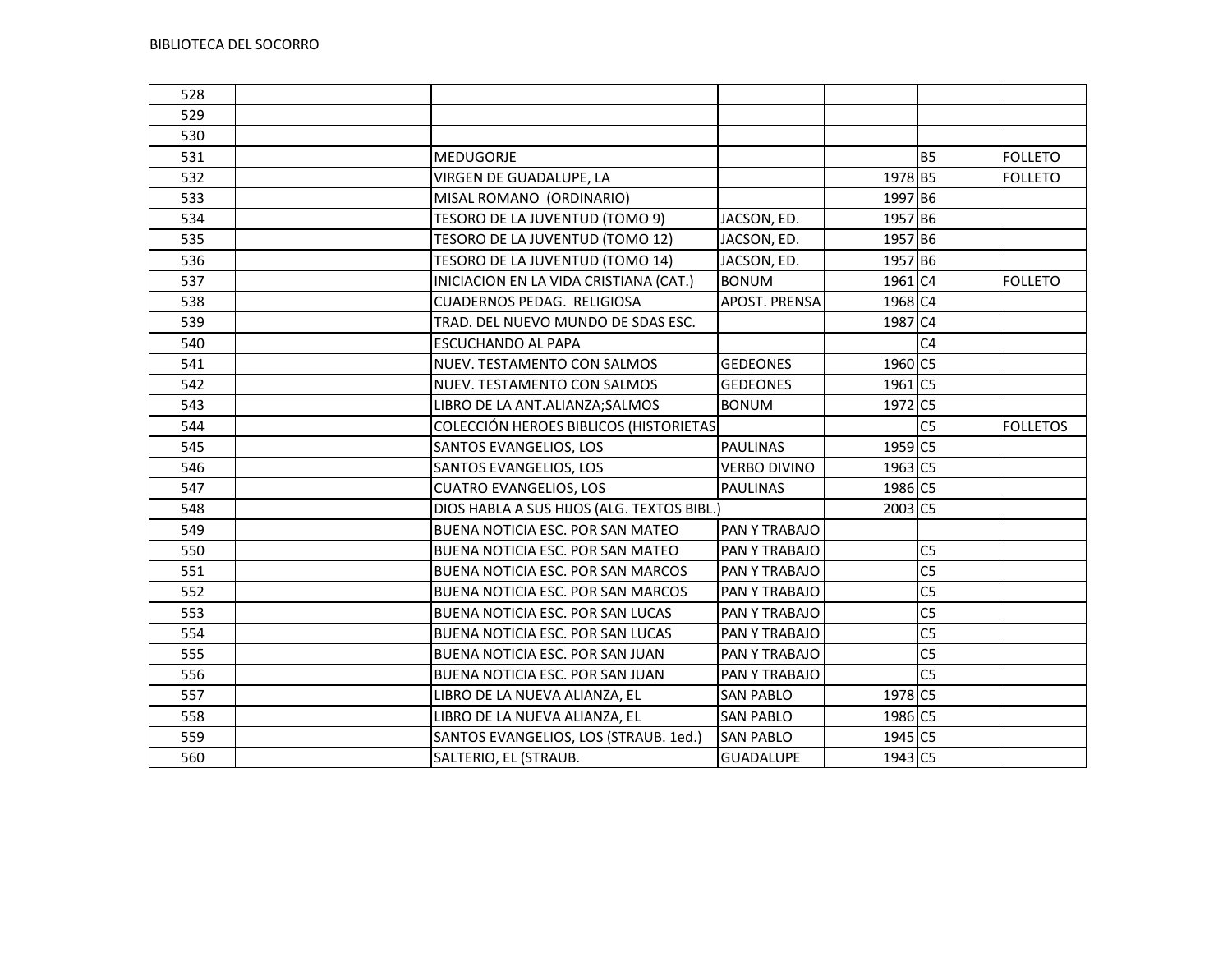| 528 |                                            |                     |         |                |                 |
|-----|--------------------------------------------|---------------------|---------|----------------|-----------------|
| 529 |                                            |                     |         |                |                 |
| 530 |                                            |                     |         |                |                 |
| 531 | MEDUGORJE                                  |                     |         | <b>B5</b>      | <b>FOLLETO</b>  |
| 532 | VIRGEN DE GUADALUPE, LA                    |                     | 1978 B5 |                | <b>FOLLETO</b>  |
| 533 | MISAL ROMANO (ORDINARIO)                   |                     | 1997 B6 |                |                 |
| 534 | TESORO DE LA JUVENTUD (TOMO 9)             | JACSON, ED.         | 1957 B6 |                |                 |
| 535 | TESORO DE LA JUVENTUD (TOMO 12)            | JACSON, ED.         | 1957 B6 |                |                 |
| 536 | TESORO DE LA JUVENTUD (TOMO 14)            | JACSON, ED.         | 1957 B6 |                |                 |
| 537 | INICIACION EN LA VIDA CRISTIANA (CAT.)     | <b>BONUM</b>        | 1961 C4 |                | <b>FOLLETO</b>  |
| 538 | CUADERNOS PEDAG. RELIGIOSA                 | APOST. PRENSA       | 1968 C4 |                |                 |
| 539 | TRAD. DEL NUEVO MUNDO DE SDAS ESC.         |                     | 1987 C4 |                |                 |
| 540 | <b>ESCUCHANDO AL PAPA</b>                  |                     |         | C <sub>4</sub> |                 |
| 541 | NUEV. TESTAMENTO CON SALMOS                | <b>GEDEONES</b>     | 1960 C5 |                |                 |
| 542 | NUEV. TESTAMENTO CON SALMOS                | <b>GEDEONES</b>     | 1961 C5 |                |                 |
| 543 | LIBRO DE LA ANT.ALIANZA; SALMOS            | <b>BONUM</b>        | 1972 C5 |                |                 |
| 544 | COLECCIÓN HEROES BIBLICOS (HISTORIETAS     |                     |         | C <sub>5</sub> | <b>FOLLETOS</b> |
| 545 | SANTOS EVANGELIOS, LOS                     | <b>PAULINAS</b>     | 1959 C5 |                |                 |
| 546 | SANTOS EVANGELIOS, LOS                     | <b>VERBO DIVINO</b> | 1963 C5 |                |                 |
| 547 | <b>CUATRO EVANGELIOS, LOS</b>              | <b>PAULINAS</b>     | 1986 C5 |                |                 |
| 548 | DIOS HABLA A SUS HIJOS (ALG. TEXTOS BIBL.) |                     | 2003 C5 |                |                 |
| 549 | BUENA NOTICIA ESC. POR SAN MATEO           | PAN Y TRABAJO       |         |                |                 |
| 550 | BUENA NOTICIA ESC. POR SAN MATEO           | PAN Y TRABAJO       |         | C <sub>5</sub> |                 |
| 551 | <b>BUENA NOTICIA ESC. POR SAN MARCOS</b>   | PAN Y TRABAJO       |         | C <sub>5</sub> |                 |
| 552 | <b>BUENA NOTICIA ESC. POR SAN MARCOS</b>   | PAN Y TRABAJO       |         | C <sub>5</sub> |                 |
| 553 | BUENA NOTICIA ESC. POR SAN LUCAS           | PAN Y TRABAJO       |         | C <sub>5</sub> |                 |
| 554 | BUENA NOTICIA ESC. POR SAN LUCAS           | PAN Y TRABAJO       |         | C <sub>5</sub> |                 |
| 555 | BUENA NOTICIA ESC. POR SAN JUAN            | PAN Y TRABAJO       |         | C <sub>5</sub> |                 |
| 556 | BUENA NOTICIA ESC. POR SAN JUAN            | PAN Y TRABAJO       |         | C <sub>5</sub> |                 |
| 557 | LIBRO DE LA NUEVA ALIANZA, EL              | <b>SAN PABLO</b>    | 1978 C5 |                |                 |
| 558 | LIBRO DE LA NUEVA ALIANZA, EL              | <b>SAN PABLO</b>    | 1986 C5 |                |                 |
| 559 | SANTOS EVANGELIOS, LOS (STRAUB. 1ed.)      | <b>SAN PABLO</b>    | 1945 C5 |                |                 |
| 560 | SALTERIO, EL (STRAUB.                      | <b>GUADALUPE</b>    | 1943 C5 |                |                 |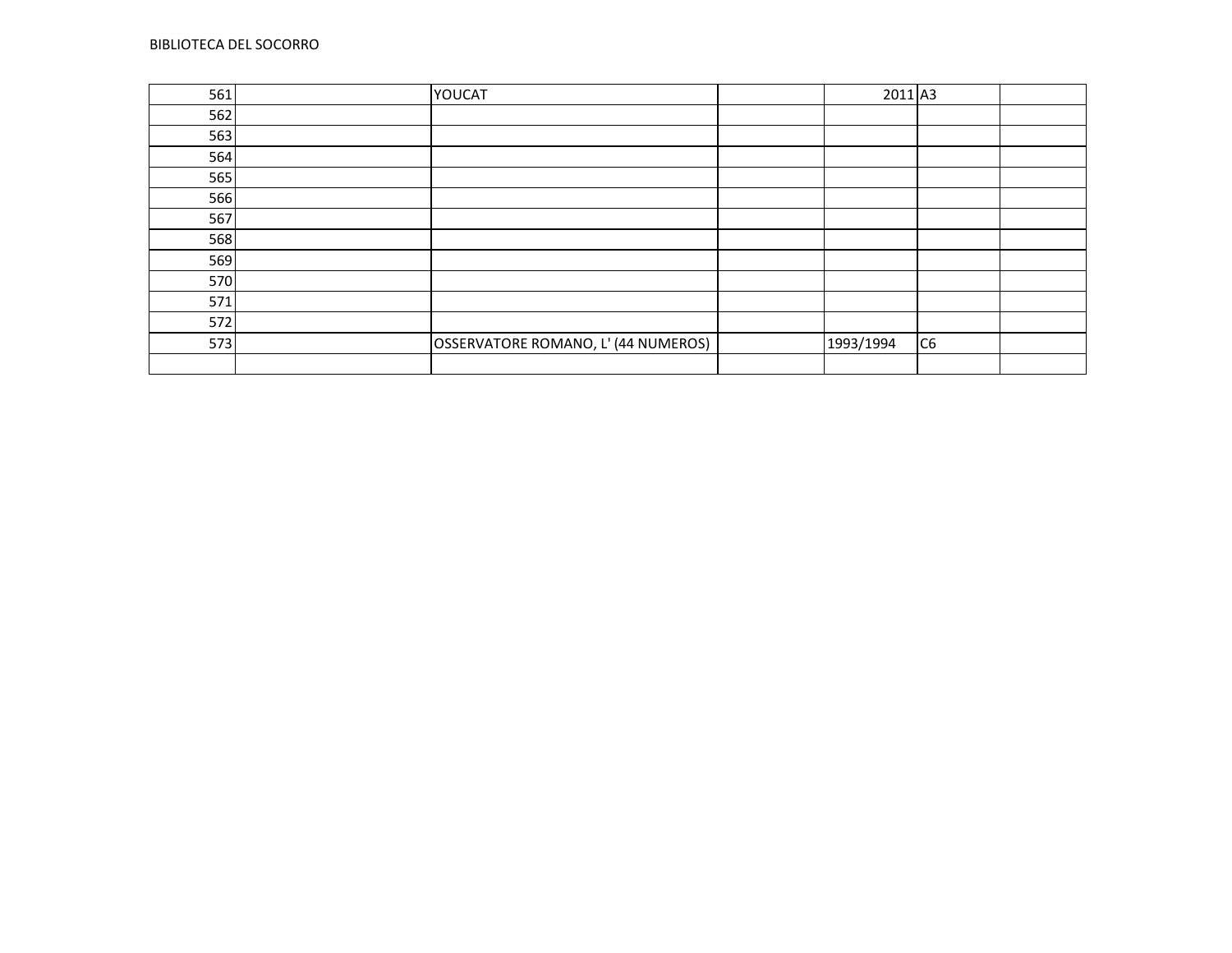| 561 | YOUCAT                              | 2011 A3   |                |  |
|-----|-------------------------------------|-----------|----------------|--|
| 562 |                                     |           |                |  |
| 563 |                                     |           |                |  |
| 564 |                                     |           |                |  |
| 565 |                                     |           |                |  |
| 566 |                                     |           |                |  |
| 567 |                                     |           |                |  |
| 568 |                                     |           |                |  |
| 569 |                                     |           |                |  |
| 570 |                                     |           |                |  |
| 571 |                                     |           |                |  |
| 572 |                                     |           |                |  |
| 573 | OSSERVATORE ROMANO, L' (44 NUMEROS) | 1993/1994 | C <sub>6</sub> |  |
|     |                                     |           |                |  |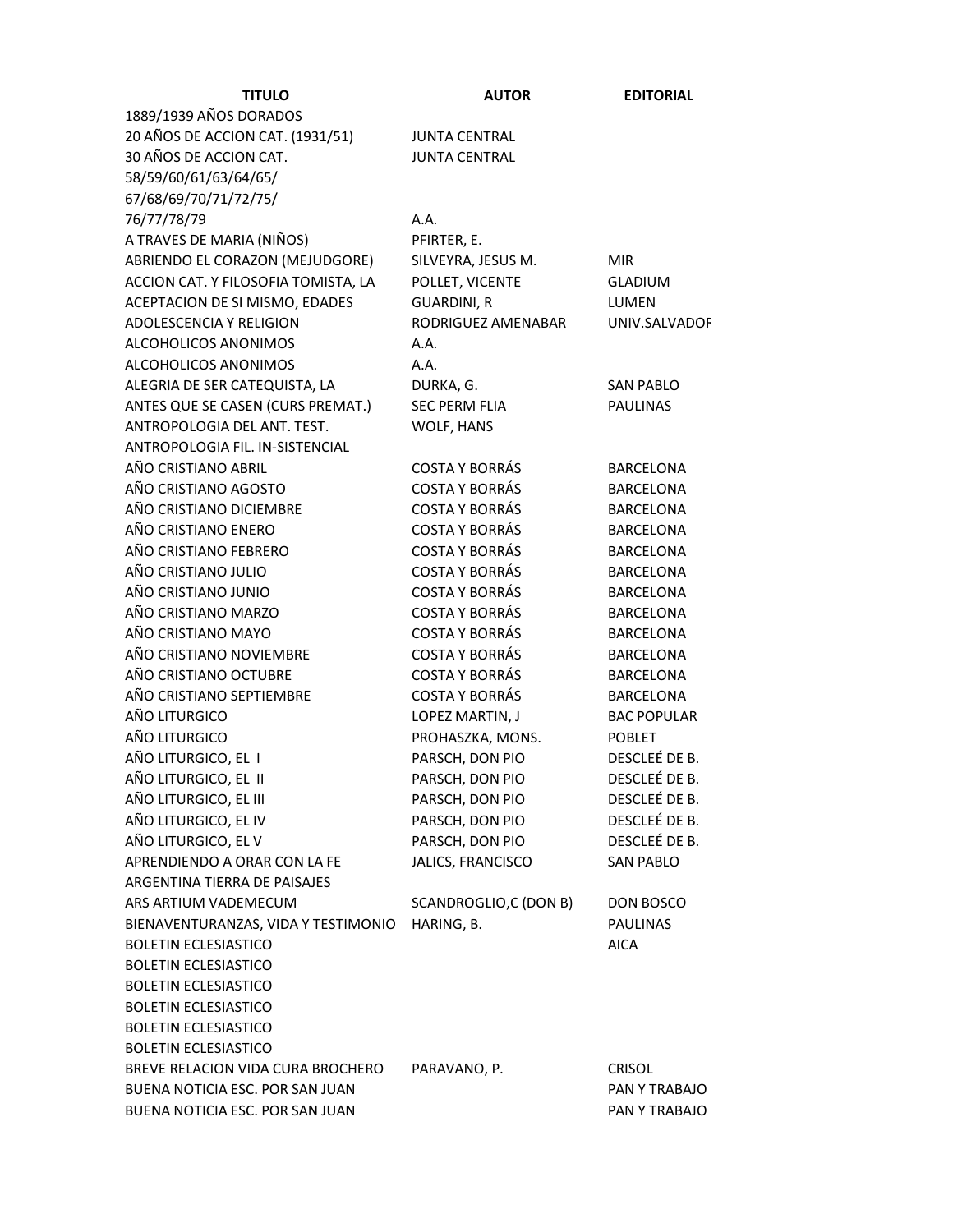| <b>TITULO</b>                       | <b>AUTOR</b>          | <b>EDITORIAL</b>   |
|-------------------------------------|-----------------------|--------------------|
| 1889/1939 AÑOS DORADOS              |                       |                    |
| 20 AÑOS DE ACCION CAT. (1931/51)    | <b>JUNTA CENTRAL</b>  |                    |
| 30 AÑOS DE ACCION CAT.              | <b>JUNTA CENTRAL</b>  |                    |
| 58/59/60/61/63/64/65/               |                       |                    |
| 67/68/69/70/71/72/75/               |                       |                    |
| 76/77/78/79                         | A.A.                  |                    |
| A TRAVES DE MARIA (NIÑOS)           | PFIRTER, E.           |                    |
| ABRIENDO EL CORAZON (MEJUDGORE)     | SILVEYRA, JESUS M.    | <b>MIR</b>         |
| ACCION CAT. Y FILOSOFIA TOMISTA, LA | POLLET, VICENTE       | <b>GLADIUM</b>     |
| ACEPTACION DE SI MISMO, EDADES      | <b>GUARDINI, R</b>    | LUMEN              |
| ADOLESCENCIA Y RELIGION             | RODRIGUEZ AMENABAR    | UNIV.SALVADOF      |
| ALCOHOLICOS ANONIMOS                | A.A.                  |                    |
| ALCOHOLICOS ANONIMOS                | A.A.                  |                    |
| ALEGRIA DE SER CATEQUISTA, LA       | DURKA, G.             | <b>SAN PABLO</b>   |
| ANTES QUE SE CASEN (CURS PREMAT.)   | <b>SEC PERM FLIA</b>  | <b>PAULINAS</b>    |
| ANTROPOLOGIA DEL ANT. TEST.         | WOLF, HANS            |                    |
| ANTROPOLOGIA FIL. IN-SISTENCIAL     |                       |                    |
| AÑO CRISTIANO ABRIL                 | <b>COSTA Y BORRÁS</b> | <b>BARCELONA</b>   |
| AÑO CRISTIANO AGOSTO                | <b>COSTA Y BORRÁS</b> | <b>BARCELONA</b>   |
| AÑO CRISTIANO DICIEMBRE             | <b>COSTA Y BORRÁS</b> | <b>BARCELONA</b>   |
| AÑO CRISTIANO ENERO                 | <b>COSTA Y BORRÁS</b> | <b>BARCELONA</b>   |
| AÑO CRISTIANO FEBRERO               | <b>COSTA Y BORRÁS</b> | <b>BARCELONA</b>   |
| AÑO CRISTIANO JULIO                 | <b>COSTA Y BORRÁS</b> | <b>BARCELONA</b>   |
| AÑO CRISTIANO JUNIO                 | <b>COSTA Y BORRÁS</b> | <b>BARCELONA</b>   |
| AÑO CRISTIANO MARZO                 | <b>COSTA Y BORRÁS</b> | <b>BARCELONA</b>   |
| AÑO CRISTIANO MAYO                  | <b>COSTA Y BORRÁS</b> | <b>BARCELONA</b>   |
| AÑO CRISTIANO NOVIEMBRE             | <b>COSTA Y BORRÁS</b> | <b>BARCELONA</b>   |
| AÑO CRISTIANO OCTUBRE               | <b>COSTA Y BORRÁS</b> | <b>BARCELONA</b>   |
| AÑO CRISTIANO SEPTIEMBRE            | <b>COSTA Y BORRÁS</b> | <b>BARCELONA</b>   |
| AÑO LITURGICO                       | LOPEZ MARTIN, J       | <b>BAC POPULAR</b> |
| AÑO LITURGICO                       | PROHASZKA, MONS.      | <b>POBLET</b>      |
| AÑO LITURGICO, EL I                 | PARSCH, DON PIO       | DESCLEÉ DE B.      |
| AÑO LITURGICO, EL II                | PARSCH, DON PIO       | DESCLEÉ DE B.      |
| AÑO LITURGICO, EL III               | PARSCH, DON PIO       | DESCLEÉ DE B.      |
| AÑO LITURGICO, EL IV                | PARSCH, DON PIO       | DESCLEÉ DE B.      |
| AÑO LITURGICO, EL V                 | PARSCH, DON PIO       | DESCLEÉ DE B.      |
| APRENDIENDO A ORAR CON LA FE        | JALICS, FRANCISCO     | <b>SAN PABLO</b>   |
| ARGENTINA TIERRA DE PAISAJES        |                       |                    |
| ARS ARTIUM VADEMECUM                | SCANDROGLIO,C (DON B) | DON BOSCO          |
| BIENAVENTURANZAS, VIDA Y TESTIMONIO | HARING, B.            | <b>PAULINAS</b>    |
| <b>BOLETIN ECLESIASTICO</b>         |                       | <b>AICA</b>        |
| <b>BOLETIN ECLESIASTICO</b>         |                       |                    |
| <b>BOLETIN ECLESIASTICO</b>         |                       |                    |
| <b>BOLETIN ECLESIASTICO</b>         |                       |                    |
| <b>BOLETIN ECLESIASTICO</b>         |                       |                    |
| <b>BOLETIN ECLESIASTICO</b>         |                       |                    |
| BREVE RELACION VIDA CURA BROCHERO   | PARAVANO, P.          | <b>CRISOL</b>      |
| BUENA NOTICIA ESC. POR SAN JUAN     |                       | PAN Y TRABAJO      |
| BUENA NOTICIA ESC. POR SAN JUAN     |                       | PAN Y TRABAJO      |
|                                     |                       |                    |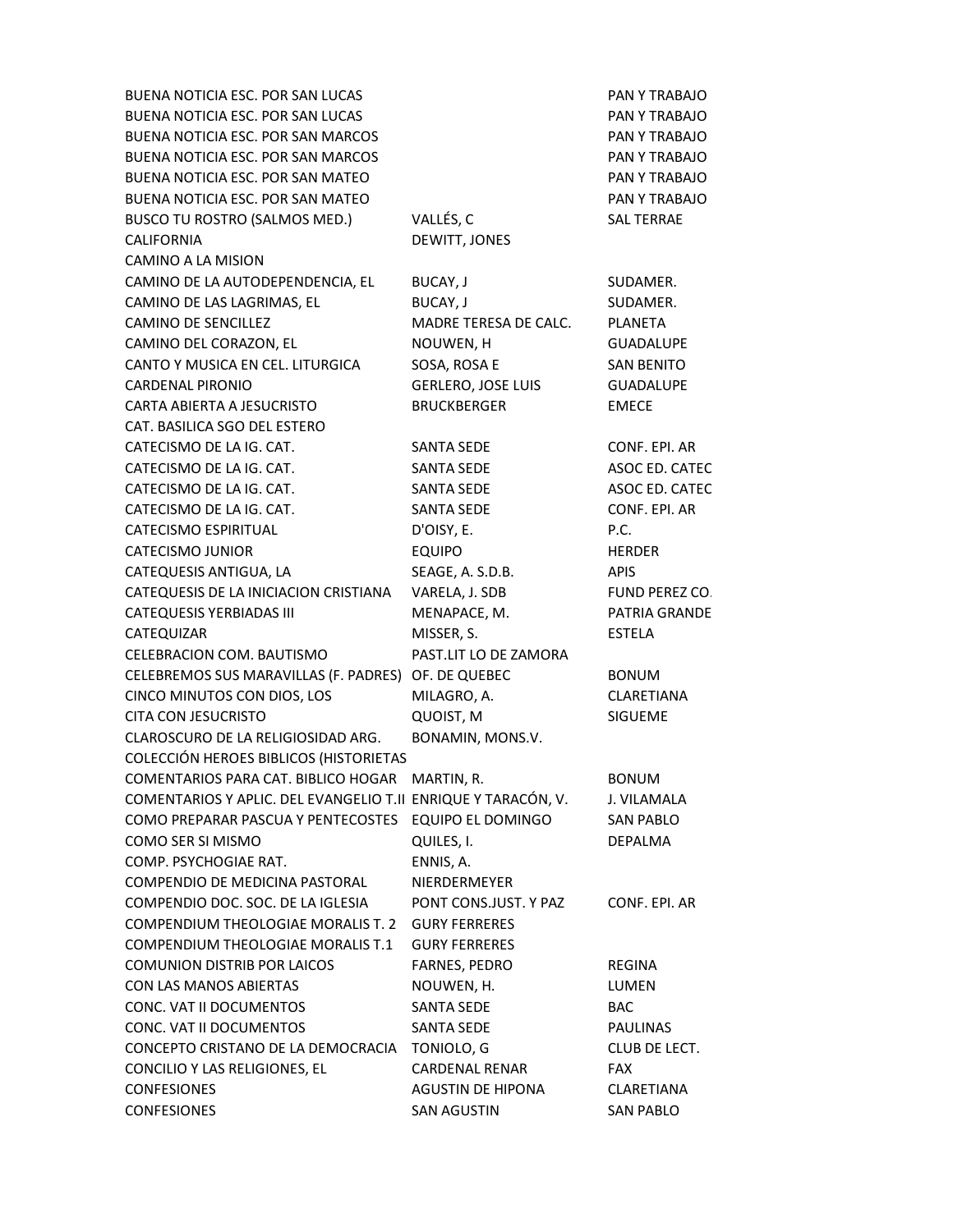BUENA NOTICIA ESC. POR SAN LUCAS **PAN Y TRABAJO** BUENA NOTICIA ESC. POR SAN LUCAS PAN Y TRABAJO BUENA NOTICIA ESC. POR SAN MARCOS PAN Y TRABAJO BUENA NOTICIA ESC. POR SAN MARCOS PAN Y TRABAJO BUENA NOTICIA ESC. POR SAN MATEO **Example 20 September 1999 PAN Y TRABAJO** BUENA NOTICIA ESC. POR SAN MATEO **PAN Y TRABAJO** BUSCO TU ROSTRO (SALMOS MED.) VALLÉS, C<br>
VALLÉS, C CALIFORNIA DEWITT, JONES CAMINO A LA MISION CAMINO DE LA AUTODEPENDENCIA, EL BUCAY, J SUDAMER. CAMINO DE LAS LAGRIMAS, EL BUCAY, J SUDAMER. CAMINO DE SENCILLEZ MADRE TERESA DE CALC. PLANETA CAMINO DEL CORAZON, EL NOUWEN, H GUADALUPE CANTO Y MUSICA EN CEL. LITURGICA SOSA, ROSA E SAN BENITO CARDENAL PIRONIO GERLERO, JOSE LUIS GUADALUPE CARTA ABIERTA A JESUCRISTO BRUCKBERGER EMECE CAT. BASILICA SGO DEL ESTERO CATECISMO DE LA IG. CAT. SANTA SEDE CONF. EPI. AR CATECISMO DE LA IG. CAT. SANTA SEDE ASOC ED. CATEC CATECISMO DE LA IG. CAT. SANTA SEDE ASOC ED. CATEC CATECISMO DE LA IG. CAT. SANTA SEDE CONF. EPI. AR CATECISMO ESPIRITUAL D'OISY, E. P.C. CATECISMO JUNIOR EQUIPO HERDER CATEQUESIS ANTIGUA, LA SEAGE, A. S.D.B. APIS CATEQUESIS DE LA INICIACION CRISTIANA VARELA, J. SDB FUND PEREZ CO. CATEQUESIS YERBIADAS III MENAPACE, M. PATRIA GRANDE CATEQUIZAR MISSER, S. ESTELA CELEBRACION COM. BAUTISMO PAST.LIT LO DE ZAMORA CELEBREMOS SUS MARAVILLAS (F. PADRES) OF. DE QUEBEC BONUM CINCO MINUTOS CON DIOS, LOS MILAGRO, A. CLARETIANA CITA CON JESUCRISTO QUOIST, M SIGUEME CLAROSCURO DE LA RELIGIOSIDAD ARG. BONAMIN, MONS.V. COLECCIÓN HEROES BIBLICOS (HISTORIETAS COMENTARIOS PARA CAT. BIBLICO HOGAR MARTIN, R. BONUM COMENTARIOS Y APLIC. DEL EVANGELIO T.II ENRIQUE Y TARACÓN, V. J. VILAMALA COMO PREPARAR PASCUA Y PENTECOSTES EQUIPO EL DOMINGO SAN PABLO COMO SER SI MISMO QUILES, I. DEPALMA COMP. PSYCHOGIAE RAT. ENNIS, A. COMPENDIO DE MEDICINA PASTORAL NIERDERMEYER COMPENDIO DOC. SOC. DE LA IGLESIA PONT CONS.JUST. Y PAZ CONF. EPI. AR COMPENDIUM THEOLOGIAE MORALIS T. 2 GURY FERRERES COMPENDIUM THEOLOGIAE MORALIS T.1 GURY FERRERES COMUNION DISTRIB POR LAICOS FARNES, PEDRO REGINA CON LAS MANOS ABIERTAS NOUWEN, H. LUMEN CONC. VAT II DOCUMENTOS SANTA SEDE BAC CONC. VAT II DOCUMENTOS SANTA SEDE PAULINAS CONCEPTO CRISTANO DE LA DEMOCRACIA TONIOLO, G CLUB DE LECT. CONCILIO Y LAS RELIGIONES, EL CARDENAL RENAR FAX CONFESIONES AGUSTIN DE HIPONA CLARETIANA CONFESIONES SAN AGUSTIN SAN PABLO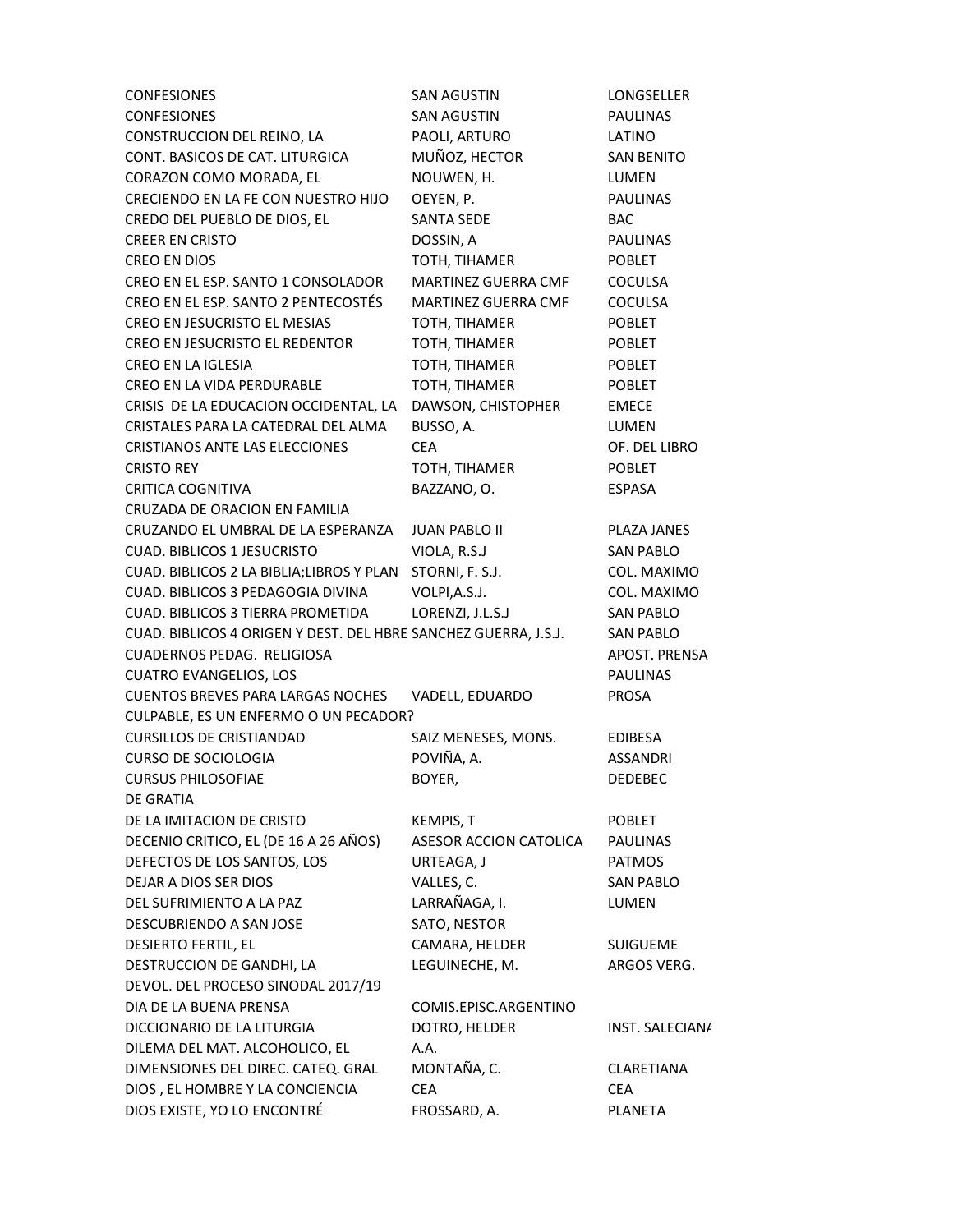| <b>CONFESIONES</b>                                              | <b>SAN AGUSTIN</b>         | LONGSELLER        |  |
|-----------------------------------------------------------------|----------------------------|-------------------|--|
| <b>CONFESIONES</b>                                              | <b>SAN AGUSTIN</b>         | <b>PAULINAS</b>   |  |
| CONSTRUCCION DEL REINO, LA                                      | PAOLI, ARTURO              | LATINO            |  |
| CONT. BASICOS DE CAT. LITURGICA                                 | MUÑOZ, HECTOR              | <b>SAN BENITO</b> |  |
| CORAZON COMO MORADA, EL                                         | NOUWEN, H.                 | LUMEN             |  |
| CRECIENDO EN LA FE CON NUESTRO HIJO                             | OEYEN, P.                  | <b>PAULINAS</b>   |  |
| CREDO DEL PUEBLO DE DIOS, EL                                    | SANTA SEDE                 | <b>BAC</b>        |  |
| <b>CREER EN CRISTO</b>                                          | DOSSIN, A                  | <b>PAULINAS</b>   |  |
| CREO EN DIOS                                                    | TOTH, TIHAMER              | <b>POBLET</b>     |  |
| CREO EN EL ESP. SANTO 1 CONSOLADOR                              | MARTINEZ GUERRA CMF        | <b>COCULSA</b>    |  |
| CREO EN EL ESP. SANTO 2 PENTECOSTÉS                             | <b>MARTINEZ GUERRA CMF</b> | COCULSA           |  |
| CREO EN JESUCRISTO EL MESIAS                                    | TOTH, TIHAMER              | <b>POBLET</b>     |  |
| CREO EN JESUCRISTO EL REDENTOR                                  | TOTH, TIHAMER              | <b>POBLET</b>     |  |
| CREO EN LA IGLESIA                                              | TOTH, TIHAMER              | <b>POBLET</b>     |  |
| CREO EN LA VIDA PERDURABLE                                      | TOTH, TIHAMER              | <b>POBLET</b>     |  |
| CRISIS DE LA EDUCACION OCCIDENTAL, LA                           | DAWSON, CHISTOPHER         | <b>EMECE</b>      |  |
| CRISTALES PARA LA CATEDRAL DEL ALMA                             | BUSSO, A.                  | LUMEN             |  |
| CRISTIANOS ANTE LAS ELECCIONES                                  | <b>CEA</b>                 | OF. DEL LIBRO     |  |
| <b>CRISTO REY</b>                                               | TOTH, TIHAMER              | <b>POBLET</b>     |  |
| CRITICA COGNITIVA                                               | BAZZANO, O.                | <b>ESPASA</b>     |  |
| CRUZADA DE ORACION EN FAMILIA                                   |                            |                   |  |
| CRUZANDO EL UMBRAL DE LA ESPERANZA                              | <b>JUAN PABLO II</b>       | PLAZA JANES       |  |
| <b>CUAD. BIBLICOS 1 JESUCRISTO</b>                              | VIOLA, R.S.J               | <b>SAN PABLO</b>  |  |
| CUAD. BIBLICOS 2 LA BIBLIA; LIBROS Y PLAN                       | STORNI, F. S.J.            | COL. MAXIMO       |  |
| CUAD. BIBLICOS 3 PEDAGOGIA DIVINA                               | VOLPI, A.S.J.              | COL. MAXIMO       |  |
| CUAD. BIBLICOS 3 TIERRA PROMETIDA                               | LORENZI, J.L.S.J           | <b>SAN PABLO</b>  |  |
| CUAD. BIBLICOS 4 ORIGEN Y DEST. DEL HBRE SANCHEZ GUERRA, J.S.J. |                            | <b>SAN PABLO</b>  |  |
| CUADERNOS PEDAG. RELIGIOSA                                      |                            | APOST. PRENSA     |  |
| <b>CUATRO EVANGELIOS, LOS</b>                                   |                            | <b>PAULINAS</b>   |  |
| <b>CUENTOS BREVES PARA LARGAS NOCHES</b>                        | VADELL, EDUARDO            | <b>PROSA</b>      |  |
| CULPABLE, ES UN ENFERMO O UN PECADOR?                           |                            |                   |  |
| <b>CURSILLOS DE CRISTIANDAD</b>                                 | SAIZ MENESES, MONS.        | EDIBESA           |  |
| <b>CURSO DE SOCIOLOGIA</b>                                      | POVIÑA, A.                 | <b>ASSANDRI</b>   |  |
| <b>CURSUS PHILOSOFIAE</b>                                       | BOYER,                     | <b>DEDEBEC</b>    |  |
| DE GRATIA                                                       |                            |                   |  |
| DE LA IMITACION DE CRISTO                                       | KEMPIS, T                  | <b>POBLET</b>     |  |
| DECENIO CRITICO, EL (DE 16 A 26 AÑOS)                           | ASESOR ACCION CATOLICA     | <b>PAULINAS</b>   |  |
| DEFECTOS DE LOS SANTOS, LOS                                     | URTEAGA, J                 | <b>PATMOS</b>     |  |
| DEJAR A DIOS SER DIOS                                           | VALLES, C.                 | <b>SAN PABLO</b>  |  |
| DEL SUFRIMIENTO A LA PAZ                                        | LARRAÑAGA, I.              | LUMEN             |  |
| DESCUBRIENDO A SAN JOSE                                         | SATO, NESTOR               |                   |  |
| DESIERTO FERTIL, EL                                             | CAMARA, HELDER             | <b>SUIGUEME</b>   |  |
| DESTRUCCION DE GANDHI, LA                                       | LEGUINECHE, M.             | ARGOS VERG.       |  |
| DEVOL. DEL PROCESO SINODAL 2017/19                              |                            |                   |  |
| DIA DE LA BUENA PRENSA                                          | COMIS.EPISC.ARGENTINO      |                   |  |
| DICCIONARIO DE LA LITURGIA                                      | DOTRO, HELDER              | INST. SALECIANA   |  |
| DILEMA DEL MAT. ALCOHOLICO, EL                                  | A.A.                       |                   |  |
| DIMENSIONES DEL DIREC. CATEQ. GRAL                              | MONTAÑA, C.                | CLARETIANA        |  |
| DIOS, EL HOMBRE Y LA CONCIENCIA                                 | <b>CEA</b>                 | CEA               |  |
| DIOS EXISTE, YO LO ENCONTRÉ                                     | FROSSARD, A.               | PLANETA           |  |
|                                                                 |                            |                   |  |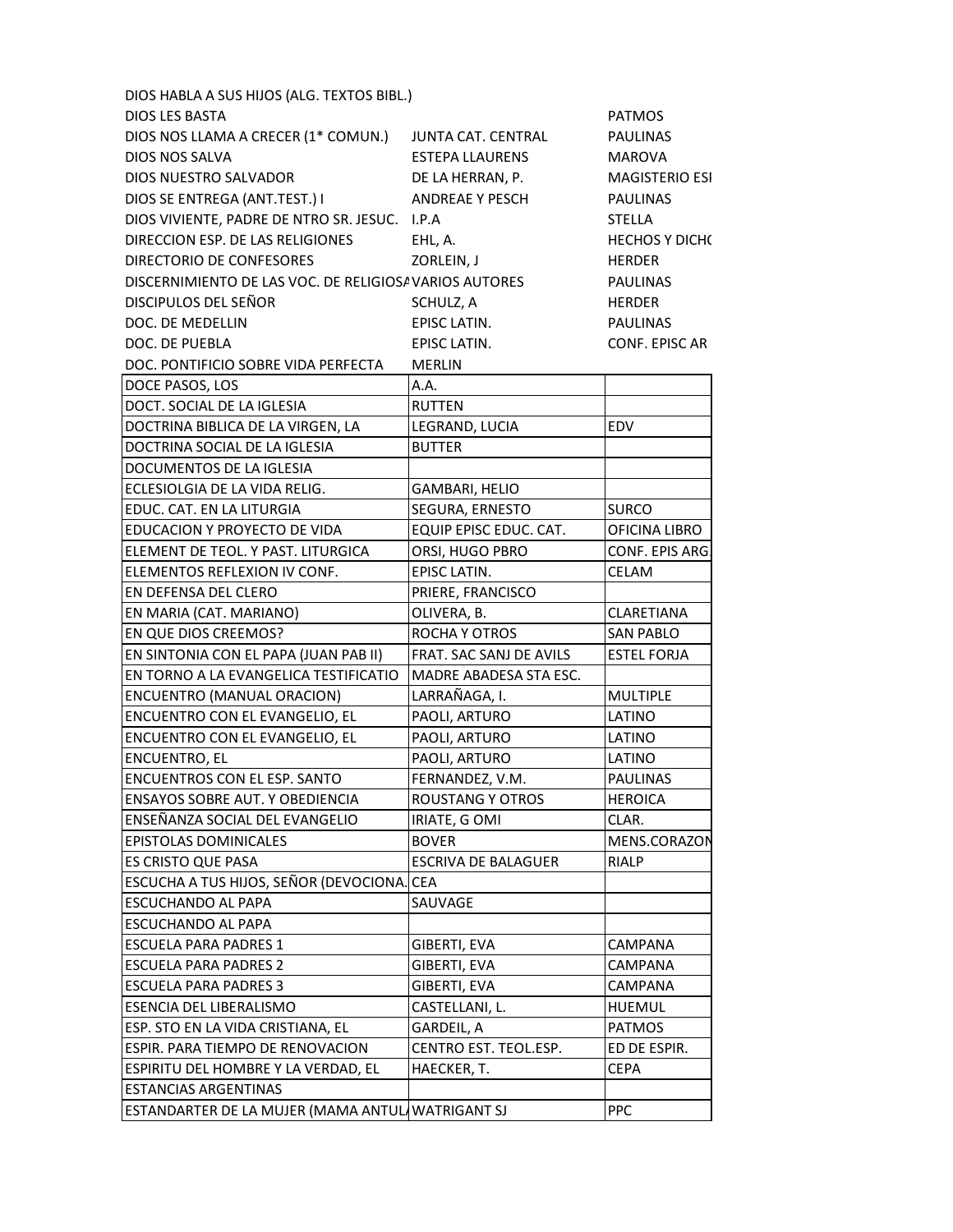| DIOS HABLA A SUS HIJOS (ALG. TEXTOS BIBL.)             |                            |                       |
|--------------------------------------------------------|----------------------------|-----------------------|
| <b>DIOS LES BASTA</b>                                  |                            | <b>PATMOS</b>         |
| DIOS NOS LLAMA A CRECER (1* COMUN.)                    | JUNTA CAT. CENTRAL         | <b>PAULINAS</b>       |
| <b>DIOS NOS SALVA</b>                                  | <b>ESTEPA LLAURENS</b>     | <b>MAROVA</b>         |
| DIOS NUESTRO SALVADOR                                  | DE LA HERRAN, P.           | <b>MAGISTERIO ESI</b> |
| DIOS SE ENTREGA (ANT.TEST.) I                          | <b>ANDREAE Y PESCH</b>     | <b>PAULINAS</b>       |
| DIOS VIVIENTE, PADRE DE NTRO SR. JESUC. I.P.A          |                            | <b>STELLA</b>         |
| DIRECCION ESP. DE LAS RELIGIONES                       | EHL, A.                    | <b>HECHOS Y DICH(</b> |
| DIRECTORIO DE CONFESORES                               | ZORLEIN, J                 | <b>HERDER</b>         |
| DISCERNIMIENTO DE LAS VOC. DE RELIGIOSA VARIOS AUTORES |                            | <b>PAULINAS</b>       |
| DISCIPULOS DEL SEÑOR                                   | SCHULZ, A                  | <b>HERDER</b>         |
| DOC. DE MEDELLIN                                       | EPISC LATIN.               | <b>PAULINAS</b>       |
| DOC. DE PUEBLA                                         | EPISC LATIN.               | CONF. EPISC AR        |
| DOC. PONTIFICIO SOBRE VIDA PERFECTA                    | <b>MERLIN</b>              |                       |
| DOCE PASOS, LOS                                        | A.A.                       |                       |
| DOCT. SOCIAL DE LA IGLESIA                             | <b>RUTTEN</b>              |                       |
| DOCTRINA BIBLICA DE LA VIRGEN, LA                      | LEGRAND, LUCIA             | EDV                   |
| DOCTRINA SOCIAL DE LA IGLESIA                          | <b>BUTTER</b>              |                       |
| DOCUMENTOS DE LA IGLESIA                               |                            |                       |
| ECLESIOLGIA DE LA VIDA RELIG.                          | GAMBARI, HELIO             |                       |
| EDUC. CAT. EN LA LITURGIA                              | SEGURA, ERNESTO            | <b>SURCO</b>          |
| EDUCACION Y PROYECTO DE VIDA                           | EQUIP EPISC EDUC. CAT.     | OFICINA LIBRO         |
| ELEMENT DE TEOL. Y PAST. LITURGICA                     | ORSI, HUGO PBRO            | CONF. EPIS ARG.       |
| ELEMENTOS REFLEXION IV CONF.                           | EPISC LATIN.               | CELAM                 |
| EN DEFENSA DEL CLERO                                   | PRIERE, FRANCISCO          |                       |
| EN MARIA (CAT. MARIANO)                                | OLIVERA, B.                | CLARETIANA            |
| EN QUE DIOS CREEMOS?                                   | ROCHA Y OTROS              | <b>SAN PABLO</b>      |
| EN SINTONIA CON EL PAPA (JUAN PAB II)                  | FRAT. SAC SANJ DE AVILS    | <b>ESTEL FORJA</b>    |
| EN TORNO A LA EVANGELICA TESTIFICATIO                  | MADRE ABADESA STA ESC.     |                       |
| <b>ENCUENTRO (MANUAL ORACION)</b>                      | LARRAÑAGA, I.              | <b>MULTIPLE</b>       |
| ENCUENTRO CON EL EVANGELIO, EL                         | PAOLI, ARTURO              | LATINO                |
| ENCUENTRO CON EL EVANGELIO, EL                         | PAOLI, ARTURO              | LATINO                |
| <b>ENCUENTRO, EL</b>                                   | PAOLI, ARTURO              | LATINO                |
| <b>ENCUENTROS CON EL ESP. SANTO</b>                    | FERNANDEZ, V.M.            | <b>PAULINAS</b>       |
| ENSAYOS SOBRE AUT. Y OBEDIENCIA                        | <b>ROUSTANG Y OTROS</b>    | <b>HEROICA</b>        |
| ENSEÑANZA SOCIAL DEL EVANGELIO                         | IRIATE, G OMI              | CLAR.                 |
| <b>EPISTOLAS DOMINICALES</b>                           | <b>BOVER</b>               | MENS.CORAZON          |
| <b>ES CRISTO QUE PASA</b>                              | <b>ESCRIVA DE BALAGUER</b> | <b>RIALP</b>          |
| ESCUCHA A TUS HIJOS, SEÑOR (DEVOCIONA. CEA             |                            |                       |
| <b>ESCUCHANDO AL PAPA</b>                              | SAUVAGE                    |                       |
| <b>ESCUCHANDO AL PAPA</b>                              |                            |                       |
| <b>ESCUELA PARA PADRES 1</b>                           | GIBERTI, EVA               | CAMPANA               |
| <b>ESCUELA PARA PADRES 2</b>                           | GIBERTI, EVA               | CAMPANA               |
| <b>ESCUELA PARA PADRES 3</b>                           | GIBERTI, EVA               | CAMPANA               |
| <b>ESENCIA DEL LIBERALISMO</b>                         | CASTELLANI, L.             | <b>HUEMUL</b>         |
| ESP. STO EN LA VIDA CRISTIANA, EL                      | GARDEIL, A                 | <b>PATMOS</b>         |
| ESPIR. PARA TIEMPO DE RENOVACION                       | CENTRO EST. TEOL.ESP.      | ED DE ESPIR.          |
| ESPIRITU DEL HOMBRE Y LA VERDAD, EL                    | HAECKER, T.                | <b>CEPA</b>           |
| <b>ESTANCIAS ARGENTINAS</b>                            |                            |                       |
| ESTANDARTER DE LA MUJER (MAMA ANTULAWATRIGANT SJ       |                            | <b>PPC</b>            |
|                                                        |                            |                       |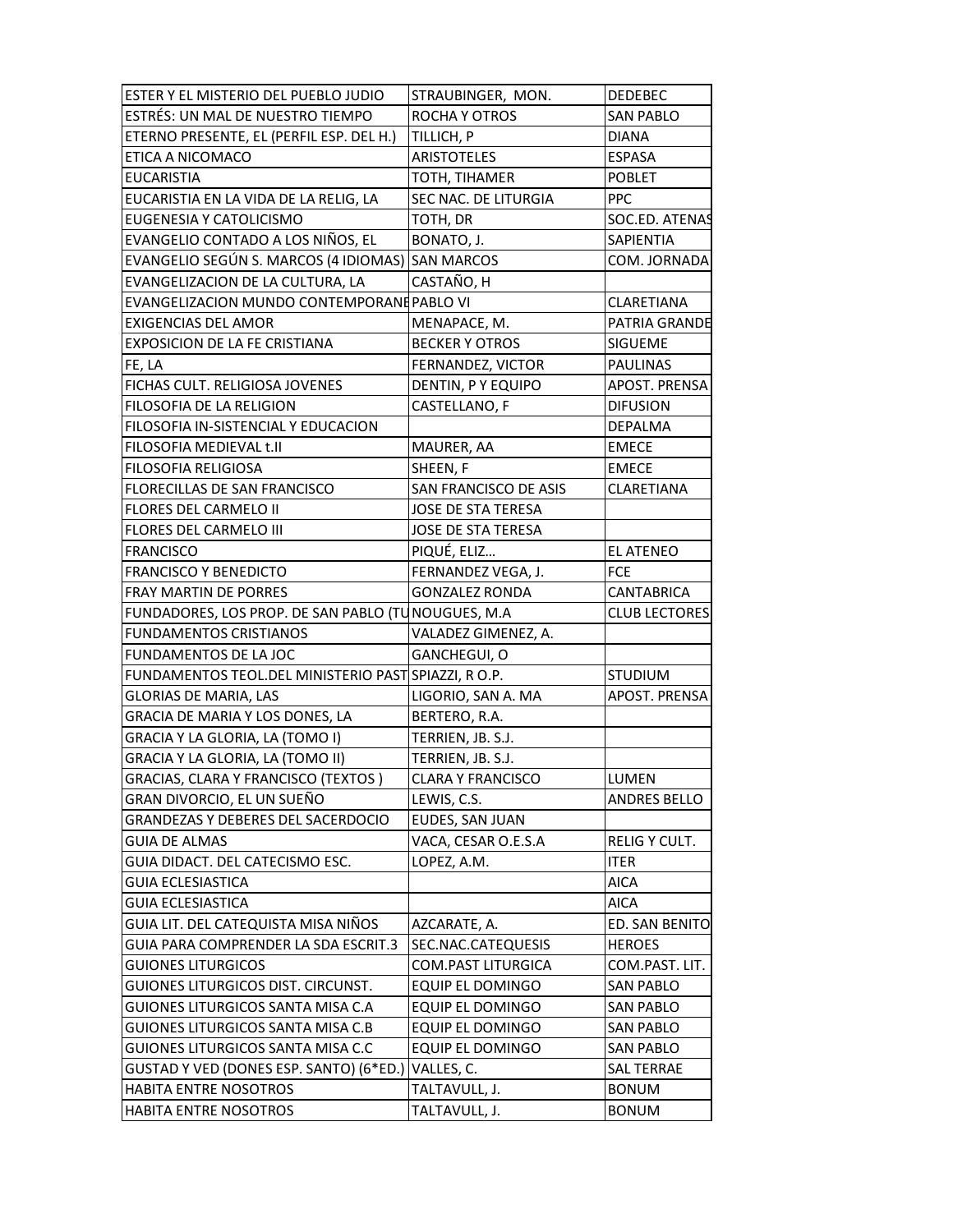| ESTER Y EL MISTERIO DEL PUEBLO JUDIO                | STRAUBINGER, MON.         | <b>DEDEBEC</b>       |
|-----------------------------------------------------|---------------------------|----------------------|
| ESTRÉS: UN MAL DE NUESTRO TIEMPO                    | ROCHA Y OTROS             | <b>SAN PABLO</b>     |
| ETERNO PRESENTE, EL (PERFIL ESP. DEL H.)            | TILLICH, P                | <b>DIANA</b>         |
| ETICA A NICOMACO                                    | <b>ARISTOTELES</b>        | <b>ESPASA</b>        |
| <b>EUCARISTIA</b>                                   | TOTH, TIHAMER             | <b>POBLET</b>        |
| EUCARISTIA EN LA VIDA DE LA RELIG, LA               | SEC NAC. DE LITURGIA      | <b>PPC</b>           |
| EUGENESIA Y CATOLICISMO                             | TOTH, DR                  | SOC.ED. ATENAS       |
| EVANGELIO CONTADO A LOS NIÑOS, EL                   | BONATO, J.                | SAPIENTIA            |
| EVANGELIO SEGÚN S. MARCOS (4 IDIOMAS) SAN MARCOS    |                           | COM. JORNADA         |
| EVANGELIZACION DE LA CULTURA, LA                    | CASTAÑO, H                |                      |
| EVANGELIZACION MUNDO CONTEMPORANE PABLO VI          |                           | CLARETIANA           |
| <b>EXIGENCIAS DEL AMOR</b>                          | MENAPACE, M.              | PATRIA GRANDE        |
| EXPOSICION DE LA FE CRISTIANA                       | <b>BECKER Y OTROS</b>     | SIGUEME              |
| FE, LA                                              | FERNANDEZ, VICTOR         | <b>PAULINAS</b>      |
| FICHAS CULT. RELIGIOSA JOVENES                      | DENTIN, PY EQUIPO         | APOST. PRENSA        |
| FILOSOFIA DE LA RELIGION                            | CASTELLANO, F             | <b>DIFUSION</b>      |
| FILOSOFIA IN-SISTENCIAL Y EDUCACION                 |                           | <b>DEPALMA</b>       |
| FILOSOFIA MEDIEVAL t.II                             | MAURER, AA                | <b>EMECE</b>         |
| <b>FILOSOFIA RELIGIOSA</b>                          | SHEEN, F                  | <b>EMECE</b>         |
| FLORECILLAS DE SAN FRANCISCO                        | SAN FRANCISCO DE ASIS     | CLARETIANA           |
| FLORES DEL CARMELO II                               | JOSE DE STA TERESA        |                      |
| <b>FLORES DEL CARMELO III</b>                       | JOSE DE STA TERESA        |                      |
| <b>FRANCISCO</b>                                    | PIQUÉ, ELIZ               | <b>EL ATENEO</b>     |
| <b>FRANCISCO Y BENEDICTO</b>                        | FERNANDEZ VEGA, J.        | <b>FCE</b>           |
| FRAY MARTIN DE PORRES                               | <b>GONZALEZ RONDA</b>     | <b>CANTABRICA</b>    |
| FUNDADORES, LOS PROP. DE SAN PABLO (TUNOUGUES, M.A. |                           |                      |
|                                                     |                           | <b>CLUB LECTORES</b> |
| <b>FUNDAMENTOS CRISTIANOS</b>                       | VALADEZ GIMENEZ, A.       |                      |
| FUNDAMENTOS DE LA JOC                               | GANCHEGUI, O              |                      |
| FUNDAMENTOS TEOL.DEL MINISTERIO PAST SPIAZZI, RO.P. |                           | <b>STUDIUM</b>       |
| <b>GLORIAS DE MARIA, LAS</b>                        | LIGORIO, SAN A. MA        | APOST. PRENSA        |
| GRACIA DE MARIA Y LOS DONES, LA                     | BERTERO, R.A.             |                      |
| GRACIA Y LA GLORIA, LA (TOMO I)                     | TERRIEN, JB. S.J.         |                      |
| GRACIA Y LA GLORIA, LA (TOMO II)                    | TERRIEN, JB. S.J.         |                      |
| GRACIAS, CLARA Y FRANCISCO (TEXTOS)                 | <b>CLARA Y FRANCISCO</b>  | LUMEN                |
| GRAN DIVORCIO, EL UN SUEÑO                          | LEWIS, C.S.               | ANDRES BELLO         |
| <b>GRANDEZAS Y DEBERES DEL SACERDOCIO</b>           | EUDES, SAN JUAN           |                      |
| GUIA DE ALMAS                                       | VACA, CESAR O.E.S.A       | RELIG Y CULT.        |
| GUIA DIDACT. DEL CATECISMO ESC.                     | LOPEZ, A.M.               | <b>ITER</b>          |
| <b>GUIA ECLESIASTICA</b>                            |                           | <b>AICA</b>          |
| <b>GUIA ECLESIASTICA</b>                            |                           | <b>AICA</b>          |
| GUIA LIT. DEL CATEQUISTA MISA NIÑOS                 | AZCARATE, A.              | ED. SAN BENITO       |
| GUIA PARA COMPRENDER LA SDA ESCRIT.3                | SEC.NAC.CATEQUESIS        | <b>HEROES</b>        |
| <b>GUIONES LITURGICOS</b>                           | <b>COM.PAST LITURGICA</b> | COM.PAST. LIT.       |
| GUIONES LITURGICOS DIST. CIRCUNST.                  | EQUIP EL DOMINGO          | <b>SAN PABLO</b>     |
| GUIONES LITURGICOS SANTA MISA C.A                   | EQUIP EL DOMINGO          | <b>SAN PABLO</b>     |
| GUIONES LITURGICOS SANTA MISA C.B                   | <b>EQUIP EL DOMINGO</b>   | <b>SAN PABLO</b>     |
| GUIONES LITURGICOS SANTA MISA C.C                   | EQUIP EL DOMINGO          | <b>SAN PABLO</b>     |
| GUSTAD Y VED (DONES ESP. SANTO) (6*ED.)             | VALLES, C.                | <b>SAL TERRAE</b>    |
| HABITA ENTRE NOSOTROS                               | TALTAVULL, J.             | <b>BONUM</b>         |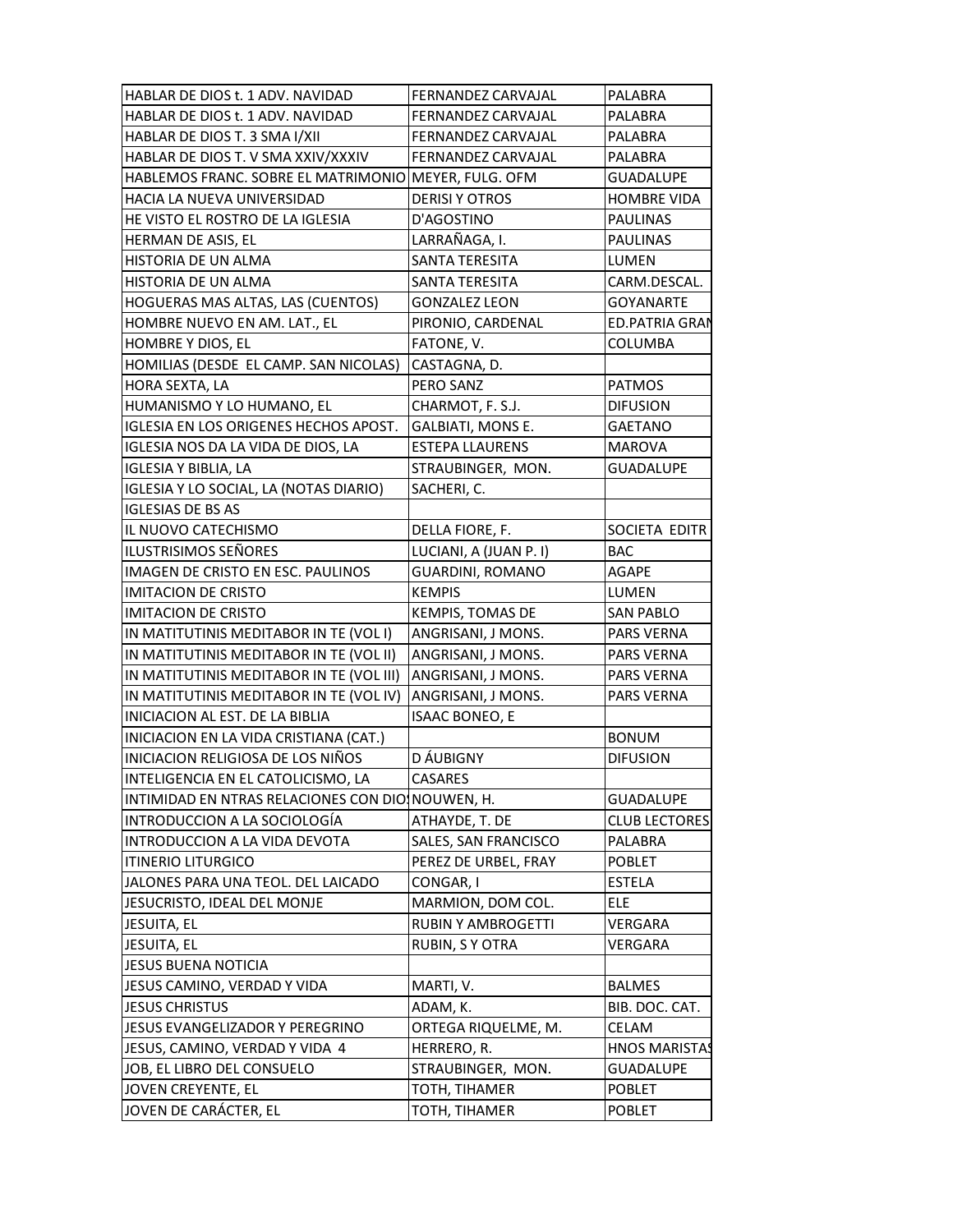| HABLAR DE DIOS t. 1 ADV. NAVIDAD                     | <b>FERNANDEZ CARVAJAL</b> | PALABRA               |
|------------------------------------------------------|---------------------------|-----------------------|
| HABLAR DE DIOS t. 1 ADV. NAVIDAD                     | FERNANDEZ CARVAJAL        | PALABRA               |
| HABLAR DE DIOS T. 3 SMA I/XII                        | FERNANDEZ CARVAJAL        | PALABRA               |
| HABLAR DE DIOS T. V SMA XXIV/XXXIV                   | <b>FERNANDEZ CARVAJAL</b> | PALABRA               |
| HABLEMOS FRANC. SOBRE EL MATRIMONIO MEYER, FULG. OFM |                           | <b>GUADALUPE</b>      |
| HACIA LA NUEVA UNIVERSIDAD                           | <b>DERISI Y OTROS</b>     | <b>HOMBRE VIDA</b>    |
| HE VISTO EL ROSTRO DE LA IGLESIA                     | D'AGOSTINO                | <b>PAULINAS</b>       |
| HERMAN DE ASIS, EL                                   | LARRAÑAGA, I.             | <b>PAULINAS</b>       |
| HISTORIA DE UN ALMA                                  | SANTA TERESITA            | LUMEN                 |
| HISTORIA DE UN ALMA                                  | SANTA TERESITA            | CARM.DESCAL.          |
| HOGUERAS MAS ALTAS, LAS (CUENTOS)                    | <b>GONZALEZ LEON</b>      | <b>GOYANARTE</b>      |
| HOMBRE NUEVO EN AM. LAT., EL                         | PIRONIO, CARDENAL         | <b>ED.PATRIA GRAN</b> |
| HOMBRE Y DIOS, EL                                    | FATONE, V.                | COLUMBA               |
| HOMILIAS (DESDE EL CAMP. SAN NICOLAS)                | CASTAGNA, D.              |                       |
| HORA SEXTA, LA                                       | PERO SANZ                 | <b>PATMOS</b>         |
| HUMANISMO Y LO HUMANO, EL                            | CHARMOT, F. S.J.          | <b>DIFUSION</b>       |
| IGLESIA EN LOS ORIGENES HECHOS APOST.                | GALBIATI, MONS E.         | GAETANO               |
| IGLESIA NOS DA LA VIDA DE DIOS, LA                   |                           |                       |
|                                                      | <b>ESTEPA LLAURENS</b>    | <b>MAROVA</b>         |
| <b>IGLESIA Y BIBLIA, LA</b>                          | STRAUBINGER, MON.         | <b>GUADALUPE</b>      |
| IGLESIA Y LO SOCIAL, LA (NOTAS DIARIO)               | SACHERI, C.               |                       |
| <b>IGLESIAS DE BS AS</b>                             |                           |                       |
| IL NUOVO CATECHISMO                                  | DELLA FIORE, F.           | SOCIETA EDITR         |
| ILUSTRISIMOS SEÑORES                                 | LUCIANI, A (JUAN P. I)    | <b>BAC</b>            |
| IMAGEN DE CRISTO EN ESC. PAULINOS                    | GUARDINI, ROMANO          | <b>AGAPE</b>          |
| <b>IMITACION DE CRISTO</b>                           | <b>KEMPIS</b>             | LUMEN                 |
| <b>IMITACION DE CRISTO</b>                           | KEMPIS, TOMAS DE          | SAN PABLO             |
| IN MATITUTINIS MEDITABOR IN TE (VOL I)               | ANGRISANI, J MONS.        | PARS VERNA            |
| IN MATITUTINIS MEDITABOR IN TE (VOL II)              | ANGRISANI, J MONS.        | <b>PARS VERNA</b>     |
| IN MATITUTINIS MEDITABOR IN TE (VOL III)             | ANGRISANI, J MONS.        | PARS VERNA            |
| IN MATITUTINIS MEDITABOR IN TE (VOL IV)              | ANGRISANI, J MONS.        | <b>PARS VERNA</b>     |
| INICIACION AL EST. DE LA BIBLIA                      | <b>ISAAC BONEO, E</b>     |                       |
| INICIACION EN LA VIDA CRISTIANA (CAT.)               |                           | <b>BONUM</b>          |
| INICIACION RELIGIOSA DE LOS NIÑOS                    | D ÁUBIGNY                 | <b>DIFUSION</b>       |
| INTELIGENCIA EN EL CATOLICISMO, LA                   | CASARES                   |                       |
| INTIMIDAD EN NTRAS RELACIONES CON DIOINOUWEN, H.     |                           | <b>GUADALUPE</b>      |
| INTRODUCCION A LA SOCIOLOGÍA                         | ATHAYDE, T. DE            | <b>CLUB LECTORES</b>  |
| INTRODUCCION A LA VIDA DEVOTA                        | SALES, SAN FRANCISCO      | PALABRA               |
| <b>ITINERIO LITURGICO</b>                            | PEREZ DE URBEL, FRAY      | POBLET                |
| JALONES PARA UNA TEOL. DEL LAICADO                   | CONGAR, I                 | <b>ESTELA</b>         |
| JESUCRISTO, IDEAL DEL MONJE                          | MARMION, DOM COL.         | ELE                   |
| JESUITA, EL                                          | <b>RUBIN Y AMBROGETTI</b> | VERGARA               |
| JESUITA, EL                                          | RUBIN, S Y OTRA           | VERGARA               |
| <b>JESUS BUENA NOTICIA</b>                           |                           |                       |
| JESUS CAMINO, VERDAD Y VIDA                          | MARTI, V.                 | <b>BALMES</b>         |
| <b>JESUS CHRISTUS</b>                                | ADAM, K.                  | BIB. DOC. CAT.        |
| JESUS EVANGELIZADOR Y PEREGRINO                      | ORTEGA RIQUELME, M.       | CELAM                 |
| JESUS, CAMINO, VERDAD Y VIDA 4                       | HERRERO, R.               | <b>HNOS MARISTAS</b>  |
| JOB, EL LIBRO DEL CONSUELO                           | STRAUBINGER, MON.         | GUADALUPE             |
| JOVEN CREYENTE, EL                                   | TOTH, TIHAMER             | <b>POBLET</b>         |
| JOVEN DE CARÁCTER, EL                                | TOTH, TIHAMER             | <b>POBLET</b>         |
|                                                      |                           |                       |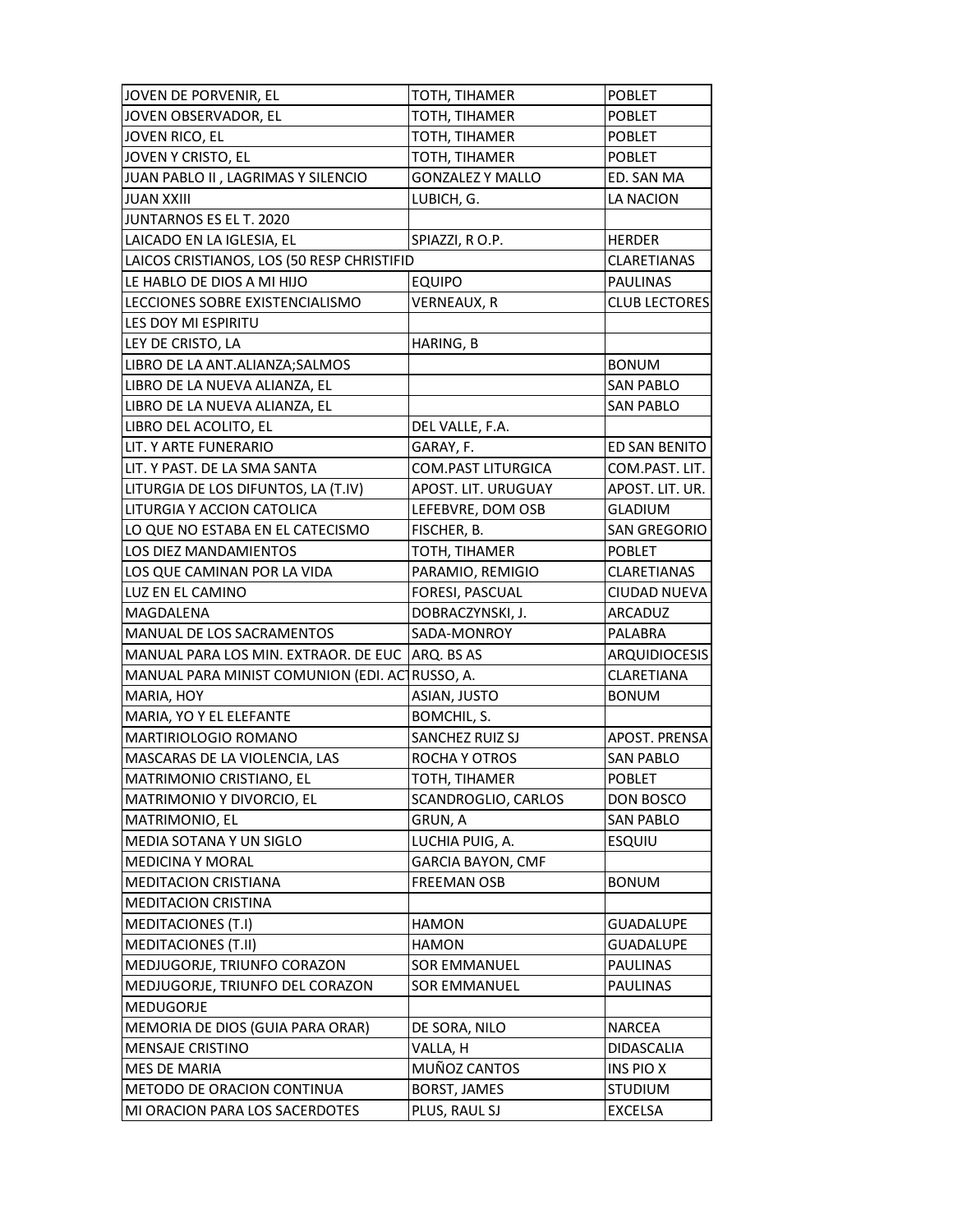| JOVEN DE PORVENIR, EL                      | TOTH, TIHAMER           | <b>POBLET</b>        |
|--------------------------------------------|-------------------------|----------------------|
| JOVEN OBSERVADOR, EL                       | TOTH, TIHAMER           | <b>POBLET</b>        |
| JOVEN RICO, EL                             | TOTH, TIHAMER           | <b>POBLET</b>        |
| JOVEN Y CRISTO, EL                         | TOTH, TIHAMER           | <b>POBLET</b>        |
| JUAN PABLO II, LAGRIMAS Y SILENCIO         | <b>GONZALEZ Y MALLO</b> | ED. SAN MA           |
| <b>JUAN XXIII</b>                          | LUBICH, G.              | LA NACION            |
| JUNTARNOS ES EL T. 2020                    |                         |                      |
| LAICADO EN LA IGLESIA, EL                  | SPIAZZI, RO.P.          | <b>HERDER</b>        |
| LAICOS CRISTIANOS, LOS (50 RESP CHRISTIFID |                         | <b>CLARETIANAS</b>   |
| LE HABLO DE DIOS A MI HIJO                 | <b>EQUIPO</b>           | <b>PAULINAS</b>      |
| LECCIONES SOBRE EXISTENCIALISMO            | VERNEAUX, R             | <b>CLUB LECTORES</b> |
| LES DOY MI ESPIRITU                        |                         |                      |
| LEY DE CRISTO, LA                          | HARING, B               |                      |
| LIBRO DE LA ANT.ALIANZA;SALMOS             |                         | <b>BONUM</b>         |
| LIBRO DE LA NUEVA ALIANZA, EL              |                         | <b>SAN PABLO</b>     |
| LIBRO DE LA NUEVA ALIANZA, EL              |                         | <b>SAN PABLO</b>     |
| LIBRO DEL ACOLITO, EL                      | DEL VALLE, F.A.         |                      |
| LIT. Y ARTE FUNERARIO                      | GARAY, F.               | ED SAN BENITO        |
| LIT. Y PAST. DE LA SMA SANTA               | COM.PAST LITURGICA      | COM.PAST. LIT.       |
| LITURGIA DE LOS DIFUNTOS, LA (T.IV)        | APOST. LIT. URUGUAY     | APOST. LIT. UR.      |
| LITURGIA Y ACCION CATOLICA                 | LEFEBVRE, DOM OSB       | <b>GLADIUM</b>       |
| LO QUE NO ESTABA EN EL CATECISMO           | FISCHER, B.             | <b>SAN GREGORIO</b>  |
| LOS DIEZ MANDAMIENTOS                      |                         | <b>POBLET</b>        |
| LOS QUE CAMINAN POR LA VIDA                | TOTH, TIHAMER           |                      |
|                                            | PARAMIO, REMIGIO        | CLARETIANAS          |
| LUZ EN EL CAMINO                           | FORESI, PASCUAL         | CIUDAD NUEVA         |
| MAGDALENA                                  | DOBRACZYNSKI, J.        | ARCADUZ              |
| MANUAL DE LOS SACRAMENTOS                  | SADA-MONROY             | PALABRA              |
| MANUAL PARA LOS MIN. EXTRAOR. DE EUC       | ARQ. BS AS              | <b>ARQUIDIOCESIS</b> |
| MANUAL PARA MINIST COMUNION (EDI. ACT      | RUSSO, A.               | CLARETIANA           |
| MARIA, HOY                                 | ASIAN, JUSTO            | <b>BONUM</b>         |
| MARIA, YO Y EL ELEFANTE                    | BOMCHIL, S.             |                      |
| MARTIRIOLOGIO ROMANO                       | SANCHEZ RUIZ SJ         | APOST. PRENSA        |
| MASCARAS DE LA VIOLENCIA, LAS              | ROCHA Y OTROS           | <b>SAN PABLO</b>     |
| <b>MATRIMONIO CRISTIANO, EL</b>            | TOTH, TIHAMER           | <b>POBLET</b>        |
| MATRIMONIO Y DIVORCIO, EL                  | SCANDROGLIO, CARLOS     | DON BOSCO            |
| MATRIMONIO, EL                             | GRUN, A                 | <b>SAN PABLO</b>     |
| MEDIA SOTANA Y UN SIGLO                    | LUCHIA PUIG, A.         | <b>ESQUIU</b>        |
| <b>MEDICINA Y MORAL</b>                    | GARCIA BAYON, CMF       |                      |
| <b>MEDITACION CRISTIANA</b>                | <b>FREEMAN OSB</b>      | <b>BONUM</b>         |
| <b>MEDITACION CRISTINA</b>                 |                         |                      |
| <b>MEDITACIONES (T.I)</b>                  | <b>HAMON</b>            | <b>GUADALUPE</b>     |
| <b>MEDITACIONES (T.II)</b>                 | <b>HAMON</b>            | <b>GUADALUPE</b>     |
| MEDJUGORJE, TRIUNFO CORAZON                | <b>SOR EMMANUEL</b>     | PAULINAS             |
| MEDJUGORJE, TRIUNFO DEL CORAZON            | <b>SOR EMMANUEL</b>     | PAULINAS             |
| MEDUGORJE                                  |                         |                      |
| MEMORIA DE DIOS (GUIA PARA ORAR)           | DE SORA, NILO           | <b>NARCEA</b>        |
| MENSAJE CRISTINO                           | VALLA, H                | DIDASCALIA           |
| MES DE MARIA                               | MUÑOZ CANTOS            | INS PIO X            |
| METODO DE ORACION CONTINUA                 | <b>BORST, JAMES</b>     | <b>STUDIUM</b>       |
| MI ORACION PARA LOS SACERDOTES             | PLUS, RAUL SJ           | EXCELSA              |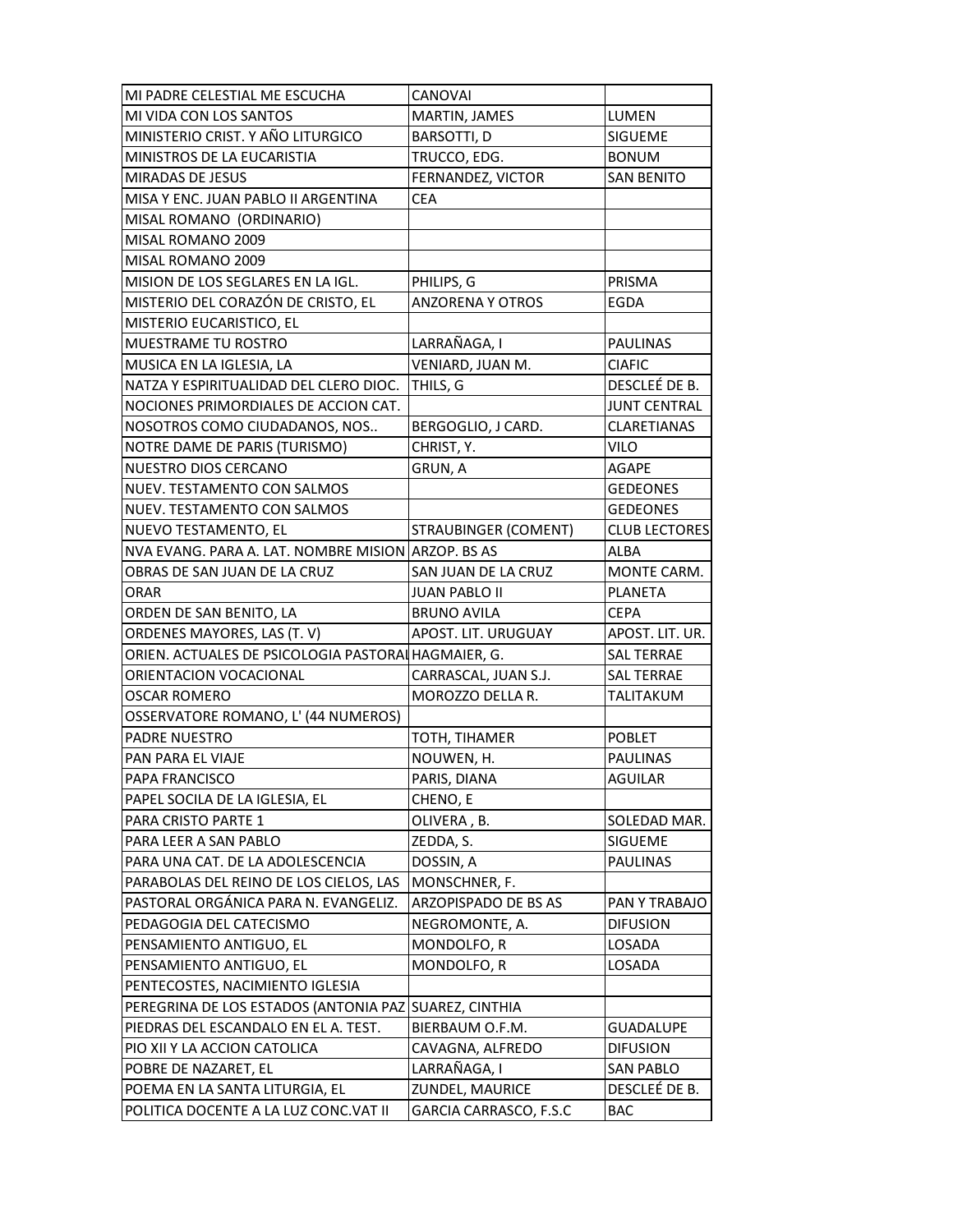| MI PADRE CELESTIAL ME ESCUCHA                                           | CANOVAI                                   |                             |
|-------------------------------------------------------------------------|-------------------------------------------|-----------------------------|
| MI VIDA CON LOS SANTOS                                                  | MARTIN, JAMES                             | LUMEN                       |
| MINISTERIO CRIST. Y AÑO LITURGICO                                       | <b>BARSOTTI, D</b>                        | SIGUEME                     |
| MINISTROS DE LA EUCARISTIA                                              | TRUCCO, EDG.                              | <b>BONUM</b>                |
| MIRADAS DE JESUS                                                        | FERNANDEZ, VICTOR                         | <b>SAN BENITO</b>           |
| MISA Y ENC. JUAN PABLO II ARGENTINA                                     | <b>CEA</b>                                |                             |
| MISAL ROMANO (ORDINARIO)                                                |                                           |                             |
| MISAL ROMANO 2009                                                       |                                           |                             |
| MISAL ROMANO 2009                                                       |                                           |                             |
| MISION DE LOS SEGLARES EN LA IGL.                                       | PHILIPS, G                                | PRISMA                      |
| MISTERIO DEL CORAZÓN DE CRISTO, EL                                      | <b>ANZORENA Y OTROS</b>                   | EGDA                        |
| MISTERIO EUCARISTICO, EL                                                |                                           |                             |
| MUESTRAME TU ROSTRO                                                     | LARRAÑAGA, I                              | <b>PAULINAS</b>             |
| MUSICA EN LA IGLESIA, LA                                                | VENIARD, JUAN M.                          | <b>CIAFIC</b>               |
| NATZA Y ESPIRITUALIDAD DEL CLERO DIOC.                                  | THILS, G                                  | DESCLEÉ DE B.               |
| NOCIONES PRIMORDIALES DE ACCION CAT.                                    |                                           | <b>JUNT CENTRAL</b>         |
| NOSOTROS COMO CIUDADANOS, NOS                                           | BERGOGLIO, J CARD.                        | <b>CLARETIANAS</b>          |
| NOTRE DAME DE PARIS (TURISMO)                                           | CHRIST, Y.                                | <b>VILO</b>                 |
| NUESTRO DIOS CERCANO                                                    | GRUN, A                                   | <b>AGAPE</b>                |
| NUEV. TESTAMENTO CON SALMOS                                             |                                           | <b>GEDEONES</b>             |
| NUEV. TESTAMENTO CON SALMOS                                             |                                           | <b>GEDEONES</b>             |
| NUEVO TESTAMENTO, EL                                                    | <b>STRAUBINGER (COMENT)</b>               | <b>CLUB LECTORES</b>        |
| NVA EVANG. PARA A. LAT. NOMBRE MISION ARZOP. BS AS                      |                                           | ALBA                        |
| OBRAS DE SAN JUAN DE LA CRUZ                                            | SAN JUAN DE LA CRUZ                       | MONTE CARM.                 |
| <b>ORAR</b>                                                             | <b>JUAN PABLO II</b>                      | <b>PLANETA</b>              |
|                                                                         |                                           |                             |
|                                                                         |                                           |                             |
| ORDEN DE SAN BENITO, LA                                                 | <b>BRUNO AVILA</b>                        | <b>CEPA</b>                 |
| ORDENES MAYORES, LAS (T. V)                                             | APOST. LIT. URUGUAY                       | APOST. LIT. UR.             |
| ORIEN. ACTUALES DE PSICOLOGIA PASTORAI HAGMAIER, G.                     |                                           | <b>SAL TERRAE</b>           |
| ORIENTACION VOCACIONAL                                                  | CARRASCAL, JUAN S.J.                      | <b>SAL TERRAE</b>           |
| <b>OSCAR ROMERO</b>                                                     | MOROZZO DELLA R.                          | <b>TALITAKUM</b>            |
| OSSERVATORE ROMANO, L' (44 NUMEROS)                                     |                                           |                             |
| PADRE NUESTRO                                                           | TOTH, TIHAMER                             | <b>POBLET</b>               |
| PAN PARA EL VIAJE                                                       | NOUWEN, H.                                | PAULINAS                    |
| PAPA FRANCISCO                                                          | PARIS, DIANA                              | AGUILAR                     |
| PAPEL SOCILA DE LA IGLESIA, EL                                          | CHENO, E                                  |                             |
| PARA CRISTO PARTE 1                                                     | OLIVERA, B.                               | SOLEDAD MAR.                |
| PARA LEER A SAN PABLO                                                   | ZEDDA, S.                                 | SIGUEME                     |
| PARA UNA CAT. DE LA ADOLESCENCIA                                        | DOSSIN, A                                 | PAULINAS                    |
| PARABOLAS DEL REINO DE LOS CIELOS, LAS                                  | MONSCHNER, F.                             |                             |
| PASTORAL ORGÁNICA PARA N. EVANGELIZ.                                    | ARZOPISPADO DE BS AS                      | PAN Y TRABAJO               |
| PEDAGOGIA DEL CATECISMO                                                 | NEGROMONTE, A.                            | <b>DIFUSION</b>             |
| PENSAMIENTO ANTIGUO, EL                                                 | MONDOLFO, R                               | LOSADA                      |
| PENSAMIENTO ANTIGUO, EL                                                 | MONDOLFO, R                               | LOSADA                      |
| PENTECOSTES, NACIMIENTO IGLESIA                                         |                                           |                             |
| PEREGRINA DE LOS ESTADOS (ANTONIA PAZ                                   | <b>SUAREZ, CINTHIA</b>                    |                             |
| PIEDRAS DEL ESCANDALO EN EL A. TEST.                                    | BIERBAUM O.F.M.                           | <b>GUADALUPE</b>            |
| PIO XII Y LA ACCION CATOLICA                                            | CAVAGNA, ALFREDO                          | <b>DIFUSION</b>             |
| POBRE DE NAZARET, EL                                                    | LARRAÑAGA, I                              | <b>SAN PABLO</b>            |
| POEMA EN LA SANTA LITURGIA, EL<br>POLITICA DOCENTE A LA LUZ CONC.VAT II | ZUNDEL, MAURICE<br>GARCIA CARRASCO, F.S.C | DESCLEÉ DE B.<br><b>BAC</b> |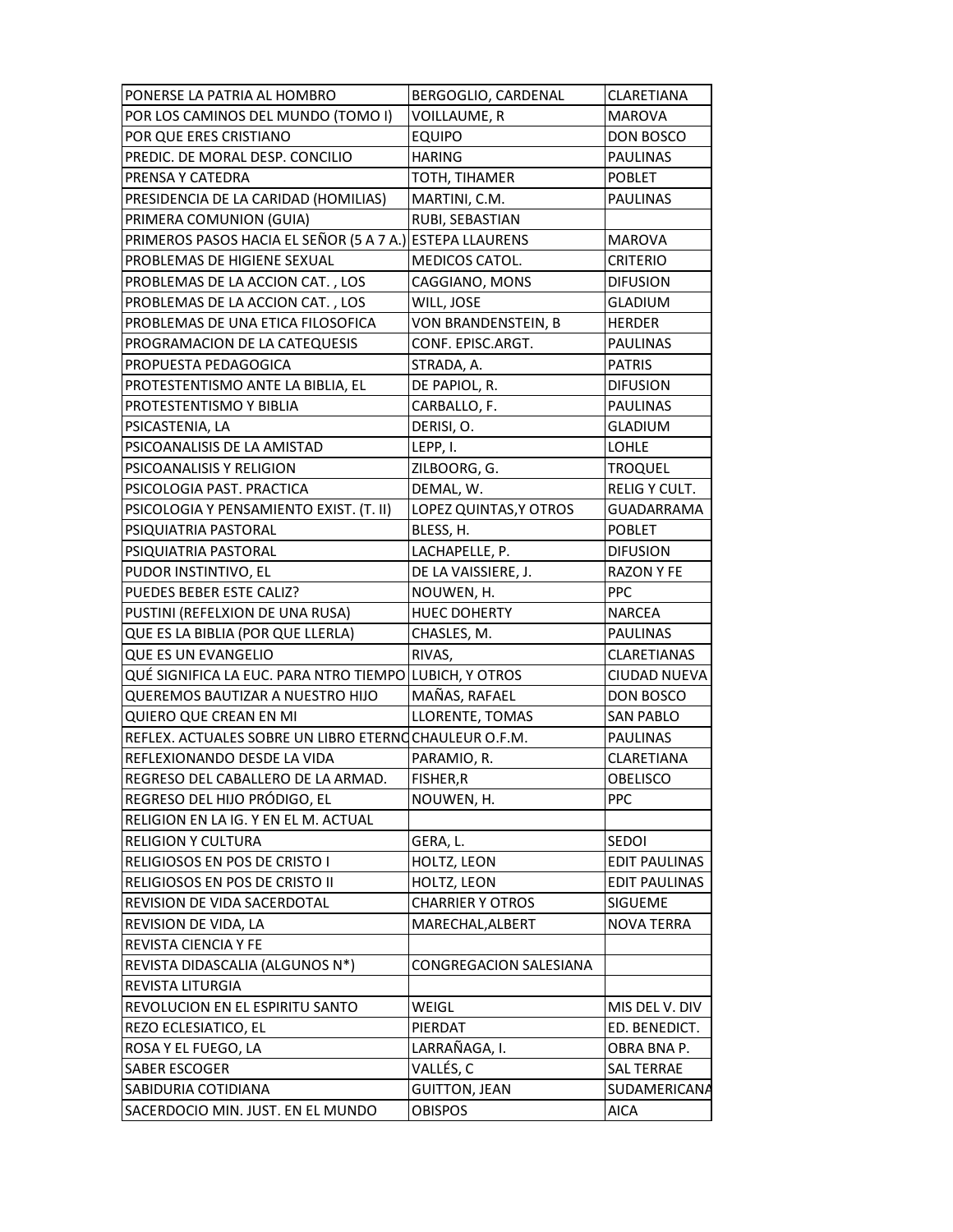| PONERSE LA PATRIA AL HOMBRO                              | BERGOGLIO, CARDENAL           | <b>CLARETIANA</b>    |
|----------------------------------------------------------|-------------------------------|----------------------|
| POR LOS CAMINOS DEL MUNDO (TOMO I)                       | VOILLAUME, R                  | <b>MAROVA</b>        |
| POR QUE ERES CRISTIANO                                   | <b>EQUIPO</b>                 | DON BOSCO            |
| PREDIC. DE MORAL DESP. CONCILIO                          | <b>HARING</b>                 | <b>PAULINAS</b>      |
| PRENSA Y CATEDRA                                         | TOTH, TIHAMER                 | <b>POBLET</b>        |
| PRESIDENCIA DE LA CARIDAD (HOMILIAS)                     | MARTINI, C.M.                 | <b>PAULINAS</b>      |
| PRIMERA COMUNION (GUIA)                                  | RUBI, SEBASTIAN               |                      |
| PRIMEROS PASOS HACIA EL SEÑOR (5 A 7 A.) ESTEPA LLAURENS |                               | <b>MAROVA</b>        |
| PROBLEMAS DE HIGIENE SEXUAL                              | MEDICOS CATOL.                | <b>CRITERIO</b>      |
| PROBLEMAS DE LA ACCION CAT., LOS                         | CAGGIANO, MONS                | <b>DIFUSION</b>      |
| PROBLEMAS DE LA ACCION CAT., LOS                         | WILL, JOSE                    | GLADIUM              |
| PROBLEMAS DE UNA ETICA FILOSOFICA                        | VON BRANDENSTEIN, B           | <b>HERDER</b>        |
| PROGRAMACION DE LA CATEQUESIS                            | CONF. EPISC.ARGT.             | <b>PAULINAS</b>      |
| PROPUESTA PEDAGOGICA                                     | STRADA, A.                    | <b>PATRIS</b>        |
| PROTESTENTISMO ANTE LA BIBLIA, EL                        | DE PAPIOL, R.                 | <b>DIFUSION</b>      |
| PROTESTENTISMO Y BIBLIA                                  | CARBALLO, F.                  | <b>PAULINAS</b>      |
| PSICASTENIA, LA                                          | DERISI, O.                    | <b>GLADIUM</b>       |
| PSICOANALISIS DE LA AMISTAD                              | LEPP, I.                      | <b>LOHLE</b>         |
| PSICOANALISIS Y RELIGION                                 | ZILBOORG, G.                  | TROQUEL              |
| PSICOLOGIA PAST. PRACTICA                                | DEMAL, W.                     | RELIG Y CULT.        |
| PSICOLOGIA Y PENSAMIENTO EXIST. (T. II)                  | LOPEZ QUINTAS, Y OTROS        | GUADARRAMA           |
| PSIQUIATRIA PASTORAL                                     | BLESS, H.                     | <b>POBLET</b>        |
| PSIQUIATRIA PASTORAL                                     | LACHAPELLE, P.                | <b>DIFUSION</b>      |
| PUDOR INSTINTIVO, EL                                     | DE LA VAISSIERE, J.           | <b>RAZON Y FE</b>    |
| PUEDES BEBER ESTE CALIZ?                                 | NOUWEN, H.                    | <b>PPC</b>           |
| PUSTINI (REFELXION DE UNA RUSA)                          | <b>HUEC DOHERTY</b>           | <b>NARCEA</b>        |
| QUE ES LA BIBLIA (POR QUE LLERLA)                        | CHASLES, M.                   | <b>PAULINAS</b>      |
| QUE ES UN EVANGELIO                                      | RIVAS,                        | <b>CLARETIANAS</b>   |
| QUÉ SIGNIFICA LA EUC. PARA NTRO TIEMPO LUBICH, Y OTROS   |                               | CIUDAD NUEVA         |
| QUEREMOS BAUTIZAR A NUESTRO HIJO                         | MAÑAS, RAFAEL                 | DON BOSCO            |
| QUIERO QUE CREAN EN MI                                   | LLORENTE, TOMAS               | <b>SAN PABLO</b>     |
| REFLEX. ACTUALES SOBRE UN LIBRO ETERNOCHAULEUR O.F.M.    |                               | <b>PAULINAS</b>      |
| REFLEXIONANDO DESDE LA VIDA                              | PARAMIO, R.                   | CLARETIANA           |
| REGRESO DEL CABALLERO DE LA ARMAD.                       | FISHER, R                     | <b>OBELISCO</b>      |
| REGRESO DEL HIJO PRÓDIGO, EL                             | NOUWEN, H.                    | <b>PPC</b>           |
| RELIGION EN LA IG. Y EN EL M. ACTUAL                     |                               |                      |
| RELIGION Y CULTURA                                       | GERA, L.                      | SEDOI                |
| RELIGIOSOS EN POS DE CRISTO I                            | HOLTZ, LEON                   | EDIT PAULINAS        |
| RELIGIOSOS EN POS DE CRISTO II                           | HOLTZ, LEON                   | <b>EDIT PAULINAS</b> |
| REVISION DE VIDA SACERDOTAL                              | <b>CHARRIER Y OTROS</b>       | SIGUEME              |
| REVISION DE VIDA, LA                                     | MARECHAL, ALBERT              | <b>NOVA TERRA</b>    |
| <b>REVISTA CIENCIA Y FE</b>                              |                               |                      |
| REVISTA DIDASCALIA (ALGUNOS N*)                          | <b>CONGREGACION SALESIANA</b> |                      |
| REVISTA LITURGIA                                         |                               |                      |
| REVOLUCION EN EL ESPIRITU SANTO                          |                               | MIS DEL V. DIV       |
| REZO ECLESIATICO, EL                                     | WEIGL                         |                      |
|                                                          | PIERDAT                       | ED. BENEDICT.        |
| ROSA Y EL FUEGO, LA                                      | LARRAÑAGA, I.                 | OBRA BNA P.          |
| SABER ESCOGER                                            | VALLÉS, C                     | SAL TERRAE           |
| SABIDURIA COTIDIANA                                      | <b>GUITTON, JEAN</b>          | SUDAMERICANA         |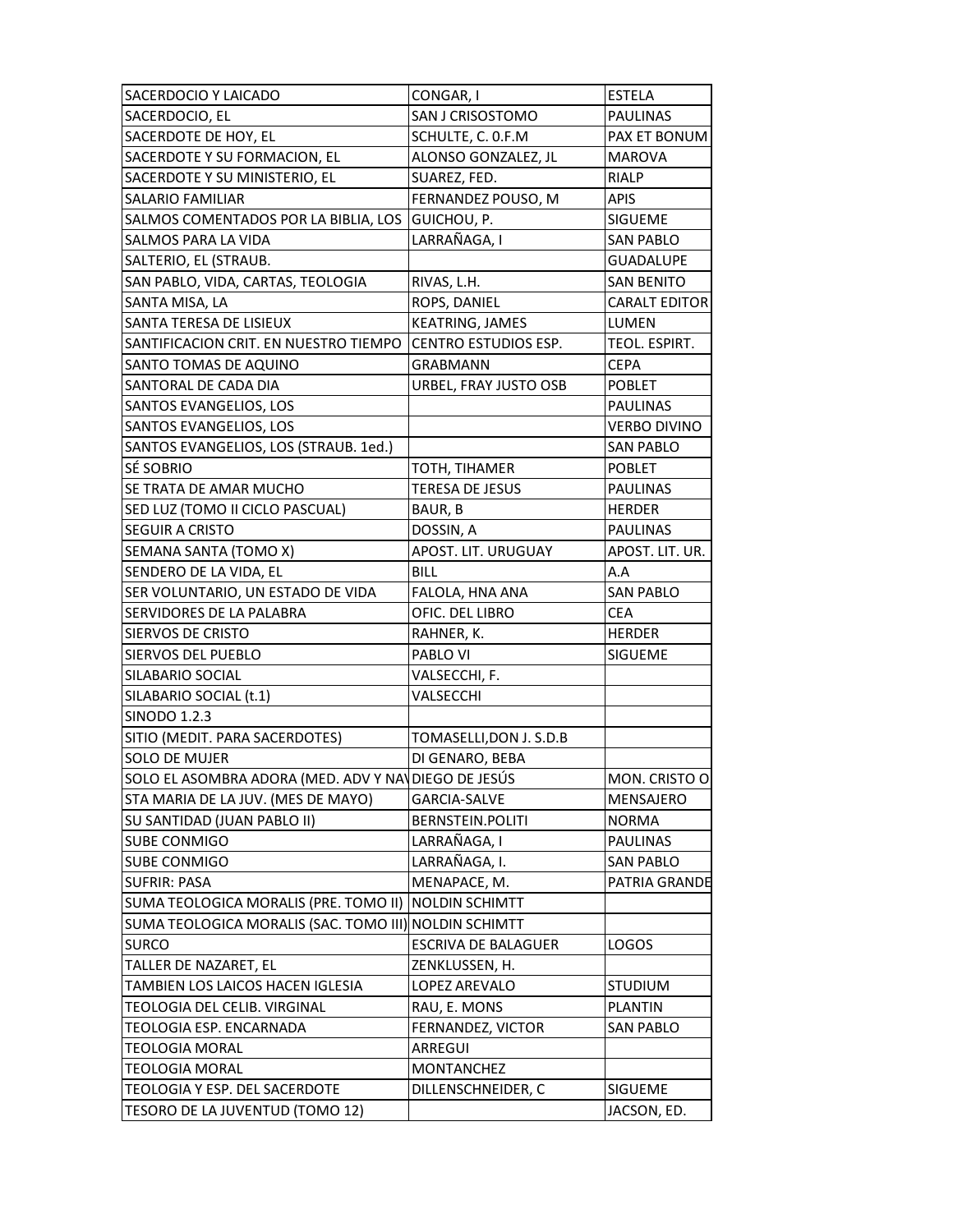| SACERDOCIO Y LAICADO                                             | CONGAR, I                  | <b>ESTELA</b>          |
|------------------------------------------------------------------|----------------------------|------------------------|
| SACERDOCIO, EL                                                   | SAN J CRISOSTOMO           | PAULINAS               |
| SACERDOTE DE HOY, EL                                             | SCHULTE, C. O.F.M          | PAX ET BONUM           |
| SACERDOTE Y SU FORMACION, EL                                     | ALONSO GONZALEZ, JL        | <b>MAROVA</b>          |
| SACERDOTE Y SU MINISTERIO, EL                                    | SUAREZ, FED.               | <b>RIALP</b>           |
| SALARIO FAMILIAR                                                 | FERNANDEZ POUSO, M         | <b>APIS</b>            |
| SALMOS COMENTADOS POR LA BIBLIA, LOS GUICHOU, P.                 |                            | SIGUEME                |
| SALMOS PARA LA VIDA                                              | LARRAÑAGA, I               | <b>SAN PABLO</b>       |
| SALTERIO, EL (STRAUB.                                            |                            | GUADALUPE              |
| SAN PABLO, VIDA, CARTAS, TEOLOGIA                                | RIVAS, L.H.                | <b>SAN BENITO</b>      |
| SANTA MISA, LA                                                   | ROPS, DANIEL               | <b>CARALT EDITOR</b>   |
| SANTA TERESA DE LISIEUX                                          | <b>KEATRING, JAMES</b>     | LUMEN                  |
| SANTIFICACION CRIT. EN NUESTRO TIEMPO                            | CENTRO ESTUDIOS ESP.       | TEOL. ESPIRT.          |
| SANTO TOMAS DE AQUINO                                            | GRABMANN                   | <b>CEPA</b>            |
| SANTORAL DE CADA DIA                                             | URBEL, FRAY JUSTO OSB      | <b>POBLET</b>          |
| SANTOS EVANGELIOS, LOS                                           |                            | PAULINAS               |
| SANTOS EVANGELIOS, LOS                                           |                            | <b>VERBO DIVINO</b>    |
| SANTOS EVANGELIOS, LOS (STRAUB. 1ed.)                            |                            | <b>SAN PABLO</b>       |
| SÉ SOBRIO                                                        | TOTH, TIHAMER              | POBLET                 |
| SE TRATA DE AMAR MUCHO                                           | TERESA DE JESUS            | PAULINAS               |
| SED LUZ (TOMO II CICLO PASCUAL)                                  | BAUR, B                    | <b>HERDER</b>          |
| <b>SEGUIR A CRISTO</b>                                           | DOSSIN, A                  | <b>PAULINAS</b>        |
| SEMANA SANTA (TOMO X)                                            | APOST. LIT. URUGUAY        | APOST. LIT. UR.        |
| SENDERO DE LA VIDA, EL                                           | <b>BILL</b>                | A.A                    |
| SER VOLUNTARIO, UN ESTADO DE VIDA                                | FALOLA, HNA ANA            | <b>SAN PABLO</b>       |
|                                                                  |                            |                        |
|                                                                  |                            |                        |
| SERVIDORES DE LA PALABRA                                         | OFIC. DEL LIBRO            | <b>CEA</b>             |
| SIERVOS DE CRISTO                                                | RAHNER, K.                 | <b>HERDER</b>          |
| SIERVOS DEL PUEBLO                                               | PABLO VI                   | <b>SIGUEME</b>         |
| SILABARIO SOCIAL                                                 | VALSECCHI, F.              |                        |
| SILABARIO SOCIAL (t.1)                                           | VALSECCHI                  |                        |
| SINODO 1.2.3                                                     |                            |                        |
| SITIO (MEDIT. PARA SACERDOTES)                                   | TOMASELLI, DON J. S.D.B    |                        |
| SOLO DE MUJER                                                    | DI GENARO, BEBA            |                        |
| SOLO EL ASOMBRA ADORA (MED. ADV Y NAVDIEGO DE JESÚS              |                            | MON. CRISTO O          |
| STA MARIA DE LA JUV. (MES DE MAYO)                               | <b>GARCIA-SALVE</b>        | MENSAJERO              |
| SU SANTIDAD (JUAN PABLO II)                                      | BERNSTEIN.POLITI           | <b>NORMA</b>           |
| SUBE CONMIGO                                                     | LARRAÑAGA, I               | <b>PAULINAS</b>        |
| SUBE CONMIGO                                                     | LARRAÑAGA, I.              | <b>SAN PABLO</b>       |
| <b>SUFRIR: PASA</b>                                              | MENAPACE, M.               | PATRIA GRANDE          |
| SUMA TEOLOGICA MORALIS (PRE. TOMO II)                            | NOLDIN SCHIMTT             |                        |
| SUMA TEOLOGICA MORALIS (SAC. TOMO III) NOLDIN SCHIMTT            |                            |                        |
| <b>SURCO</b>                                                     | <b>ESCRIVA DE BALAGUER</b> | LOGOS                  |
| TALLER DE NAZARET, EL                                            | ZENKLUSSEN, H.             |                        |
| TAMBIEN LOS LAICOS HACEN IGLESIA                                 | LOPEZ AREVALO              | <b>STUDIUM</b>         |
| TEOLOGIA DEL CELIB. VIRGINAL                                     | RAU, E. MONS               | <b>PLANTIN</b>         |
| TEOLOGIA ESP. ENCARNADA                                          | FERNANDEZ, VICTOR          | <b>SAN PABLO</b>       |
| <b>TEOLOGIA MORAL</b>                                            | ARREGUI                    |                        |
| <b>TEOLOGIA MORAL</b>                                            | MONTANCHEZ                 |                        |
| TEOLOGIA Y ESP. DEL SACERDOTE<br>TESORO DE LA JUVENTUD (TOMO 12) | DILLENSCHNEIDER, C         | SIGUEME<br>JACSON, ED. |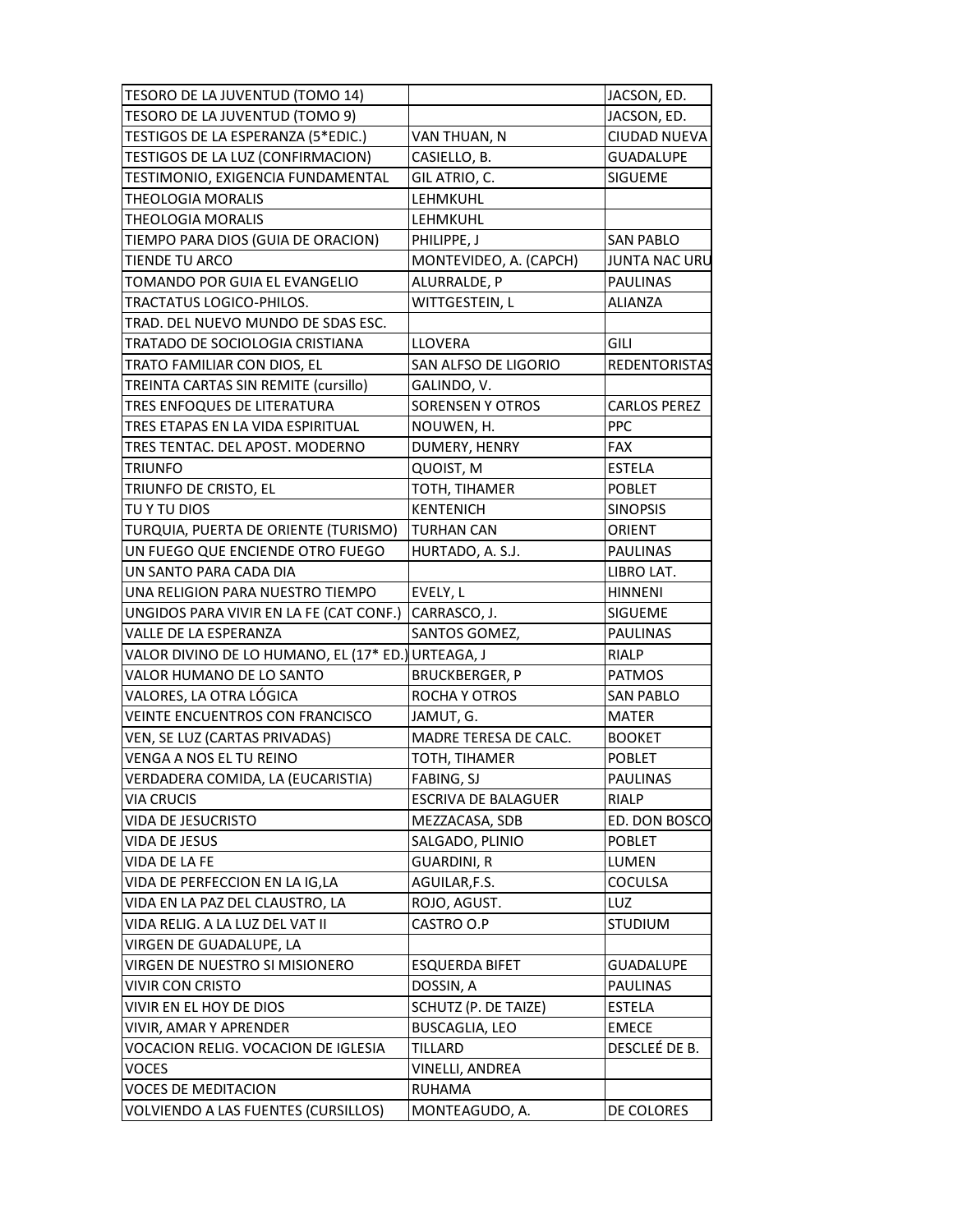| TESORO DE LA JUVENTUD (TOMO 14)                    |                                   | JACSON, ED.          |
|----------------------------------------------------|-----------------------------------|----------------------|
| TESORO DE LA JUVENTUD (TOMO 9)                     |                                   | JACSON, ED.          |
| TESTIGOS DE LA ESPERANZA (5*EDIC.)                 | VAN THUAN, N                      | CIUDAD NUEVA         |
| TESTIGOS DE LA LUZ (CONFIRMACION)                  | CASIELLO, B.                      | <b>GUADALUPE</b>     |
| TESTIMONIO, EXIGENCIA FUNDAMENTAL                  | GIL ATRIO, C.                     | <b>SIGUEME</b>       |
| <b>THEOLOGIA MORALIS</b>                           | LEHMKUHL                          |                      |
| <b>THEOLOGIA MORALIS</b>                           | <b>LEHMKUHL</b>                   |                      |
| TIEMPO PARA DIOS (GUIA DE ORACION)                 | PHILIPPE, J                       | <b>SAN PABLO</b>     |
| TIENDE TU ARCO                                     | MONTEVIDEO, A. (CAPCH)            | JUNTA NAC URU        |
| TOMANDO POR GUIA EL EVANGELIO                      | ALURRALDE, P                      | <b>PAULINAS</b>      |
| <b>TRACTATUS LOGICO-PHILOS.</b>                    | WITTGESTEIN, L                    | <b>ALIANZA</b>       |
| TRAD. DEL NUEVO MUNDO DE SDAS ESC.                 |                                   |                      |
| TRATADO DE SOCIOLOGIA CRISTIANA                    | <b>LLOVERA</b>                    | GILI                 |
| TRATO FAMILIAR CON DIOS, EL                        | SAN ALFSO DE LIGORIO              | <b>REDENTORISTAS</b> |
| TREINTA CARTAS SIN REMITE (cursillo)               | GALINDO, V.                       |                      |
| TRES ENFOQUES DE LITERATURA                        | <b>SORENSEN Y OTROS</b>           | <b>CARLOS PEREZ</b>  |
| TRES ETAPAS EN LA VIDA ESPIRITUAL                  | NOUWEN, H.                        | <b>PPC</b>           |
| TRES TENTAC. DEL APOST. MODERNO                    | DUMERY, HENRY                     | <b>FAX</b>           |
| <b>TRIUNFO</b>                                     | QUOIST, M                         | <b>ESTELA</b>        |
| TRIUNFO DE CRISTO, EL                              |                                   |                      |
| TU Y TU DIOS                                       | TOTH, TIHAMER<br><b>KENTENICH</b> | <b>POBLET</b>        |
|                                                    |                                   | <b>SINOPSIS</b>      |
| TURQUIA, PUERTA DE ORIENTE (TURISMO)               | TURHAN CAN                        | ORIENT               |
| UN FUEGO QUE ENCIENDE OTRO FUEGO                   | HURTADO, A. S.J.                  | <b>PAULINAS</b>      |
| UN SANTO PARA CADA DIA                             |                                   | LIBRO LAT.           |
| UNA RELIGION PARA NUESTRO TIEMPO                   | EVELY, L                          | <b>HINNENI</b>       |
| UNGIDOS PARA VIVIR EN LA FE (CAT CONF.)            | CARRASCO, J.                      | <b>SIGUEME</b>       |
| VALLE DE LA ESPERANZA                              | SANTOS GOMEZ,                     | <b>PAULINAS</b>      |
| VALOR DIVINO DE LO HUMANO, EL (17* ED.) URTEAGA, J |                                   | <b>RIALP</b>         |
| VALOR HUMANO DE LO SANTO                           | <b>BRUCKBERGER, P</b>             | <b>PATMOS</b>        |
| VALORES, LA OTRA LÓGICA                            | ROCHA Y OTROS                     | <b>SAN PABLO</b>     |
| VEINTE ENCUENTROS CON FRANCISCO                    | JAMUT, G.                         | <b>MATER</b>         |
| VEN, SE LUZ (CARTAS PRIVADAS)                      | MADRE TERESA DE CALC.             | <b>BOOKET</b>        |
| VENGA A NOS EL TU REINO                            | TOTH, TIHAMER                     | <b>POBLET</b>        |
| VERDADERA COMIDA, LA (EUCARISTIA)                  | FABING, SJ                        | PAULINAS             |
| <b>VIA CRUCIS</b>                                  | <b>ESCRIVA DE BALAGUER</b>        | RIALP                |
| VIDA DE JESUCRISTO                                 | MEZZACASA, SDB                    | ED. DON BOSCO        |
| VIDA DE JESUS                                      | SALGADO, PLINIO                   | <b>POBLET</b>        |
| VIDA DE LA FE                                      | <b>GUARDINI, R</b>                | LUMEN                |
| VIDA DE PERFECCION EN LA IG,LA                     | AGUILAR, F.S.                     | COCULSA              |
| VIDA EN LA PAZ DEL CLAUSTRO, LA                    | ROJO, AGUST.                      | LUZ                  |
| VIDA RELIG. A LA LUZ DEL VAT II                    | CASTRO O.P                        | <b>STUDIUM</b>       |
| VIRGEN DE GUADALUPE, LA                            |                                   |                      |
| VIRGEN DE NUESTRO SI MISIONERO                     | <b>ESQUERDA BIFET</b>             | <b>GUADALUPE</b>     |
| <b>VIVIR CON CRISTO</b>                            | DOSSIN, A                         | PAULINAS             |
| VIVIR EN EL HOY DE DIOS                            | SCHUTZ (P. DE TAIZE)              | ESTELA               |
| VIVIR, AMAR Y APRENDER                             | <b>BUSCAGLIA, LEO</b>             | <b>EMECE</b>         |
| VOCACION RELIG. VOCACION DE IGLESIA                | TILLARD                           | DESCLEÉ DE B.        |
| <b>VOCES</b>                                       | VINELLI, ANDREA                   |                      |
| <b>VOCES DE MEDITACION</b>                         | <b>RUHAMA</b>                     |                      |
| <b>VOLVIENDO A LAS FUENTES (CURSILLOS)</b>         | MONTEAGUDO, A.                    | DE COLORES           |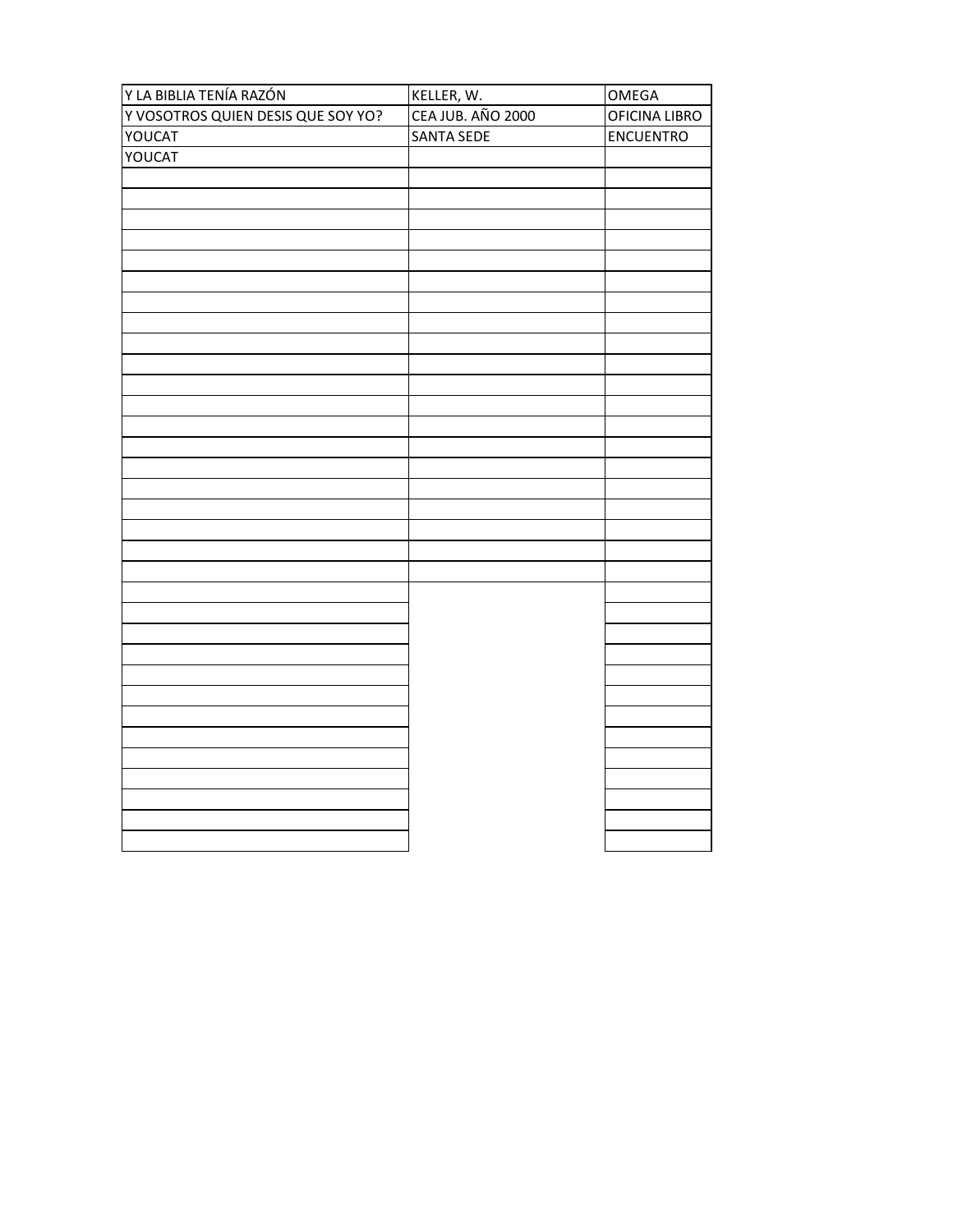| Y LA BIBLIA TENÍA RAZÓN            | KELLER, W.        | OMEGA            |
|------------------------------------|-------------------|------------------|
| Y VOSOTROS QUIEN DESIS QUE SOY YO? | CEA JUB. AÑO 2000 | OFICINA LIBRO    |
| YOUCAT                             | <b>SANTA SEDE</b> | <b>ENCUENTRO</b> |
| YOUCAT                             |                   |                  |
|                                    |                   |                  |
|                                    |                   |                  |
|                                    |                   |                  |
|                                    |                   |                  |
|                                    |                   |                  |
|                                    |                   |                  |
|                                    |                   |                  |
|                                    |                   |                  |
|                                    |                   |                  |
|                                    |                   |                  |
|                                    |                   |                  |
|                                    |                   |                  |
|                                    |                   |                  |
|                                    |                   |                  |
|                                    |                   |                  |
|                                    |                   |                  |
|                                    |                   |                  |
|                                    |                   |                  |
|                                    |                   |                  |
|                                    |                   |                  |
|                                    |                   |                  |
|                                    |                   |                  |
|                                    |                   |                  |
|                                    |                   |                  |
|                                    |                   |                  |
|                                    |                   |                  |
|                                    |                   |                  |
|                                    |                   |                  |
|                                    |                   |                  |
|                                    |                   |                  |
|                                    |                   |                  |
|                                    |                   |                  |
|                                    |                   |                  |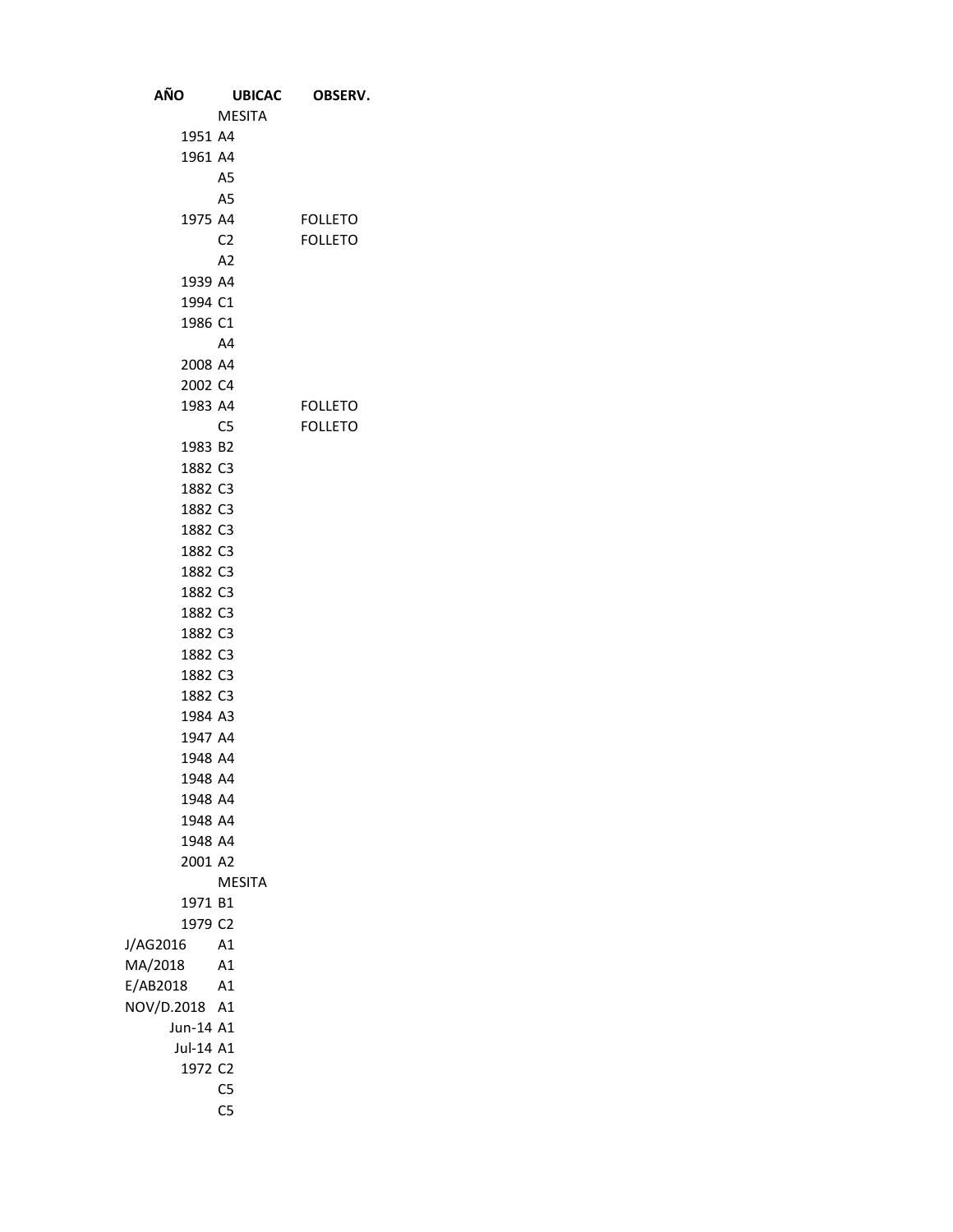| AÑO                  | <b>UBICAC</b>  | OBSERV.        |
|----------------------|----------------|----------------|
|                      | <b>MESITA</b>  |                |
| 1951 A4              |                |                |
| 1961 A4              |                |                |
|                      | A <sub>5</sub> |                |
|                      | A <sub>5</sub> |                |
| 1975 A4              |                | <b>FOLLETO</b> |
|                      | C <sub>2</sub> | <b>FOLLETO</b> |
|                      | A <sub>2</sub> |                |
| 1939 A4              |                |                |
| 1994 C1              |                |                |
| 1986 C1              |                |                |
|                      | A4             |                |
| 2008 A4              |                |                |
| 2002 C4              |                |                |
| 1983 A4              |                | <b>FOLLETO</b> |
|                      | C <sub>5</sub> | <b>FOLLETO</b> |
| 1983 B2              |                |                |
| 1882 C3              |                |                |
| 1882 C3              |                |                |
| 1882 C3              |                |                |
| 1882 C3              |                |                |
| 1882 C3              |                |                |
| 1882 C3              |                |                |
| 1882 C3              |                |                |
| 1882 C3              |                |                |
| 1882 C3              |                |                |
| 1882 C3              |                |                |
| 1882 C3              |                |                |
| 1882 C3              |                |                |
| 1984 A3              |                |                |
| 1947 A4              |                |                |
| 1948 A4              |                |                |
| 1948 A4              |                |                |
| 1948 A4              |                |                |
| 1948 A4              |                |                |
| 1948 A4              |                |                |
| 2001 A2              |                |                |
|                      | <b>MESITA</b>  |                |
| 1971 B1              |                |                |
| 1979 C2              |                |                |
| J/AG2016             | A1             |                |
| MA/2018              | A <sub>1</sub> |                |
| E/AB2018             | A1             |                |
| NOV/D.2018 A1        |                |                |
| Jun-14 A1            |                |                |
| Jul-14 A1<br>1972 C2 |                |                |
|                      | C <sub>5</sub> |                |
|                      | C <sub>5</sub> |                |
|                      |                |                |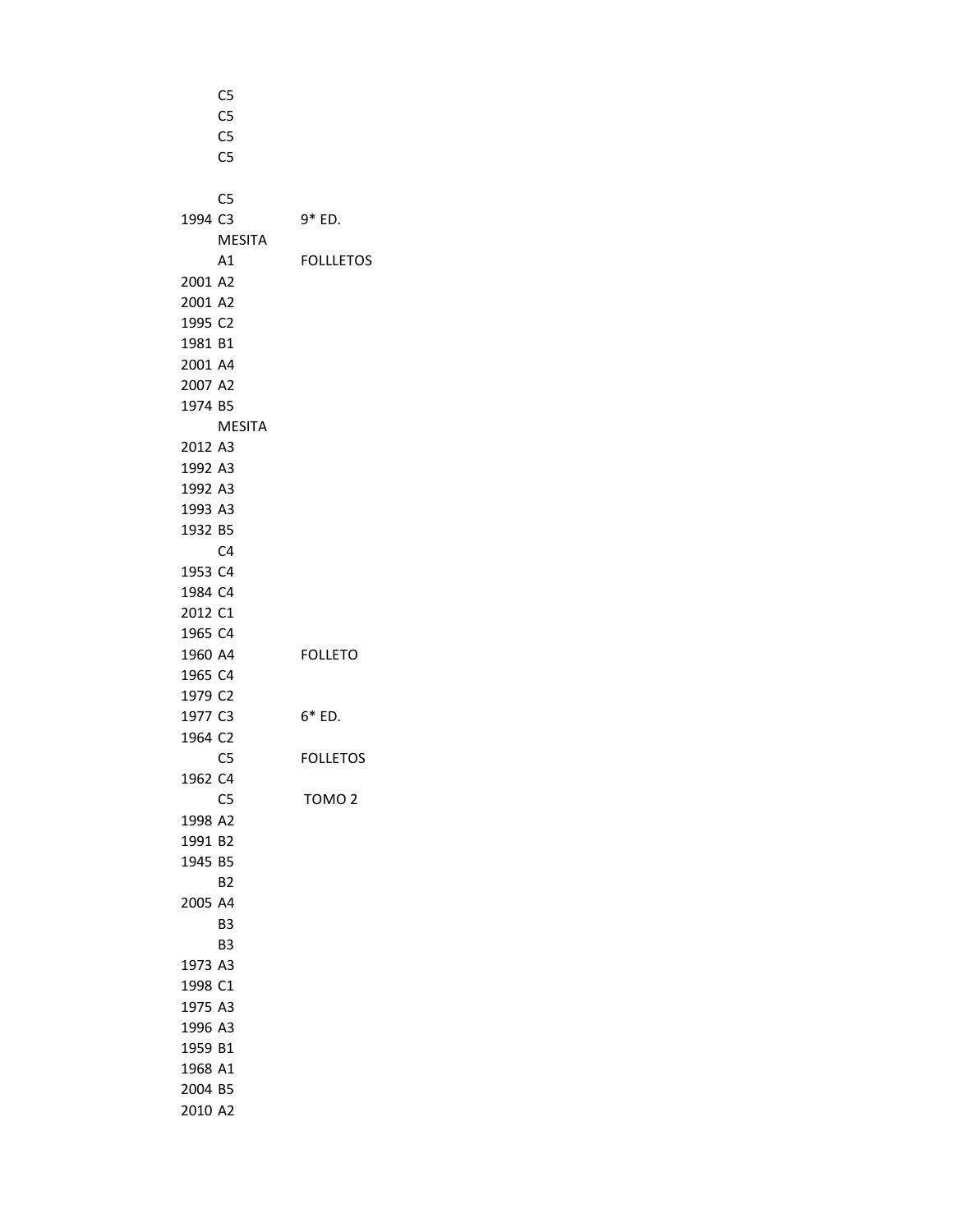|         | C <sub>5</sub> |                   |
|---------|----------------|-------------------|
|         | C <sub>5</sub> |                   |
|         | C <sub>5</sub> |                   |
|         | C <sub>5</sub> |                   |
|         |                |                   |
|         | C <sub>5</sub> |                   |
| 1994 C3 |                | 9* ED.            |
|         | <b>MESITA</b>  |                   |
|         | A1             | <b>FOLLLETOS</b>  |
| 2001 A2 |                |                   |
| 2001 A2 |                |                   |
| 1995 C2 |                |                   |
| 1981 B1 |                |                   |
| 2001 A4 |                |                   |
| 2007 A2 |                |                   |
| 1974 B5 |                |                   |
|         | <b>MESITA</b>  |                   |
| 2012 A3 |                |                   |
| 1992 A3 |                |                   |
| 1992 A3 |                |                   |
| 1993 A3 |                |                   |
| 1932 B5 |                |                   |
|         | C <sub>4</sub> |                   |
| 1953 C4 |                |                   |
| 1984 C4 |                |                   |
| 2012 C1 |                |                   |
| 1965 C4 |                |                   |
| 1960 A4 |                | <b>FOLLETO</b>    |
| 1965 C4 |                |                   |
| 1979 C2 |                |                   |
| 1977 C3 |                | 6* ED.            |
| 1964 C2 |                |                   |
|         | C <sub>5</sub> | <b>FOLLETOS</b>   |
| 1962 C4 |                |                   |
|         | C <sub>5</sub> | TOMO <sub>2</sub> |
| 1998 A2 |                |                   |
| 1991 B2 |                |                   |
| 1945 B5 |                |                   |
|         | <b>B2</b>      |                   |
| 2005 A4 |                |                   |
|         | B3             |                   |
|         | B3             |                   |
| 1973    | A <sub>3</sub> |                   |
| 1998 C1 |                |                   |
| 1975 A3 |                |                   |
| 1996 A3 |                |                   |
| 1959 B1 |                |                   |
| 1968 A1 |                |                   |
| 2004 B5 |                |                   |
| 2010 A2 |                |                   |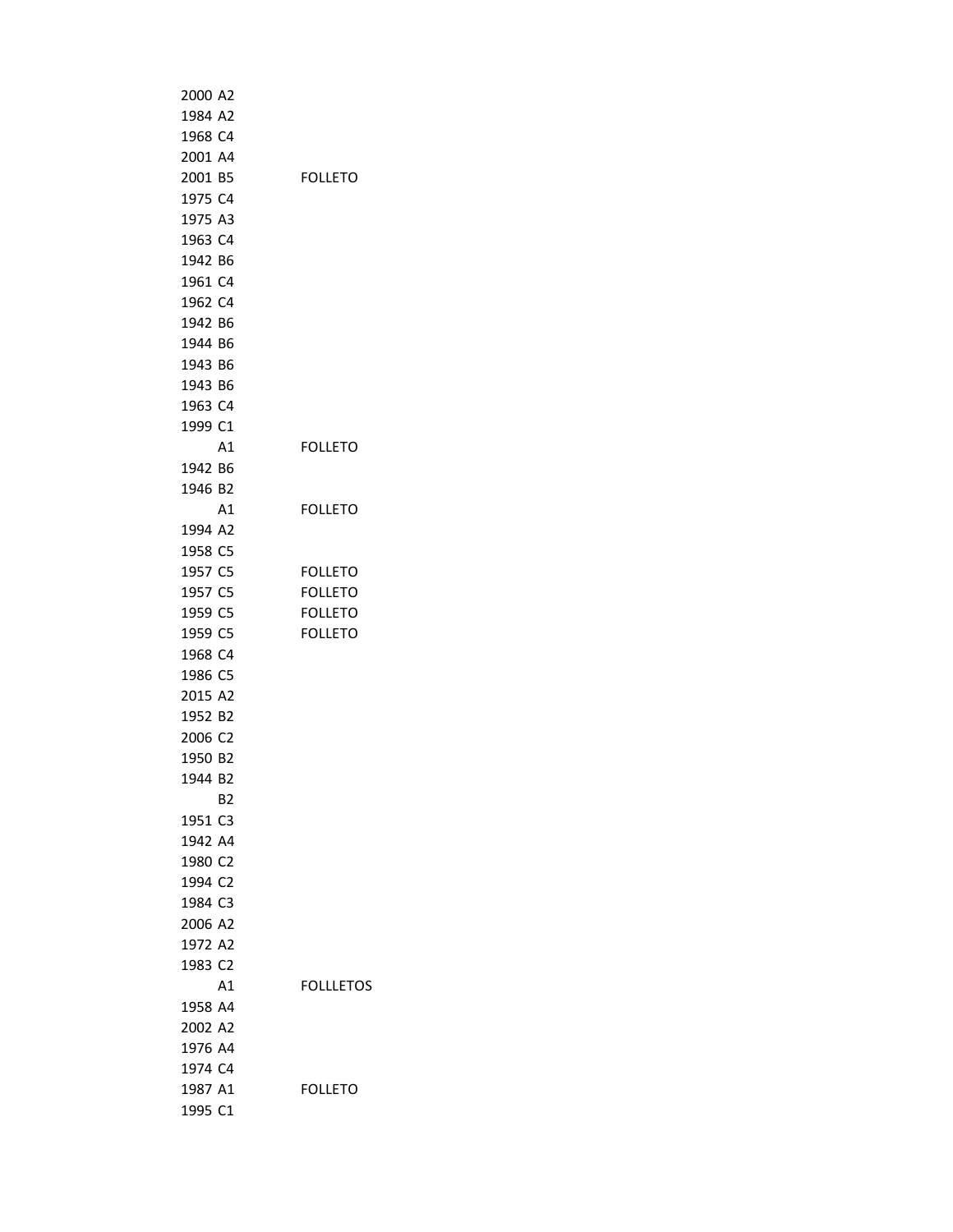| 2000 A2             |    |                  |
|---------------------|----|------------------|
| 1984 A2             |    |                  |
| 1968 C4             |    |                  |
| 2001 A4             |    |                  |
| 2001 B5             |    | <b>FOLLETO</b>   |
| 1975 C4             |    |                  |
| 1975 A3             |    |                  |
| 1963 C4             |    |                  |
| 1942 B6             |    |                  |
| 1961 C4             |    |                  |
| 1962 C4             |    |                  |
| 1942 B6             |    |                  |
| 1944 B6             |    |                  |
| 1943 B6             |    |                  |
| 1943 B6             |    |                  |
| 1963 C4             |    |                  |
| 1999 C1             |    |                  |
|                     | A1 | <b>FOLLETO</b>   |
| 1942 B6             |    |                  |
| 1946 B2             |    |                  |
|                     | Α1 | <b>FOLLETO</b>   |
| 1994 A2             |    |                  |
| 1958 C5             |    |                  |
| 1957 C5             |    | FOLLETO          |
| 1957 C5             |    | <b>FOLLETO</b>   |
| 1959 C5             |    | <b>FOLLETO</b>   |
| 1959 C5             |    | <b>FOLLETO</b>   |
| 1968 C4             |    |                  |
| 1986 C5             |    |                  |
| 2015 A2             |    |                  |
| 1952 B2             |    |                  |
| 2006 C2             |    |                  |
| 1950 B2             |    |                  |
| 1944 B2             |    |                  |
|                     |    |                  |
| 1951 C3             | B2 |                  |
| 1942 A4             |    |                  |
| 1980 C2             |    |                  |
|                     |    |                  |
| 1994 C2             |    |                  |
| 1984 C3             |    |                  |
| 2006 A2             |    |                  |
| 1972 A2             |    |                  |
| 1983 C <sub>2</sub> |    |                  |
|                     | Α1 | <b>FOLLLETOS</b> |
| 1958 A4             |    |                  |
| 2002 A2             |    |                  |
| 1976 A4             |    |                  |
| 1974 C4             |    |                  |
| 1987 A1             |    | <b>FOLLETO</b>   |
| 1995 C1             |    |                  |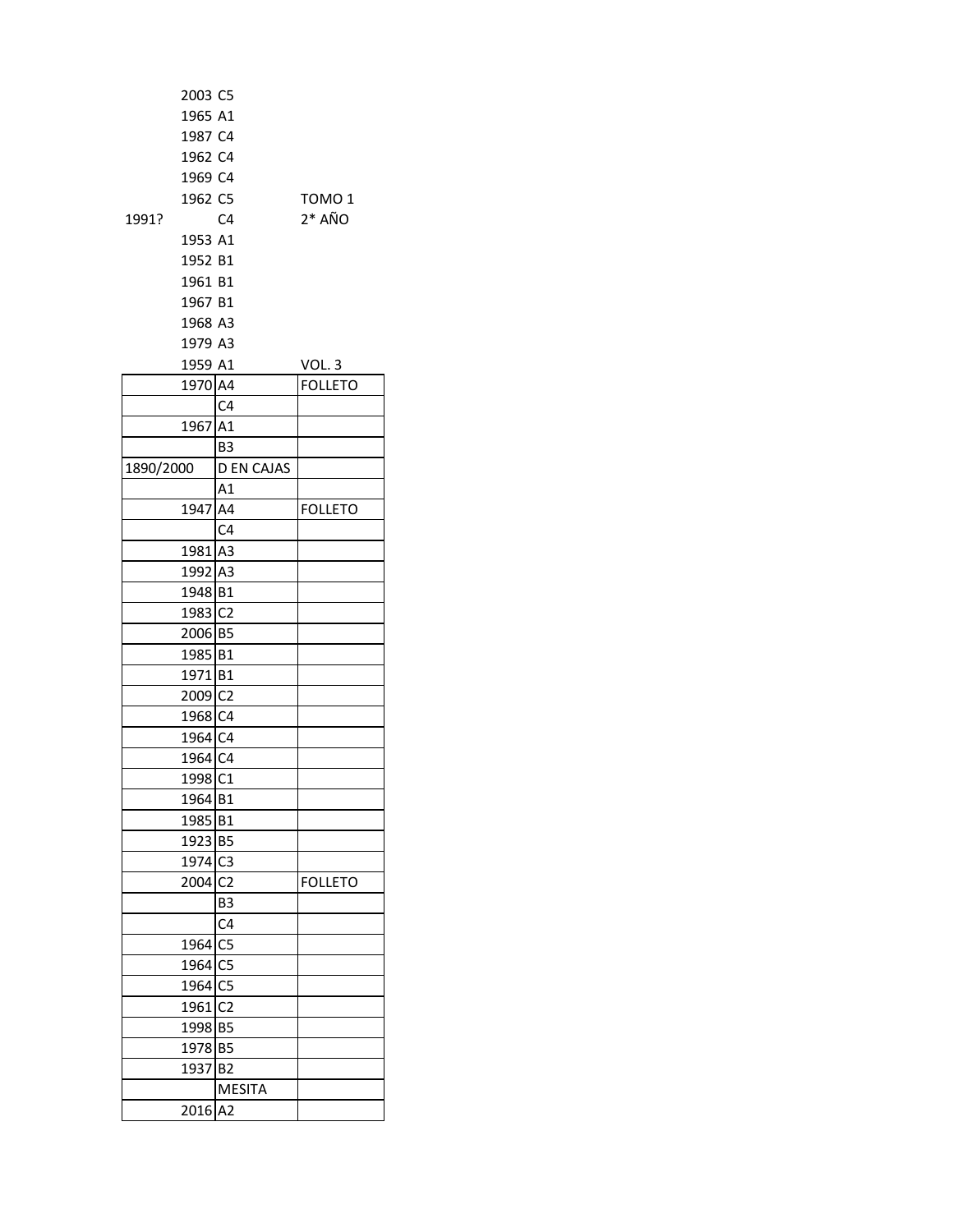| 1991?     | 2003 C5<br>1965 A1<br>1987 C4<br>1962 C4<br>1969 C4<br>1962 C5<br>1953 A1<br>1952 B1<br>1961 B1<br>1967 B1<br>1968 A3 | C <sub>4</sub>          | TOMO 1<br>$2*$ AÑO |
|-----------|-----------------------------------------------------------------------------------------------------------------------|-------------------------|--------------------|
|           | 1979 A3                                                                                                               |                         |                    |
|           | 1959 A1                                                                                                               |                         | VOL. 3             |
|           | 1970 A4                                                                                                               |                         | <b>FOLLETO</b>     |
|           |                                                                                                                       | C <sub>4</sub>          |                    |
|           | 1967 A1                                                                                                               |                         |                    |
|           |                                                                                                                       | B3<br><b>D EN CAJAS</b> |                    |
| 1890/2000 |                                                                                                                       |                         |                    |
|           | 1947 A4                                                                                                               | A1                      |                    |
|           |                                                                                                                       | C <sub>4</sub>          | <b>FOLLETO</b>     |
|           |                                                                                                                       |                         |                    |
|           | 1981 A3                                                                                                               |                         |                    |
|           | 1992 A3                                                                                                               |                         |                    |
|           | 1948 B1                                                                                                               |                         |                    |
|           | 1983 C2                                                                                                               |                         |                    |
|           | 2006 B5                                                                                                               |                         |                    |
|           | 1985 B1                                                                                                               |                         |                    |
|           | 1971 B1                                                                                                               |                         |                    |
|           | 2009 C2                                                                                                               |                         |                    |
|           | 1968 C4                                                                                                               |                         |                    |
|           | 1964 C4                                                                                                               |                         |                    |
|           | 1964 C4                                                                                                               |                         |                    |
|           | 1998 C1                                                                                                               |                         |                    |
|           | 1964 B1                                                                                                               |                         |                    |
|           | 1985 B1                                                                                                               |                         |                    |
|           | 1923 B5                                                                                                               |                         |                    |
|           | 1974 C3                                                                                                               |                         |                    |
|           | 2004 C2                                                                                                               |                         | <b>FOLLETO</b>     |
|           |                                                                                                                       | B3                      |                    |
|           |                                                                                                                       | C4                      |                    |
|           | 1964 C5                                                                                                               |                         |                    |
|           | 1964 C5                                                                                                               |                         |                    |
|           | 1964 C5                                                                                                               |                         |                    |
|           | 1961 C2                                                                                                               |                         |                    |
|           | 1998 B5                                                                                                               |                         |                    |
|           | 1978 B5                                                                                                               |                         |                    |
|           | 1937                                                                                                                  | B <sub>2</sub>          |                    |
|           |                                                                                                                       | <b>MESITA</b>           |                    |
|           | 2016                                                                                                                  | A2                      |                    |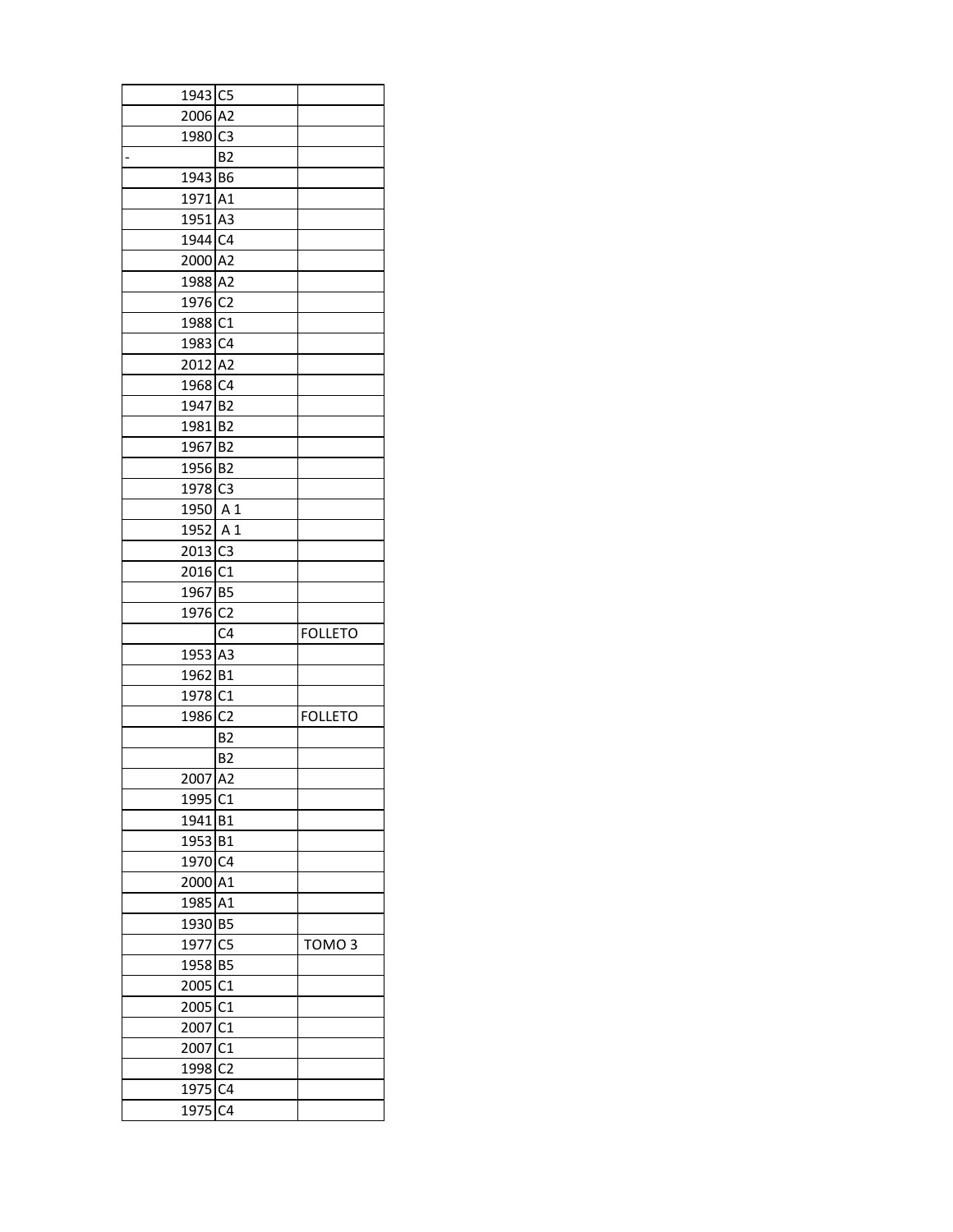| 1943 C5             |                |                   |
|---------------------|----------------|-------------------|
| 2006 A2             |                |                   |
| 1980 C3             |                |                   |
|                     | B <sub>2</sub> |                   |
| 1943 B6             |                |                   |
| 1971 A1             |                |                   |
| 1951 A3             |                |                   |
| 1944 C4             |                |                   |
| 2000 A2             |                |                   |
| 1988 A2             |                |                   |
| 1976 C2             |                |                   |
| 1988 C1             |                |                   |
| 1983 C4             |                |                   |
| 2012 A2             |                |                   |
| 1968 C4             |                |                   |
| 1947 B2             |                |                   |
| 1981 B2             |                |                   |
|                     |                |                   |
| 1967 B2             |                |                   |
| 1956 B2             |                |                   |
| 1978 C3             |                |                   |
| 1950 A 1            |                |                   |
| 1952 A 1            |                |                   |
| 2013 C3             |                |                   |
| 2016 C1             |                |                   |
| 1967 B5             |                |                   |
|                     |                |                   |
| 1976 C2             |                |                   |
|                     | C <sub>4</sub> | <b>FOLLETO</b>    |
| 1953 A3             |                |                   |
| 1962 B1             |                |                   |
| 1978 C1             |                |                   |
| 1986 C2             |                | <b>FOLLETO</b>    |
|                     | <b>B2</b>      |                   |
|                     | B2             |                   |
| 2007 A2             |                |                   |
| 1995 C1             |                |                   |
| 1941 B1             |                |                   |
| 1953 B1             |                |                   |
| 1970 C4             |                |                   |
| 2000 A1             |                |                   |
| 1985 A1             |                |                   |
| 1930 B5             |                |                   |
| 1977 C5             |                | TOMO <sub>3</sub> |
| 1958 B5             |                |                   |
| 2005 C1             |                |                   |
| 2005 C1             |                |                   |
| 2007 C1             |                |                   |
| 2007 C1             |                |                   |
| 1998 C <sub>2</sub> |                |                   |
| 1975 C4             |                |                   |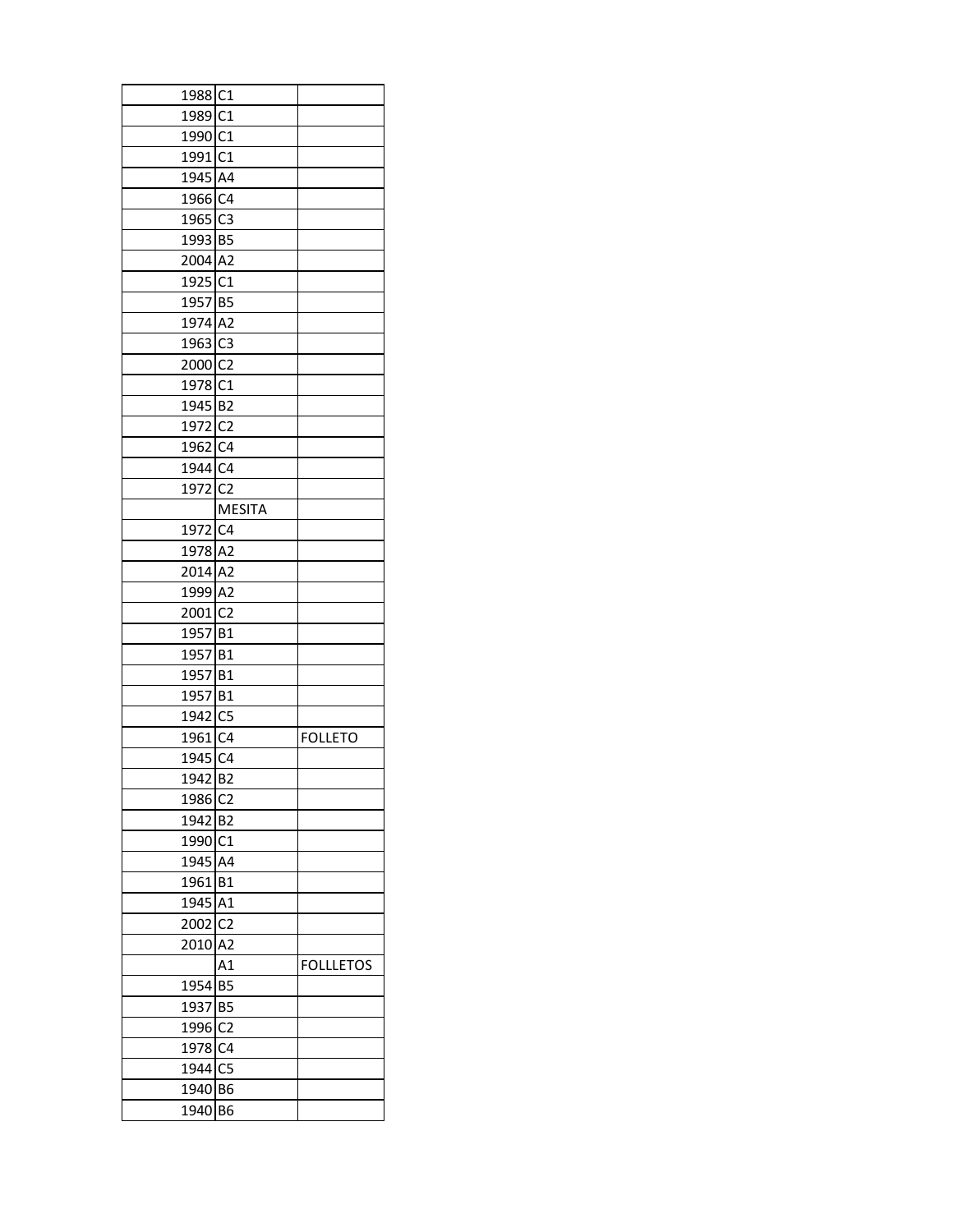| 1988 C1             |                |                  |
|---------------------|----------------|------------------|
| 1989 C1             |                |                  |
| 1990 C1             |                |                  |
| 1991 C1             |                |                  |
| 1945 A4             |                |                  |
| 1966 C4             |                |                  |
| 1965 C3             |                |                  |
| 1993 B5             |                |                  |
| 2004 A2             |                |                  |
| 1925 C1             |                |                  |
| 1957 B5             |                |                  |
| 1974 A2             |                |                  |
| 1963 C3             |                |                  |
| 2000 <sub>C2</sub>  |                |                  |
| 1978 C1             |                |                  |
| 1945 B2             |                |                  |
| 1972 C <sub>2</sub> |                |                  |
| 1962 C4             |                |                  |
| 1944 C4             |                |                  |
| 1972 <sub>IC2</sub> |                |                  |
|                     | <b>MESITA</b>  |                  |
| 1972 C4             |                |                  |
| 1978 A2             |                |                  |
| 2014 A2             |                |                  |
| 1999 A2             |                |                  |
| 2001 C <sub>2</sub> |                |                  |
| 1957 B1             |                |                  |
| 1957 B1             |                |                  |
| 1957 B1             |                |                  |
| 1957 B1             |                |                  |
| 1942 C5             |                |                  |
| 1961 C4             |                | <b>FOLLETO</b>   |
| 1945 C4             |                |                  |
| 1942 B <sub>2</sub> |                |                  |
| 1986                | C <sub>2</sub> |                  |
| 1942 B2             |                |                  |
| 1990 C1             |                |                  |
| 1945 A4             |                |                  |
| 1961 B1             |                |                  |
| 1945                | A1             |                  |
| 2002 C <sub>2</sub> |                |                  |
| 2010                | A <sub>2</sub> |                  |
|                     | A1             | <b>FOLLLETOS</b> |
| 1954                | <b>B5</b>      |                  |
| 1937 B5             |                |                  |
| 1996 <sub>C2</sub>  |                |                  |
| 1978 C4             |                |                  |
| 1944 C5             |                |                  |
| 1940                | B <sub>6</sub> |                  |
| 1940                | B6             |                  |
|                     |                |                  |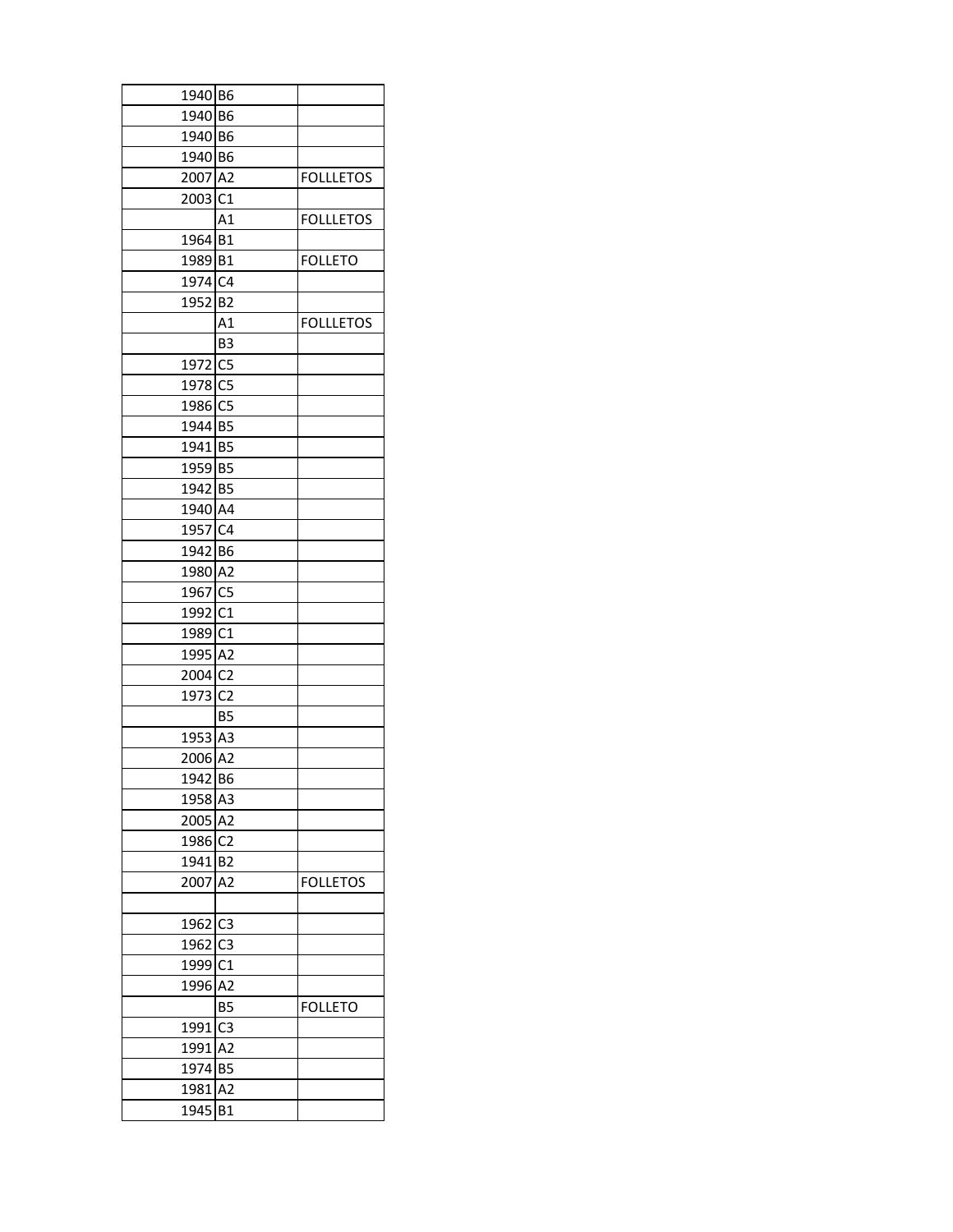| 1940 B6             |                |                  |
|---------------------|----------------|------------------|
| 1940 B6             |                |                  |
| 1940 B6             |                |                  |
| 1940 B6             |                |                  |
| 2007 A2             |                | <b>FOLLLETOS</b> |
| 2003 C1             |                |                  |
|                     | A1             | <b>FOLLLETOS</b> |
| 1964 B1             |                |                  |
| 1989 B1             |                | <b>FOLLETO</b>   |
| 1974 C4             |                |                  |
| 1952 B2             |                |                  |
|                     | A <sub>1</sub> | <b>FOLLLETOS</b> |
|                     | B <sub>3</sub> |                  |
| 1972 C5             |                |                  |
| 1978 C5             |                |                  |
| 1986 C5             |                |                  |
| 1944 B5             |                |                  |
| 1941 B5             |                |                  |
| 1959 B5             |                |                  |
| 1942 B5             |                |                  |
| 1940 A4             |                |                  |
| 1957 C4             |                |                  |
| 1942 B6             |                |                  |
| 1980 A2             |                |                  |
| 1967 C5             |                |                  |
| 1992 C1             |                |                  |
| 1989 C1             |                |                  |
| 1995 A2             |                |                  |
| 2004 C <sub>2</sub> |                |                  |
| 1973 C <sub>2</sub> |                |                  |
|                     | B <sub>5</sub> |                  |
| 1953 A3             |                |                  |
| 2006 A2             |                |                  |
| 1942 B6             |                |                  |
| 1958 A3             |                |                  |
| 2005 A2             |                |                  |
| 1986 <sub>C2</sub>  |                |                  |
| 1941 B2             |                |                  |
| 2007                | A <sub>2</sub> | <b>FOLLETOS</b>  |
|                     |                |                  |
| 1962 C3             |                |                  |
| 1962 C3             |                |                  |
| 1999 C1             |                |                  |
| 1996                | A <sub>2</sub> |                  |
|                     | <b>B5</b>      | <b>FOLLETO</b>   |
| 1991                | C <sub>3</sub> |                  |
| 1991 A2             |                |                  |
| 1974 B5             |                |                  |
| 1981                | A2             |                  |
| 1945                | <b>B1</b>      |                  |
|                     |                |                  |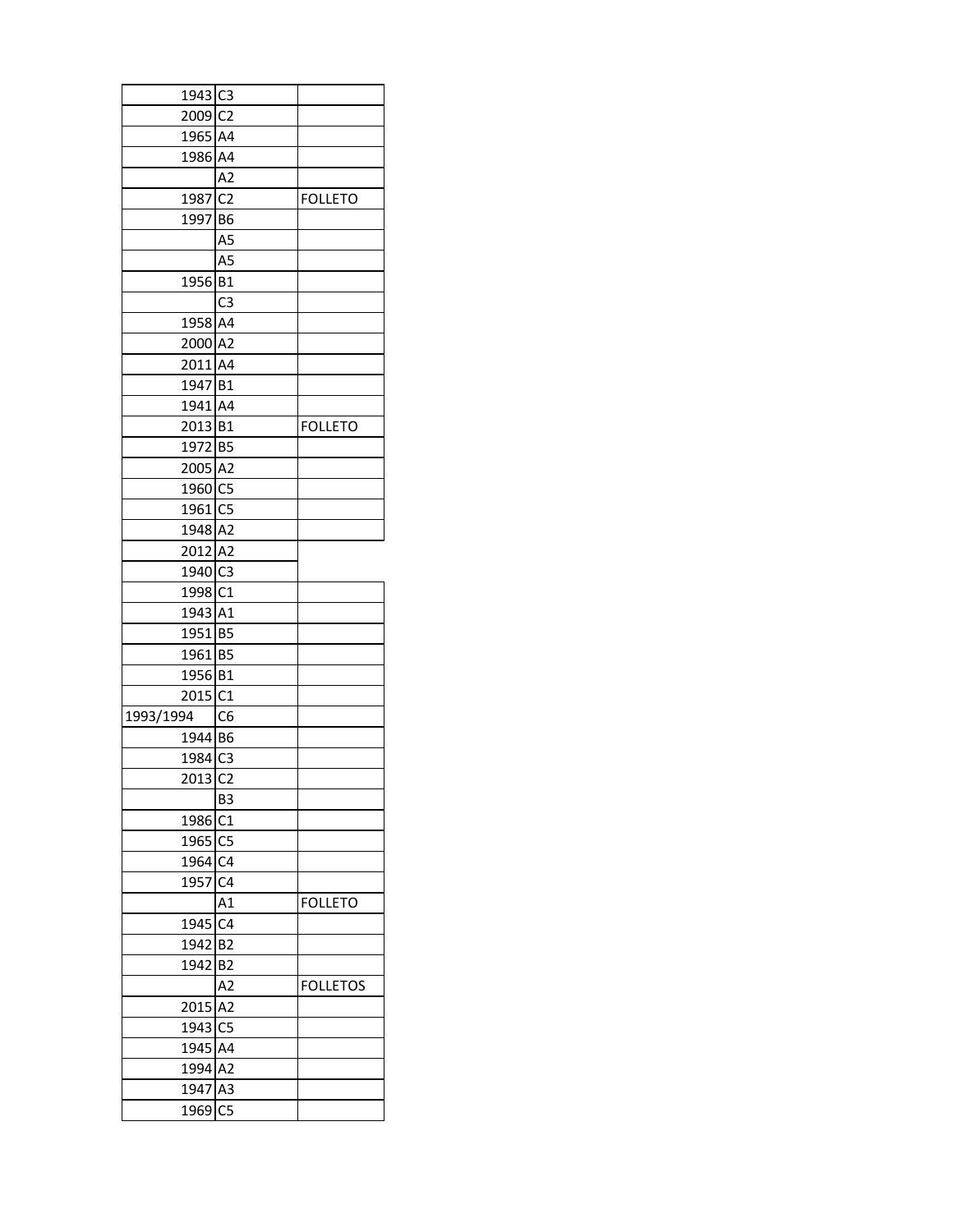| 1943 C3             |                |                 |
|---------------------|----------------|-----------------|
| 2009 C2             |                |                 |
| 1965 A4             |                |                 |
| 1986 A4             |                |                 |
|                     | A <sub>2</sub> |                 |
| 1987 C2             |                | <b>FOLLETO</b>  |
| 1997 B6             |                |                 |
|                     | A5             |                 |
|                     | A5             |                 |
| 1956 B1             |                |                 |
|                     | C <sub>3</sub> |                 |
| 1958 A4             |                |                 |
| 2000 A2             |                |                 |
| 2011 A4             |                |                 |
| 1947 B1             |                |                 |
|                     |                |                 |
| 1941 A4             |                |                 |
| 2013 B1             |                | <b>FOLLETO</b>  |
| 1972 B5             |                |                 |
| 2005 A2             |                |                 |
| 1960 C5             |                |                 |
| 1961 C5             |                |                 |
| 1948 A2             |                |                 |
| 2012 A2             |                |                 |
| 1940 C3             |                |                 |
| 1998 C1             |                |                 |
| 1943 A1             |                |                 |
| 1951 B5             |                |                 |
| 1961 B5             |                |                 |
| 1956 B1             |                |                 |
| 2015 C1             |                |                 |
| 1993/1994           | C <sub>6</sub> |                 |
| 1944 B6             |                |                 |
| 1984 C3             |                |                 |
| 2013 C <sub>2</sub> |                |                 |
|                     | B3             |                 |
| 1986                | C1             |                 |
| 1965 C5             |                |                 |
| 1964 C4             |                |                 |
| 1957 C4             |                |                 |
|                     | Α1             | <b>FOLLETO</b>  |
| 1945                | C <sub>4</sub> |                 |
| 1942                | B <sub>2</sub> |                 |
| 1942                | B <sub>2</sub> |                 |
|                     | A2             | <b>FOLLETOS</b> |
| 2015                | A <sub>2</sub> |                 |
| 1943 C5             |                |                 |
| 1945 A4             |                |                 |
| 1994 A2             |                |                 |
| 1947                | A <sub>3</sub> |                 |
| 1969                | C <sub>5</sub> |                 |
|                     |                |                 |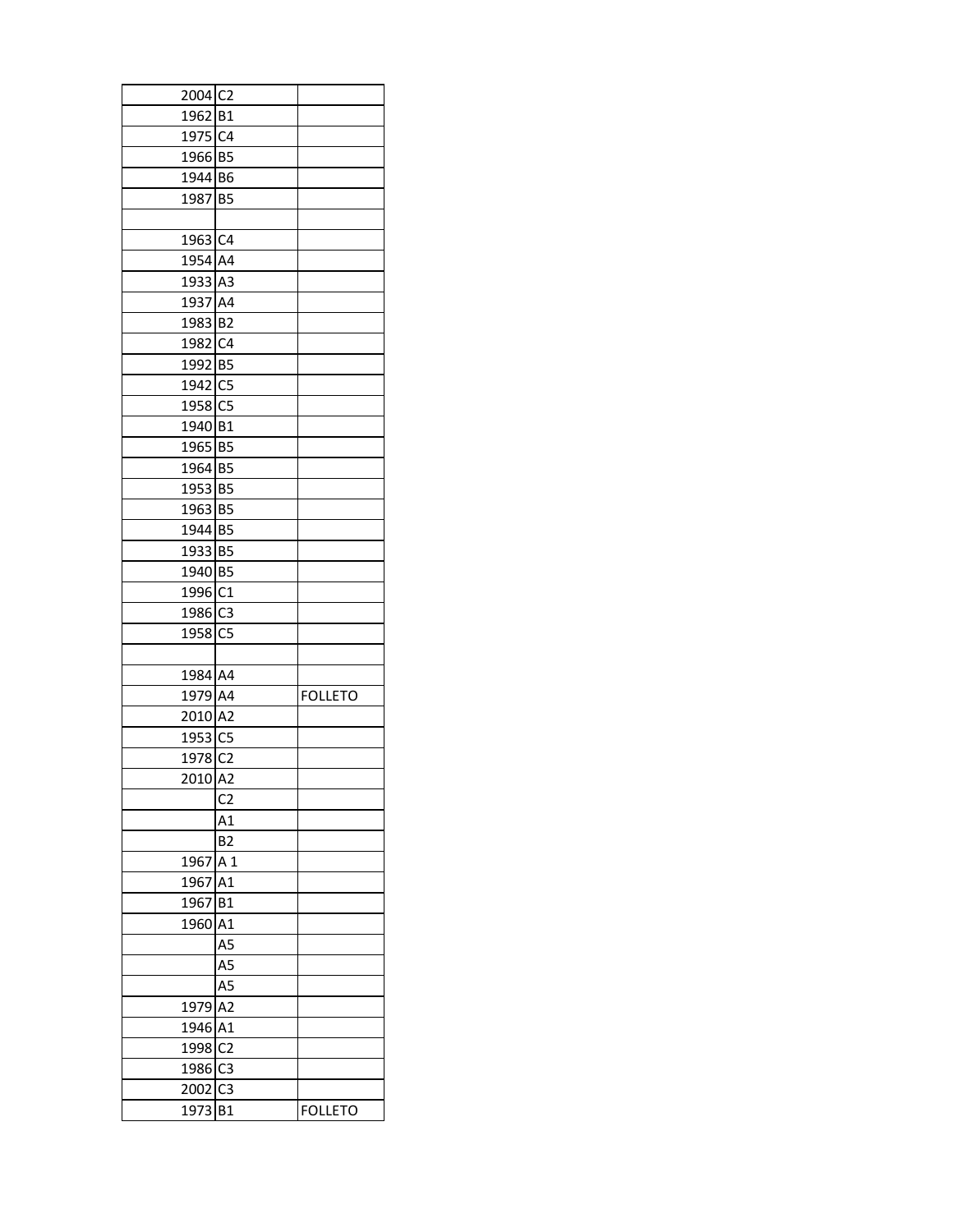| 2004 C2             |                |                |
|---------------------|----------------|----------------|
| 1962 B1             |                |                |
| 1975 C4             |                |                |
| 1966 B5             |                |                |
| 1944 B6             |                |                |
| 1987 B5             |                |                |
|                     |                |                |
| 1963 C4             |                |                |
| 1954 A4             |                |                |
| 1933 A3             |                |                |
| 1937 A4             |                |                |
| 1983 B2             |                |                |
| 1982 C4             |                |                |
| 1992 B5             |                |                |
| 1942 C5             |                |                |
| 1958 C5             |                |                |
| 1940 B1             |                |                |
| 1965 B5             |                |                |
| 1964 B5             |                |                |
| 1953 B5             |                |                |
| 1963 B5             |                |                |
| 1944 B5             |                |                |
| 1933 B5             |                |                |
| 1940 B5             |                |                |
| 1996 C1             |                |                |
| 1986 <sub>C3</sub>  |                |                |
| 1958 C5             |                |                |
|                     |                |                |
| 1984 A4             |                |                |
| 1979 A4             |                | <b>FOLLETO</b> |
| 2010 A2             |                |                |
| 1953 C5             |                |                |
| 1978 C <sub>2</sub> |                |                |
| 2010 A2             |                |                |
|                     |                |                |
|                     | C <sub>2</sub> |                |
|                     | Α1             |                |
|                     | <b>B2</b>      |                |
| 1967 A 1            |                |                |
| 1967                | A1             |                |
| 1967                | <b>B1</b>      |                |
| 1960                | A1             |                |
|                     | A5             |                |
|                     | A5             |                |
|                     | A5             |                |
| 1979                | A <sub>2</sub> |                |
| 1946                | A1             |                |
| 1998                | C <sub>2</sub> |                |
| 1986                | C <sub>3</sub> |                |
| 2002                | C <sub>3</sub> |                |
| 1973                | <b>B1</b>      | <b>FOLLETO</b> |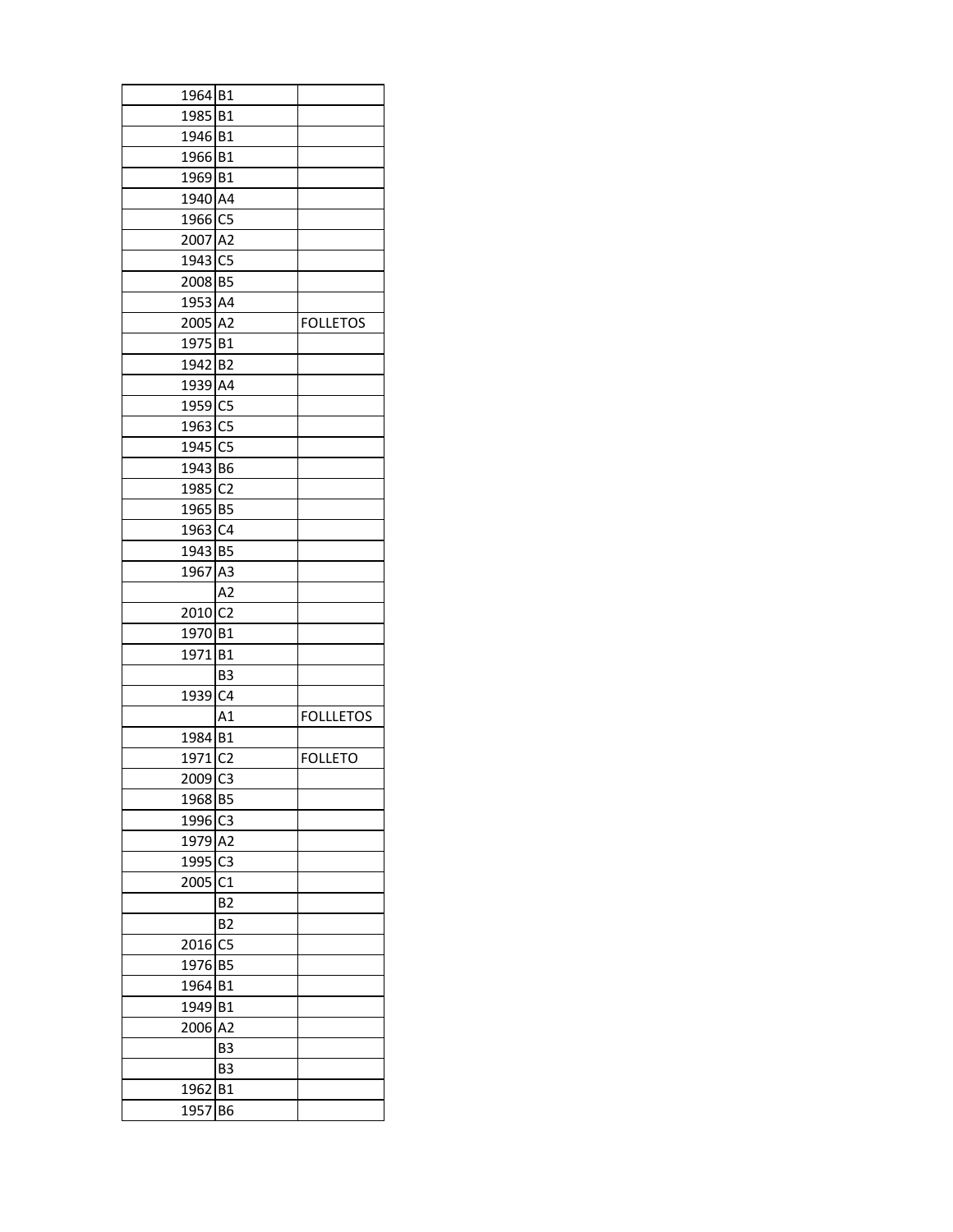| 1964 B1         |                |                  |
|-----------------|----------------|------------------|
| 1985 B1         |                |                  |
| 1946 B1         |                |                  |
| 1966 B1         |                |                  |
| 1969 B1         |                |                  |
| 1940 A4         |                |                  |
| 1966 C5         |                |                  |
| 2007 A2         |                |                  |
| 1943 C5         |                |                  |
| 2008 B5         |                |                  |
| 1953 A4         |                |                  |
| 2005 A2         |                | <b>FOLLETOS</b>  |
| 1975 B1         |                |                  |
| 1942 B2         |                |                  |
| 1939 A4         |                |                  |
| 1959 C5         |                |                  |
| 1963 C5         |                |                  |
| 1945 C5         |                |                  |
| 1943 B6         |                |                  |
| 1985 C2         |                |                  |
| 1965 B5         |                |                  |
|                 |                |                  |
| 1963<br>1943 B5 | C <sub>4</sub> |                  |
|                 |                |                  |
| 1967 A3         |                |                  |
|                 | A2             |                  |
| 2010 C2         |                |                  |
| 1970 B1         |                |                  |
| 1971 B1         |                |                  |
|                 | B <sub>3</sub> |                  |
| 1939 C4         |                |                  |
|                 | A1             | <b>FOLLLETOS</b> |
| 1984 B1         |                |                  |
| 1971 C2         |                | <b>FOLLETO</b>   |
| 2009 C3         |                |                  |
| 1968            | B <sub>5</sub> |                  |
| 1996            | C <sub>3</sub> |                  |
| 1979            | A <sub>2</sub> |                  |
| 1995            | C <sub>3</sub> |                  |
| 2005            | C1             |                  |
|                 | <b>B2</b>      |                  |
|                 | <b>B2</b>      |                  |
| 2016            | C <sub>5</sub> |                  |
| 1976            | <b>B5</b>      |                  |
| 1964            | <b>B1</b>      |                  |
| 1949            | <b>B1</b>      |                  |
| 2006            | A <sub>2</sub> |                  |
|                 | B <sub>3</sub> |                  |
|                 | B3             |                  |
| 1962            | <b>B1</b>      |                  |
| 1957            | B <sub>6</sub> |                  |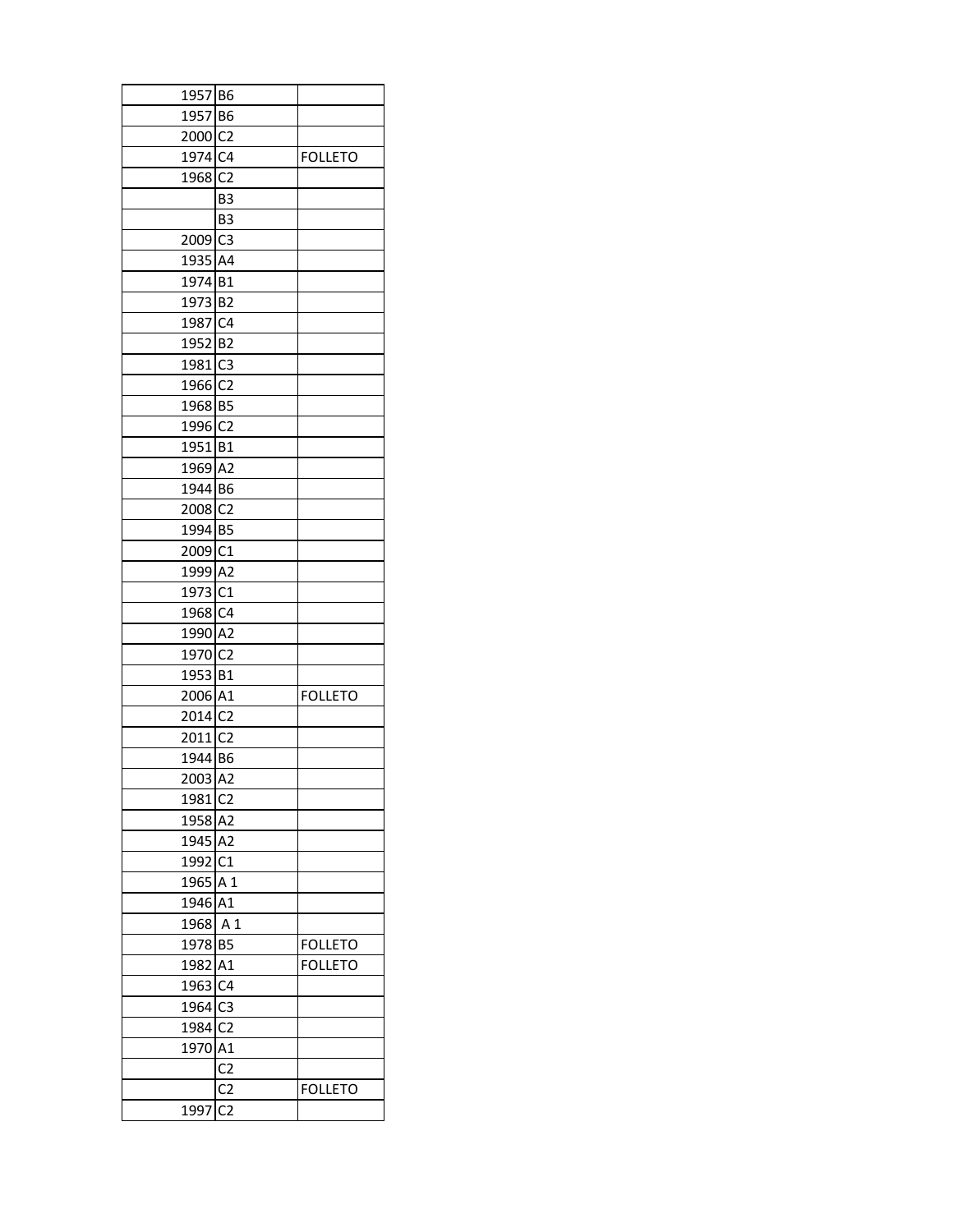| 1957 B6             |                |                |  |
|---------------------|----------------|----------------|--|
| 1957 B6             |                |                |  |
| 2000 C2             |                |                |  |
| 1974 C4             |                | <b>FOLLETO</b> |  |
| 1968 <sub>C2</sub>  |                |                |  |
|                     | B <sub>3</sub> |                |  |
|                     | B <sub>3</sub> |                |  |
| 2009 C3             |                |                |  |
| 1935 A4             |                |                |  |
| 1974 B1             |                |                |  |
| 1973 B2             |                |                |  |
| 1987 C4             |                |                |  |
| 1952 B2             |                |                |  |
| 1981 C3             |                |                |  |
| 1966 <sub>C2</sub>  |                |                |  |
| 1968 B5             |                |                |  |
| 1996 C2             |                |                |  |
| 1951 B1             |                |                |  |
| 1969 A2             |                |                |  |
| 1944 B6             |                |                |  |
| 2008 C2             |                |                |  |
| 1994 B5             |                |                |  |
| 2009 C1             |                |                |  |
|                     |                |                |  |
| 1999 A2             |                |                |  |
| 1973 C1             |                |                |  |
| 1968 C4             |                |                |  |
| 1990 A2             |                |                |  |
| 1970 <sub>C2</sub>  |                |                |  |
| 1953 B1             |                |                |  |
| 2006 A1             |                | <b>FOLLETO</b> |  |
| 2014 C2             |                |                |  |
| 2011 <sub>C2</sub>  |                |                |  |
| 1944 B6             |                |                |  |
| 2003 A2             |                |                |  |
| 1981 C2             |                |                |  |
| 1958 A2             |                |                |  |
| 1945 A2             |                |                |  |
| 1992 C1             |                |                |  |
| 1965 A 1            |                |                |  |
| 1946                | A1             |                |  |
| 1968                | A 1            |                |  |
| 1978 B5             |                | <b>FOLLETO</b> |  |
| 1982 A1             |                | <b>FOLLETO</b> |  |
| 1963 C4             |                |                |  |
| 1964 C3             |                |                |  |
| 1984 C <sub>2</sub> |                |                |  |
| 1970 A1             |                |                |  |
|                     | C <sub>2</sub> |                |  |
|                     | C2             | <b>FOLLETO</b> |  |
| 1997                | C <sub>2</sub> |                |  |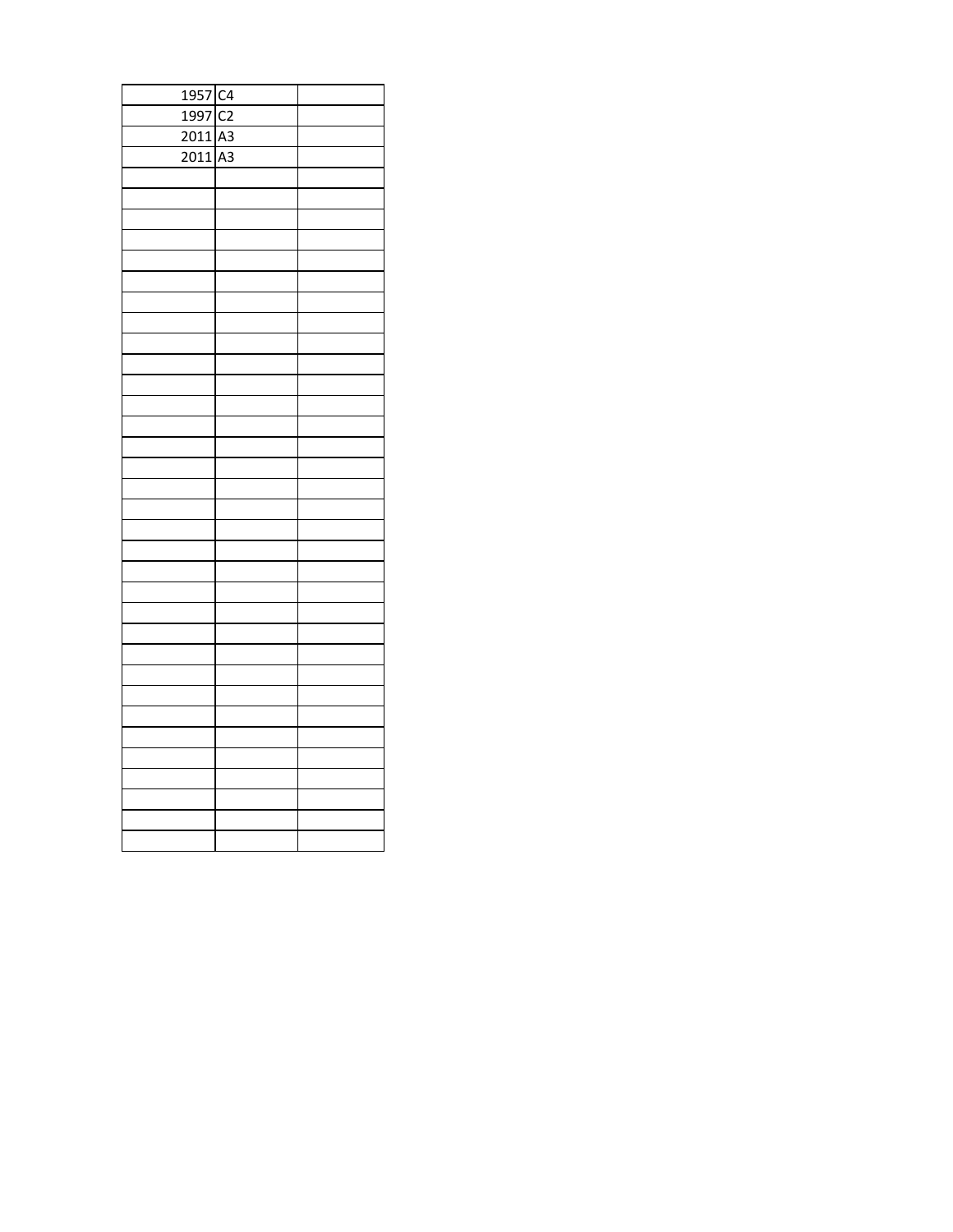| 1957 C4   |  |
|-----------|--|
| 1997 C2   |  |
| $2011$ A3 |  |
| $2011$ A3 |  |
|           |  |
|           |  |
|           |  |
|           |  |
|           |  |
|           |  |
|           |  |
|           |  |
|           |  |
|           |  |
|           |  |
|           |  |
|           |  |
|           |  |
|           |  |
|           |  |
|           |  |
|           |  |
|           |  |
|           |  |
|           |  |
|           |  |
|           |  |
|           |  |
|           |  |
|           |  |
|           |  |
|           |  |
|           |  |
|           |  |
|           |  |
|           |  |
|           |  |
|           |  |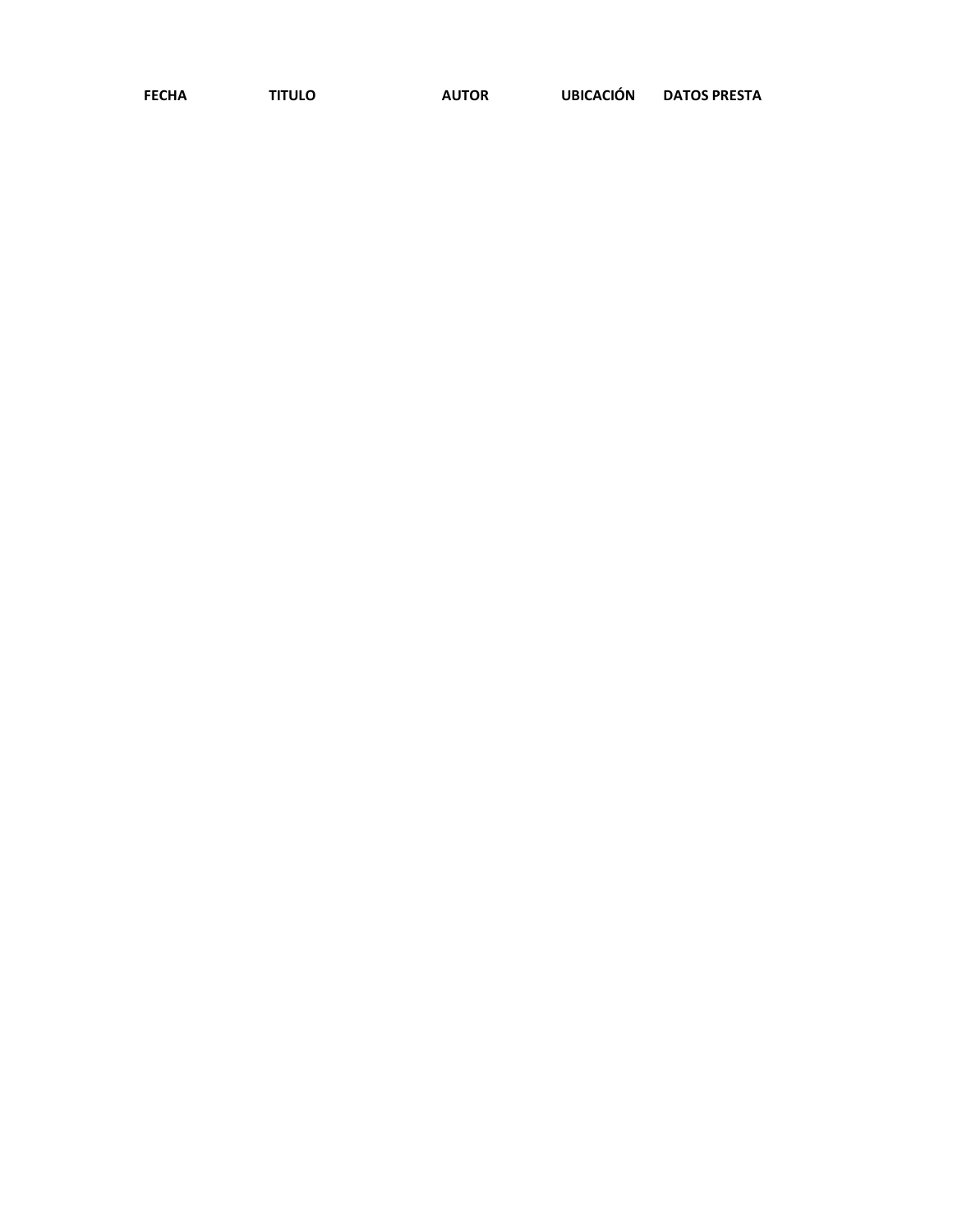| <b>FECHA</b> | <b>TITULO</b> | <b>AUTOR</b> | <b>UBICACIÓN</b> | <b>DATOS PRESTA</b> |
|--------------|---------------|--------------|------------------|---------------------|
|              |               |              |                  |                     |